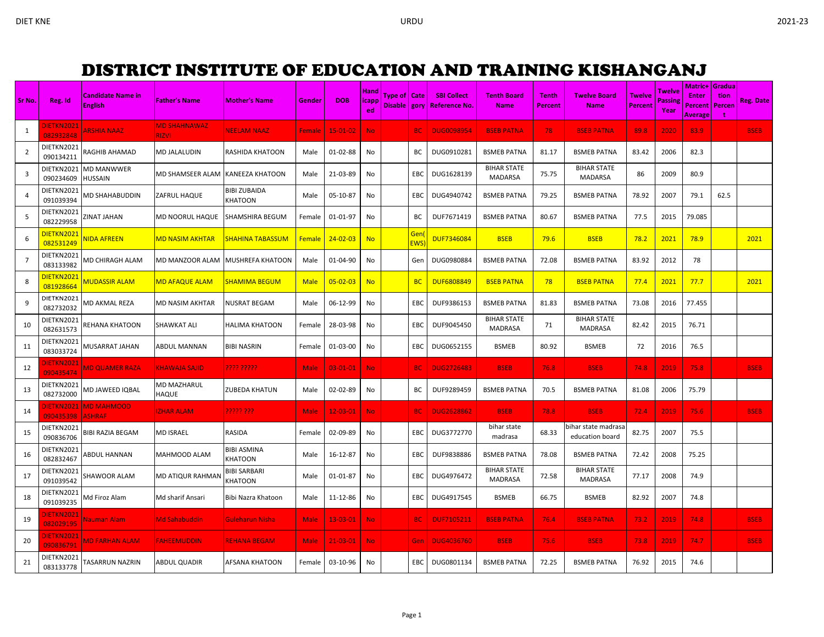## DISTRICT INSTITUTE OF EDUCATION AND TRAINING KISHANGANJ

|                |                                |                                     |                                     |                         |               |                | <b>Hand</b>   |                |                   |                                |                                      |                |                                        |                | Twelve         | <b>Matric+ Gradua</b>                     |      |                  |
|----------------|--------------------------------|-------------------------------------|-------------------------------------|-------------------------|---------------|----------------|---------------|----------------|-------------------|--------------------------------|--------------------------------------|----------------|----------------------------------------|----------------|----------------|-------------------------------------------|------|------------------|
| Sr No.         | Reg. Id                        | <b>Candidate Name in</b>            | <b>Father's Name</b>                | <b>Mother's Name</b>    | Gender        | <b>DOB</b>     | <b>licapp</b> | Type of   Cate |                   | <b>SBI Collect</b>             | Tenth Board                          | <b>Tenth</b>   | <b>Twelve Board</b>                    | <b>Twelve</b>  | <b>Passing</b> | <b>Enter</b>                              | tion | <b>Reg. Date</b> |
|                |                                | <b>English</b>                      |                                     |                         |               |                | ed            |                |                   | Disable   gory   Reference No. | <b>Name</b>                          | <b>Percent</b> | <b>Name</b>                            | <b>Percent</b> | Year           | <b>Percent   Percen</b><br><b>Average</b> | t    |                  |
| 1              | DIETKN2021<br>082932848        | <b>ARSHIA NAAZ</b>                  | <b>MD SHAHNAWAZ</b><br><b>RIZVI</b> | <b>NEELAM NAAZ</b>      | Female        | $15-01-02$     | <b>No</b>     |                | <b>BC</b>         | <b>DUG0098954</b>              | <b>BSEB PATNA</b>                    | 78             | <b>BSEB PATNA</b>                      | 89.8           | 2020           | 83.9                                      |      | <b>BSEB</b>      |
| $\overline{2}$ | DIETKN2021<br>090134211        | RAGHIB AHAMAD                       | MD JALALUDIN                        | RASHIDA KHATOON         | Male          | 01-02-88       | No            |                | BC                | DUG0910281                     | <b>BSMEB PATNA</b>                   | 81.17          | <b>BSMEB PATNA</b>                     | 83.42          | 2006           | 82.3                                      |      |                  |
| 3              | DIETKN2021<br>090234609        | <b>MD MANWWER</b><br><b>HUSSAIN</b> | MD SHAMSEER ALAM                    | <b>KANEEZA KHATOON</b>  | Male          | 21-03-89       | No            |                | EBC               | DUG1628139                     | <b>BIHAR STATE</b><br><b>MADARSA</b> | 75.75          | <b>BIHAR STATE</b><br><b>MADARSA</b>   | 86             | 2009           | 80.9                                      |      |                  |
| $\overline{4}$ | DIETKN2021<br>091039394        | MD SHAHABUDDIN                      | ZAFRUL HAQUE                        | BIBI ZUBAIDA<br>KHATOON | Male          | 05-10-87       | No            |                | EBC               | DUG4940742                     | <b>BSMEB PATNA</b>                   | 79.25          | <b>BSMEB PATNA</b>                     | 78.92          | 2007           | 79.1                                      | 62.5 |                  |
| 5              | DIETKN2021<br>082229958        | ZINAT JAHAN                         | MD NOORUL HAQUE                     | SHAMSHIRA BEGUM         | Female        | 01-01-97       | No            |                | BC                | DUF7671419                     | <b>BSMEB PATNA</b>                   | 80.67          | <b>BSMEB PATNA</b>                     | 77.5           | 2015           | 79.085                                    |      |                  |
| 6              | DIETKN2021<br>082531249        | <b>JIDA AFREEN</b>                  | <mark>MD NASIM AKHTAR</mark>        | <b>SHAHINA TABASSUM</b> | <b>Female</b> | $24 - 02 - 03$ | <b>No</b>     |                | Gen<br><b>EWS</b> | <b>DUF7346084</b>              | <b>BSEB</b>                          | 79.6           | <b>BSEB</b>                            | 78.2           | 2021           | 78.9                                      |      | 2021             |
| $\overline{7}$ | DIETKN2021<br>083133982        | MD CHIRAGH ALAM                     | MD MANZOOR ALAM                     | MUSHREFA KHATOON        | Male          | 01-04-90       | No            |                | Gen               | DUG0980884                     | <b>BSMEB PATNA</b>                   | 72.08          | <b>BSMEB PATNA</b>                     | 83.92          | 2012           | 78                                        |      |                  |
| 8              | DIETKN2021<br>081928664        | <b>MUDASSIR ALAM</b>                | MD AFAQUE ALAM                      | SHAMIMA BEGUM           | <b>Male</b>   | $05 - 02 - 03$ | <b>No</b>     |                | <b>BC</b>         | <b>DUF6808849</b>              | <b>BSEB PATNA</b>                    | 78             | <b>BSEB PATNA</b>                      | 77.4           | 2021           | 77.7                                      |      | 2021             |
| 9              | DIETKN2021<br>082732032        | MD AKMAL REZA                       | MD NASIM AKHTAR                     | NUSRAT BEGAM            | Male          | 06-12-99       | No            |                | EBC               | DUF9386153                     | <b>BSMEB PATNA</b>                   | 81.83          | <b>BSMEB PATNA</b>                     | 73.08          | 2016           | 77.455                                    |      |                  |
| 10             | DIETKN2021<br>082631573        | REHANA KHATOON                      | SHAWKAT ALI                         | HALIMA KHATOON          | Female        | 28-03-98       | No            |                | EBC               | DUF9045450                     | <b>BIHAR STATE</b><br><b>MADRASA</b> | 71             | <b>BIHAR STATE</b><br><b>MADRASA</b>   | 82.42          | 2015           | 76.71                                     |      |                  |
| 11             | DIETKN2021<br>083033724        | MUSARRAT JAHAN                      | <b>ABDUL MANNAN</b>                 | BIBI NASRIN             | Female        | 01-03-00       | No            |                | EBC               | DUG0652155                     | <b>BSMEB</b>                         | 80.92          | <b>BSMEB</b>                           | 72             | 2016           | 76.5                                      |      |                  |
| 12             | DIETKN2021<br>090435474        | <b>MD QUAMER RAZA</b>               | <b>KHAWAJA SAJID</b>                | 2222.22222.             | <b>Male</b>   | 03-01-01       | <b>No</b>     |                | <b>BC</b>         | <b>DUG2726483</b>              | <b>BSEB</b>                          | 76.8           | <b>BSEB</b>                            | 74.8           | 2019           | 75.8                                      |      | <b>BSEB</b>      |
| 13             | DIETKN2021<br>082732000        | MD JAWEED IQBAL                     | MD MAZHARUL<br><b>HAQUE</b>         | ZUBEDA KHATUN           | Male          | 02-02-89       | No            |                | BC                | DUF9289459                     | <b>BSMEB PATNA</b>                   | 70.5           | <b>BSMEB PATNA</b>                     | 81.08          | 2006           | 75.79                                     |      |                  |
| 14             | <b>DIETKN2021</b><br>090435398 | <b>MD MAHMOOD</b><br><b>ASHRAF</b>  | <b>IZHAR ALAM</b>                   | ????? ???               | Male          | $12 - 03 - 01$ | <b>No</b>     |                | BC.               | <b>DUG2628862</b>              | <b>BSEB</b>                          | 78.8           | <b>BSEB</b>                            | 72.4           | 2019           | 75.6                                      |      | <b>BSEB</b>      |
| 15             | DIETKN2021<br>090836706        | <b>BIBI RAZIA BEGAM</b>             | MD ISRAEL                           | RASIDA                  | Female        | 02-09-89       | No            |                | EBC               | DUG3772770                     | bihar state<br>madrasa               | 68.33          | oihar state madrasa<br>education board | 82.75          | 2007           | 75.5                                      |      |                  |
| 16             | DIETKN2021<br>082832467        | <b>ABDUL HANNAN</b>                 | MAHMOOD ALAM                        | BIBI ASMINA<br>KHATOON  | Male          | 16-12-87       | No            |                | EBC               | DUF9838886                     | <b>BSMEB PATNA</b>                   | 78.08          | <b>BSMEB PATNA</b>                     | 72.42          | 2008           | 75.25                                     |      |                  |
| 17             | DIETKN2021<br>091039542        | SHAWOOR ALAM                        | MD ATIQUR RAHMAN                    | BIBI SARBARI<br>KHATOON | Male          | 01-01-87       | No            |                | EBC               | DUG4976472                     | <b>BIHAR STATE</b><br><b>MADRASA</b> | 72.58          | <b>BIHAR STATE</b><br><b>MADRASA</b>   | 77.17          | 2008           | 74.9                                      |      |                  |
| 18             | DIETKN2021<br>091039235        | Md Firoz Alam                       | Md sharif Ansari                    | Bibi Nazra Khatoon      | Male          | 11-12-86       | No            |                | EBC               | DUG4917545                     | <b>BSMEB</b>                         | 66.75          | <b>BSMEB</b>                           | 82.92          | 2007           | 74.8                                      |      |                  |
| 19             | DIETKN2021<br>082029195        | Nauman Alam                         | <b>Md Sahabuddin</b>                | Guleharun Nisha         | <b>Male</b>   | 13-03-01       | No.           |                | <b>BC</b>         | <b>DUF7105211</b>              | <b>BSEB PATNA</b>                    | 76.4           | <b>BSEB PATNA</b>                      | 73.2           | 2019           | 74.8                                      |      | <b>BSEB</b>      |
| 20             | DIETKN2021<br>090836791        | MD FARHAN ALAM                      | <b>FAHEEMUDDIN</b>                  | REHANA BEGAMI           | <b>Male</b>   | $21 - 03 - 01$ | No.           |                | Gen               | <b>DUG4036760</b>              | <b>BSEB</b>                          | 75.6           | <b>BSEB</b>                            | 73.8           | 2019           | 74.7                                      |      | <b>BSEB</b>      |
| 21             | DIETKN2021<br>083133778        | TASARRUN NAZRIN                     | <b>ABDUL QUADIR</b>                 | AFSANA KHATOON          | Female        | 03-10-96       | No.           |                | EBC               | DUG0801134                     | <b>BSMEB PATNA</b>                   | 72.25          | <b>BSMEB PATNA</b>                     | 76.92          | 2015           | 74.6                                      |      |                  |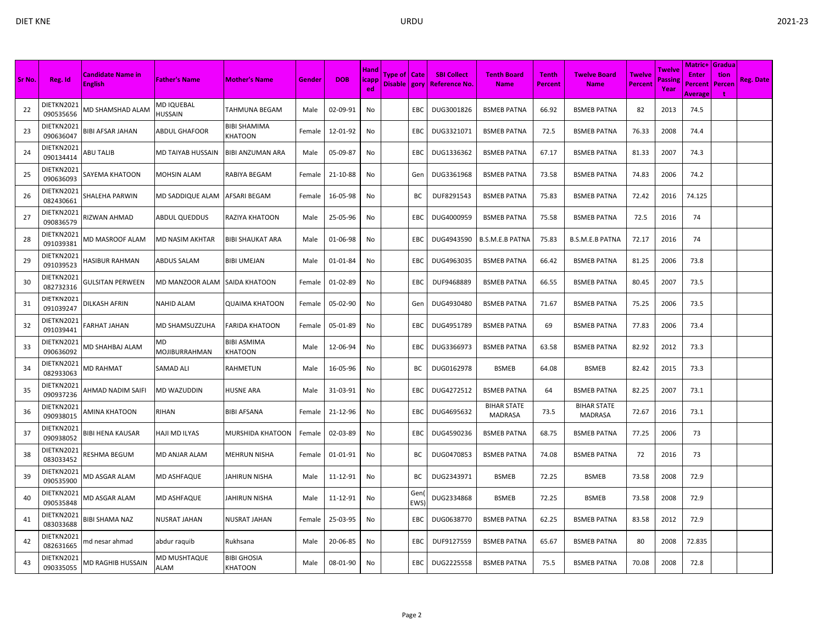| Sr No. | Reg. Id                 | <b>Candidate Name in</b> | <b>Father's Name</b>               | <b>Mother's Name</b>    | Gender | <b>DOB</b> | Hand<br>icapp | Type of   Cate |             | <b>SBI Collect</b>             | <b>Tenth Board</b>                   | <b>Tenth</b> | <b>Twelve Board</b>                  | Twelve         | Twelve<br>Passing | Matric+ Gradua<br><b>Enter</b> | tion   | Reg. Date |
|--------|-------------------------|--------------------------|------------------------------------|-------------------------|--------|------------|---------------|----------------|-------------|--------------------------------|--------------------------------------|--------------|--------------------------------------|----------------|-------------------|--------------------------------|--------|-----------|
|        |                         | <b>English</b>           |                                    |                         |        |            | ed            |                |             | Disable   gory   Reference No. | <b>Name</b>                          | Percent      | <b>Name</b>                          | <b>Percent</b> | Year              | Percent<br>Average             | Percen |           |
| 22     | DIETKN2021<br>090535656 | <b>MD SHAMSHAD ALAM</b>  | MD IQUEBAL<br><b>HUSSAIN</b>       | TAHMUNA BEGAM           | Male   | 02-09-91   | No            |                | EBC         | DUG3001826                     | <b>BSMEB PATNA</b>                   | 66.92        | <b>BSMEB PATNA</b>                   | 82             | 2013              | 74.5                           |        |           |
| 23     | DIETKN2021<br>090636047 | BIBI AFSAR JAHAN         | <b>ABDUL GHAFOOR</b>               | BIBI SHAMIMA<br>KHATOON | Female | 12-01-92   | No            |                | EBC         | DUG3321071                     | <b>BSMEB PATNA</b>                   | 72.5         | <b>BSMEB PATNA</b>                   | 76.33          | 2008              | 74.4                           |        |           |
| 24     | DIETKN2021<br>090134414 | ABU TALIB                | MD TAIYAB HUSSAIN                  | BIBI ANZUMAN ARA        | Male   | 05-09-87   | No            |                | EBC         | DUG1336362                     | <b>BSMEB PATNA</b>                   | 67.17        | <b>BSMEB PATNA</b>                   | 81.33          | 2007              | 74.3                           |        |           |
| 25     | DIETKN2021<br>090636093 | SAYEMA KHATOON           | <b>MOHSIN ALAM</b>                 | RABIYA BEGAM            | Female | 21-10-88   | No            |                | Gen         | DUG3361968                     | <b>BSMEB PATNA</b>                   | 73.58        | <b>BSMEB PATNA</b>                   | 74.83          | 2006              | 74.2                           |        |           |
| 26     | DIETKN2021<br>082430661 | SHALEHA PARWIN           | MD SADDIQUE ALAM                   | AFSARI BEGAM            | Female | 16-05-98   | No            |                | BC          | DUF8291543                     | <b>BSMEB PATNA</b>                   | 75.83        | <b>BSMEB PATNA</b>                   | 72.42          | 2016              | 74.125                         |        |           |
| 27     | DIETKN2021<br>090836579 | RIZWAN AHMAD             | ABDUL QUEDDUS                      | RAZIYA KHATOON          | Male   | 25-05-96   | No            |                | EBC         | DUG4000959                     | <b>BSMEB PATNA</b>                   | 75.58        | <b>BSMEB PATNA</b>                   | 72.5           | 2016              | 74                             |        |           |
| 28     | DIETKN2021<br>091039381 | <b>MD MASROOF ALAM</b>   | <b>MD NASIM AKHTAR</b>             | BIBI SHAUKAT ARA        | Male   | 01-06-98   | No            |                | EBC         | DUG4943590                     | <b>B.S.M.E.B PATNA</b>               | 75.83        | <b>B.S.M.E.B PATNA</b>               | 72.17          | 2016              | 74                             |        |           |
| 29     | DIETKN2021<br>091039523 | HASIBUR RAHMAN           | <b>ABDUS SALAM</b>                 | BIBI UMEJAN             | Male   | 01-01-84   | No            |                | EBC         | DUG4963035                     | <b>BSMEB PATNA</b>                   | 66.42        | <b>BSMEB PATNA</b>                   | 81.25          | 2006              | 73.8                           |        |           |
| 30     | DIETKN2021<br>082732316 | <b>GULSITAN PERWEEN</b>  | MD MANZOOR ALAM                    | <b>SAIDA KHATOON</b>    | Female | 01-02-89   | No            |                | EBC         | DUF9468889                     | <b>BSMEB PATNA</b>                   | 66.55        | <b>BSMEB PATNA</b>                   | 80.45          | 2007              | 73.5                           |        |           |
| 31     | DIETKN2021<br>091039247 | DILKASH AFRIN            | NAHID ALAM                         | QUAIMA KHATOON          | Female | 05-02-90   | No            |                | Gen         | DUG4930480                     | <b>BSMEB PATNA</b>                   | 71.67        | <b>BSMEB PATNA</b>                   | 75.25          | 2006              | 73.5                           |        |           |
| 32     | DIETKN2021<br>091039441 | FARHAT JAHAN             | MD SHAMSUZZUHA                     | FARIDA KHATOON          | Female | 05-01-89   | No            |                | EBC         | DUG4951789                     | <b>BSMEB PATNA</b>                   | 69           | <b>BSMEB PATNA</b>                   | 77.83          | 2006              | 73.4                           |        |           |
| 33     | DIETKN2021<br>090636092 | MD SHAHBAJ ALAM          | MD<br><b>MOJIBURRAHMAN</b>         | BIBI ASMIMA<br>KHATOON  | Male   | 12-06-94   | No            |                | EBC         | DUG3366973                     | <b>BSMEB PATNA</b>                   | 63.58        | <b>BSMEB PATNA</b>                   | 82.92          | 2012              | 73.3                           |        |           |
| 34     | DIETKN2021<br>082933063 | <b>MD RAHMAT</b>         | SAMAD ALI                          | RAHMETUN                | Male   | 16-05-96   | No            |                | ВC          | DUG0162978                     | <b>BSMEB</b>                         | 64.08        | <b>BSMEB</b>                         | 82.42          | 2015              | 73.3                           |        |           |
| 35     | DIETKN2021<br>090937236 | AHMAD NADIM SAIFI        | MD WAZUDDIN                        | HUSNE ARA               | Male   | 31-03-91   | No            |                | EBC         | DUG4272512                     | <b>BSMEB PATNA</b>                   | 64           | <b>BSMEB PATNA</b>                   | 82.25          | 2007              | 73.1                           |        |           |
| 36     | DIETKN2021<br>090938015 | AMINA KHATOON            | RIHAN                              | BIBI AFSANA             | Female | 21-12-96   | No            |                | EBC         | DUG4695632                     | <b>BIHAR STATE</b><br><b>MADRASA</b> | 73.5         | <b>BIHAR STATE</b><br><b>MADRASA</b> | 72.67          | 2016              | 73.1                           |        |           |
| 37     | DIETKN2021<br>090938052 | BIBI HENA KAUSAR         | HAJI MD ILYAS                      | MURSHIDA KHATOON        | Female | 02-03-89   | No            |                | EBC         | DUG4590236                     | <b>BSMEB PATNA</b>                   | 68.75        | <b>BSMEB PATNA</b>                   | 77.25          | 2006              | 73                             |        |           |
| 38     | DIETKN2021<br>083033452 | RESHMA BEGUM             | <b>MD ANJAR ALAM</b>               | MEHRUN NISHA            | Female | 01-01-91   | No            |                | BC          | DUG0470853                     | <b>BSMEB PATNA</b>                   | 74.08        | <b>BSMEB PATNA</b>                   | 72             | 2016              | 73                             |        |           |
| -39    | DIETKN2021<br>090535900 | <b>MD ASGAR ALAM</b>     | MD ASHFAQUE                        | JAHIRUN NISHA           | Male   | 11-12-91   | No            |                | BC          | DUG2343971                     | <b>BSMEB</b>                         | 72.25        | <b>BSMEB</b>                         | 73.58          | 2008              | 72.9                           |        |           |
| 40     | DIETKN2021<br>090535848 | <b>MD ASGAR ALAM</b>     | MD ASHFAQUE                        | JAHIRUN NISHA           | Male   | 11-12-91   | No            |                | Gen<br>EWS) | DUG2334868                     | <b>BSMEB</b>                         | 72.25        | <b>BSMEB</b>                         | 73.58          | 2008              | 72.9                           |        |           |
| 41     | DIETKN2021<br>083033688 | BIBI SHAMA NAZ           | <b>NUSRAT JAHAN</b>                | NUSRAT JAHAN            | Female | 25-03-95   | No            |                | EBC         | DUG0638770                     | <b>BSMEB PATNA</b>                   | 62.25        | <b>BSMEB PATNA</b>                   | 83.58          | 2012              | 72.9                           |        |           |
| 42     | DIETKN2021<br>082631665 | nd nesar ahmad           | abdur raquib                       | Rukhsana                | Male   | 20-06-85   | No            |                | EBC         | DUF9127559                     | <b>BSMEB PATNA</b>                   | 65.67        | <b>BSMEB PATNA</b>                   | 80             | 2008              | 72.835                         |        |           |
| 43     | DIETKN2021<br>090335055 | MD RAGHIB HUSSAIN        | <b>MD MUSHTAQUE</b><br><b>ALAM</b> | BIBI GHOSIA<br>KHATOON  | Male   | 08-01-90   | No            |                | EBC         | DUG2225558                     | <b>BSMEB PATNA</b>                   | 75.5         | <b>BSMEB PATNA</b>                   | 70.08          | 2008              | 72.8                           |        |           |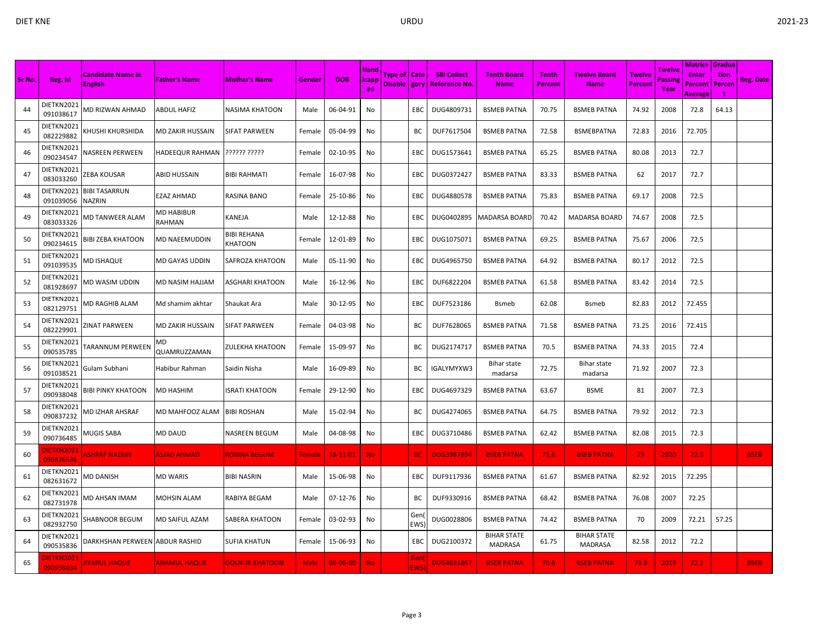|        |                                |                                            |                             |                                      |             |                |                                   |                                  |                   |                                     |                                      |                         |                                      |                                 |                          | <b>Matric+ Gradua</b>              |                |             |
|--------|--------------------------------|--------------------------------------------|-----------------------------|--------------------------------------|-------------|----------------|-----------------------------------|----------------------------------|-------------------|-------------------------------------|--------------------------------------|-------------------------|--------------------------------------|---------------------------------|--------------------------|------------------------------------|----------------|-------------|
| Sr No. | Reg. Id                        | <b>Candidate Name in</b><br><b>English</b> | <b>Father's Name</b>        | <b>Mother's Name</b>                 | Gender      | <b>DOB</b>     | <b>Hand</b><br><b>icapp</b><br>ed | Type of   Cate<br>Disable   gory |                   | <b>SBI Collect</b><br>Reference No. | <b>Tenth Board</b><br><b>Name</b>    | <b>Tenth</b><br>Percent | <b>Twelve Board</b><br><b>Name</b>   | <b>Twelve</b><br><b>Percent</b> | Twelve<br>assing<br>Year | <b>Enter</b><br>Percent<br>Average | tion<br>Percen | Reg. Date   |
| 44     | DIETKN2021<br>091038617        | MD RIZWAN AHMAD                            | ABDUL HAFIZ                 | NASIMA KHATOON                       | Male        | 06-04-91       | No                                |                                  | EBC               | DUG4809731                          | <b>BSMEB PATNA</b>                   | 70.75                   | <b>BSMEB PATNA</b>                   | 74.92                           | 2008                     | 72.8                               | 64.13          |             |
| 45     | DIETKN2021<br>082229882        | KHUSHI KHURSHIDA                           | MD ZAKIR HUSSAIN            | SIFAT PARWEEN                        | Female      | 05-04-99       | No                                |                                  | BС                | DUF7617504                          | <b>BSMEB PATNA</b>                   | 72.58                   | <b>BSMEBPATNA</b>                    | 72.83                           | 2016                     | 72.705                             |                |             |
| 46     | DIETKN2021<br>090234547        | <b>NASREEN PERWEEN</b>                     | HADEEQUR RAHMAN             | ?????? ?????                         | Female      | 02-10-95       | No                                |                                  | EBC               | DUG1573641                          | <b>BSMEB PATNA</b>                   | 65.25                   | <b>BSMEB PATNA</b>                   | 80.08                           | 2013                     | 72.7                               |                |             |
| 47     | DIETKN2021<br>083033260        | ZEBA KOUSAR                                | ABID HUSSAIN                | <b>BIBI RAHMATI</b>                  | Female      | 16-07-98       | No                                |                                  | EBC               | DUG0372427                          | <b>BSMEB PATNA</b>                   | 83.33                   | <b>BSMEB PATNA</b>                   | 62                              | 2017                     | 72.7                               |                |             |
| 48     | DIETKN2021<br>091039056        | <b>BIBI TASARRUN</b><br><b>NAZRIN</b>      | EZAZ AHMAD                  | RASINA BANO                          | Female      | 25-10-86       | No                                |                                  | EBC               | DUG4880578                          | <b>BSMEB PATNA</b>                   | 75.83                   | <b>BSMEB PATNA</b>                   | 69.17                           | 2008                     | 72.5                               |                |             |
| 49     | DIETKN2021<br>083033326        | MD TANWEER ALAM                            | <b>MD HABIBUR</b><br>RAHMAN | KANEJA                               | Male        | 12-12-88       | No                                |                                  | EBC               | DUG0402895                          | <b>MADARSA BOARD</b>                 | 70.42                   | <b>MADARSA BOARD</b>                 | 74.67                           | 2008                     | 72.5                               |                |             |
| 50     | DIETKN2021<br>090234615        | BIBI ZEBA KHATOON                          | MD NAEEMUDDIN               | <b>BIBI REHANA</b><br><b>KHATOON</b> | Female      | 12-01-89       | No                                |                                  | EBC               | DUG1075071                          | <b>BSMEB PATNA</b>                   | 69.25                   | <b>BSMEB PATNA</b>                   | 75.67                           | 2006                     | 72.5                               |                |             |
| 51     | DIETKN2021<br>091039535        | MD ISHAQUE                                 | MD GAYAS UDDIN              | SAFROZA KHATOON                      | Male        | 05-11-90       | No                                |                                  | EBC               | DUG4965750                          | <b>BSMEB PATNA</b>                   | 64.92                   | <b>BSMEB PATNA</b>                   | 80.17                           | 2012                     | 72.5                               |                |             |
| 52     | DIETKN2021<br>081928697        | MD WASIM UDDIN                             | MD NASIM HAJJAM             | ASGHARI KHATOON                      | Male        | 16-12-96       | No                                |                                  | EBC               | DUF6822204                          | <b>BSMEB PATNA</b>                   | 61.58                   | <b>BSMEB PATNA</b>                   | 83.42                           | 2014                     | 72.5                               |                |             |
| 53     | DIETKN2021<br>082129751        | MD RAGHIB ALAM                             | Md shamim akhtar            | Shaukat Ara                          | Male        | 30-12-95       | No                                |                                  | EBC               | DUF7523186                          | <b>B</b> smeb                        | 62.08                   | <b>B</b> smeb                        | 82.83                           | 2012                     | 72.455                             |                |             |
| 54     | DIETKN2021<br>082229901        | ZINAT PARWEEN                              | MD ZAKIR HUSSAIN            | SIFAT PARWEEN                        | Female      | 04-03-98       | No                                |                                  | ВC                | DUF7628065                          | <b>BSMEB PATNA</b>                   | 71.58                   | <b>BSMEB PATNA</b>                   | 73.25                           | 2016                     | 72.415                             |                |             |
| 55     | DIETKN2021<br>090535785        | FARANNUM PERWEEN                           | MD<br>QUAMRUZZAMAN          | ZULEKHA KHATOON                      | Female      | 15-09-97       | No                                |                                  | BC                | DUG2174717                          | <b>BSMEB PATNA</b>                   | 70.5                    | <b>BSMEB PATNA</b>                   | 74.33                           | 2015                     | 72.4                               |                |             |
| 56     | DIETKN2021<br>091038521        | Gulam Subhani                              | Habibur Rahman              | Saidin Nisha                         | Male        | 16-09-89       | No                                |                                  | BC                | IGALYMYXW3                          | Bihar state<br>madarsa               | 72.75                   | Bihar state<br>madarsa               | 71.92                           | 2007                     | 72.3                               |                |             |
| 57     | DIETKN2021<br>090938048        | BIBI PINKY KHATOON                         | MD HASHIM                   | ISRATI KHATOON                       | Female      | 29-12-90       | No                                |                                  | EBC               | DUG4697329                          | <b>BSMEB PATNA</b>                   | 63.67                   | <b>BSME</b>                          | 81                              | 2007                     | 72.3                               |                |             |
| 58     | DIETKN2021<br>090837232        | MD IZHAR AHSRAF                            | MD MAHFOOZ ALAM             | <b>BIBI ROSHAN</b>                   | Male        | 15-02-94       | No                                |                                  | BC                | DUG4274065                          | <b>BSMEB PATNA</b>                   | 64.75                   | <b>BSMEB PATNA</b>                   | 79.92                           | 2012                     | 72.3                               |                |             |
| 59     | DIETKN2021<br>090736485        | MUGIS SABA                                 | MD DAUD                     | <b>NASREEN BEGUM</b>                 | Male        | 04-08-98       | No                                |                                  | EBC               | DUG3710486                          | <b>BSMEB PATNA</b>                   | 62.42                   | <b>BSMEB PATNA</b>                   | 82.08                           | 2015                     | 72.3                               |                |             |
| 60     | <b>JIETKN2021</b><br>090836536 | <b>ASHRAF NAZRIN</b>                       | <b>ASJAD AHMAD</b>          | <b>ROBINA BEGUM</b>                  | Female      | 18-11-01       | No.                               |                                  | <b>BC</b>         | <b>DUG3987894</b>                   | <b>BSEB PATNA</b>                    | 71.6                    | <b>BSEB PATNA</b>                    | 73                              | 2020                     | 72.3                               |                | <b>BSEB</b> |
| 61     | DIETKN2021<br>082631672        | MD DANISH                                  | <b>MD WARIS</b>             | <b>BIBI NASRIN</b>                   | Male        | 15-06-98       | No                                |                                  | EBC               | DUF9117936                          | <b>BSMEB PATNA</b>                   | 61.67                   | <b>BSMEB PATNA</b>                   | 82.92                           | 2015                     | 72.295                             |                |             |
| 62     | DIETKN2021<br>082731978        | MD AHSAN IMAM                              | <b>MOHSIN ALAM</b>          | RABIYA BEGAM                         | Male        | 07-12-76       | No                                |                                  | BC                | DUF9330916                          | <b>BSMEB PATNA</b>                   | 68.42                   | <b>BSMEB PATNA</b>                   | 76.08                           | 2007                     | 72.25                              |                |             |
| 63     | DIETKN2021<br>082932750        | SHABNOOR BEGUM                             | MD SAIFUL AZAM              | SABERA KHATOON                       | Female      | 03-02-93       | No                                |                                  | Gen<br><b>EWS</b> | DUG0028806                          | <b>BSMEB PATNA</b>                   | 74.42                   | <b>BSMEB PATNA</b>                   | 70                              | 2009                     | 72.21                              | 57.25          |             |
| 64     | DIETKN2021<br>090535836        | DARKHSHAN PERWEEN ABDUR RASHID             |                             | SUFIA KHATUN                         | Female      | 15-06-93       | No                                |                                  | EBC               | DUG2100372                          | <b>BIHAR STATE</b><br><b>MADRASA</b> | 61.75                   | <b>BIHAR STATE</b><br><b>MADRASA</b> | 82.58                           | 2012                     | 72.2                               |                |             |
| 65     | <b>DIETKN2021</b><br>090938034 | <b>IIYARUL HAQUE</b>                       | <b>ANAMUL HAQUE</b>         | <b>GOLNUR KHATOON</b>                | <b>Male</b> | $06 - 06 - 00$ | <b>No</b>                         |                                  | Gen<br>EWS)       | <b>DUG4691867</b>                   | <b>BSEB PATNA</b>                    | 70.6                    | <b>BSEB PATNA</b>                    | 73.8                            | 2019                     | 72.2                               |                | <b>BSEB</b> |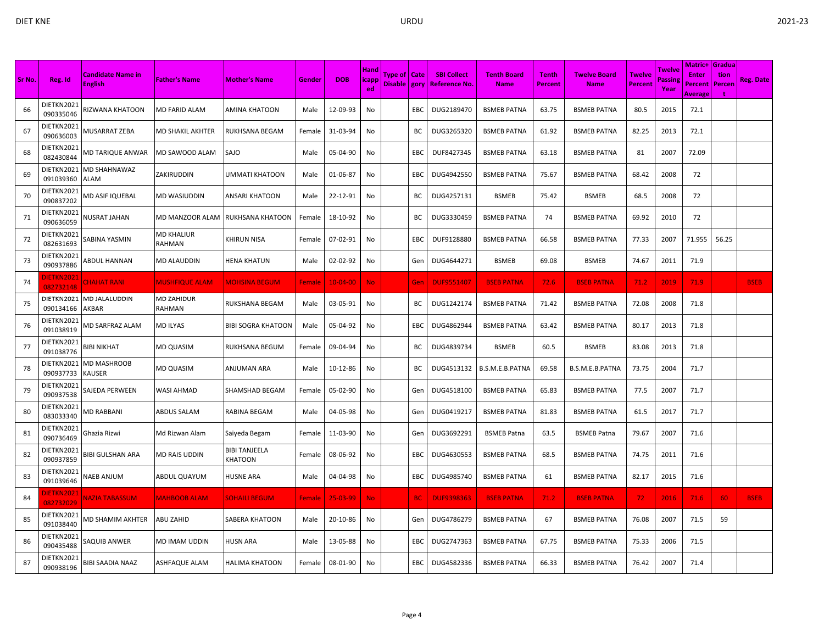| Sr No. | Reg. Id                        | <b>Candidate Name in</b><br><b>English</b> | <b>Father's Name</b>        | <b>Mother's Name</b>            | Gender | <b>DOB</b>     | <b>Hand</b><br>icapp<br>ed | Type of   Cate<br>Disable   gory |            | <b>SBI Collect</b><br><b>Reference No.</b> | <b>Tenth Board</b><br><b>Name</b> | <b>Tenth</b><br>Percent | <b>Twelve Board</b><br><b>Name</b> | <b>Twelve</b><br><b>Percent</b> | Twelve<br>Passing<br>Year | Matric+ Gradua<br><b>Enter</b><br><b>Percent</b><br>Average | tion<br>Percen | <b>Reg. Date</b> |
|--------|--------------------------------|--------------------------------------------|-----------------------------|---------------------------------|--------|----------------|----------------------------|----------------------------------|------------|--------------------------------------------|-----------------------------------|-------------------------|------------------------------------|---------------------------------|---------------------------|-------------------------------------------------------------|----------------|------------------|
| 66     | DIETKN2021<br>090335046        | RIZWANA KHATOON                            | MD FARID ALAM               | AMINA KHATOON                   | Male   | 12-09-93       | No                         |                                  | EBC        | DUG2189470                                 | <b>BSMEB PATNA</b>                | 63.75                   | <b>BSMEB PATNA</b>                 | 80.5                            | 2015                      | 72.1                                                        |                |                  |
| 67     | DIETKN2021<br>090636003        | MUSARRAT ZEBA                              | MD SHAKIL AKHTER            | RUKHSANA BEGAM                  | Female | 31-03-94       | No                         |                                  | BC         | DUG3265320                                 | <b>BSMEB PATNA</b>                | 61.92                   | <b>BSMEB PATNA</b>                 | 82.25                           | 2013                      | 72.1                                                        |                |                  |
| 68     | DIETKN2021<br>082430844        | MD TARIQUE ANWAR                           | MD SAWOOD ALAM              | SAJO                            | Male   | 05-04-90       | No                         |                                  | EBC        | DUF8427345                                 | <b>BSMEB PATNA</b>                | 63.18                   | <b>BSMEB PATNA</b>                 | 81                              | 2007                      | 72.09                                                       |                |                  |
| 69     | DIETKN2021<br>091039360        | MD SHAHNAWAZ<br><b>ALAM</b>                | ZAKIRUDDIN                  | UMMATI KHATOON                  | Male   | 01-06-87       | No                         |                                  | <b>EBC</b> | DUG4942550                                 | <b>BSMEB PATNA</b>                | 75.67                   | <b>BSMEB PATNA</b>                 | 68.42                           | 2008                      | 72                                                          |                |                  |
| 70     | DIETKN2021<br>090837202        | MD ASIF IQUEBAL                            | MD WASIUDDIN                | ANSARI KHATOON                  | Male   | 22-12-91       | No                         |                                  | BC         | DUG4257131                                 | <b>BSMEB</b>                      | 75.42                   | <b>BSMEB</b>                       | 68.5                            | 2008                      | 72                                                          |                |                  |
| 71     | DIETKN2021<br>090636059        | <b>NUSRAT JAHAN</b>                        | MD MANZOOR ALAM             | RUKHSANA KHATOON                | Female | 18-10-92       | No                         |                                  | BC         | DUG3330459                                 | <b>BSMEB PATNA</b>                | 74                      | <b>BSMEB PATNA</b>                 | 69.92                           | 2010                      | 72                                                          |                |                  |
| 72     | DIETKN2021<br>082631693        | SABINA YASMIN                              | MD KHALIUR<br>RAHMAN        | KHIRUN NISA                     | Female | 07-02-91       | No                         |                                  | EBC        | DUF9128880                                 | <b>BSMEB PATNA</b>                | 66.58                   | <b>BSMEB PATNA</b>                 | 77.33                           | 2007                      | 71.955                                                      | 56.25          |                  |
| 73     | DIETKN2021<br>090937886        | ABDUL HANNAN                               | MD ALAUDDIN                 | HENA KHATUN                     | Male   | 02-02-92       | No                         |                                  | Gen        | DUG4644271                                 | <b>BSMEB</b>                      | 69.08                   | <b>BSMEB</b>                       | 74.67                           | 2011                      | 71.9                                                        |                |                  |
| 74     | <b>JIETKN2021</b><br>082732148 | <b>CHAHAT RANI</b>                         | <b>MUSHFIQUE ALAM</b>       | <b>MOHSINA BEGUM</b>            | Female | $10 - 04 - 00$ | <b>No</b>                  |                                  | Gen        | <b>DUF9551407</b>                          | <b>BSEB PATNA</b>                 | 72.6                    | <b>BSEB PATNA</b>                  | 71.2                            | 2019                      | 71.9                                                        |                | <b>BSEB</b>      |
| 75     | DIETKN2021<br>090134166        | <b>MD JALALUDDIN</b><br>AKBAR              | <b>MD ZAHIDUR</b><br>RAHMAN | RUKSHANA BEGAM                  | Male   | 03-05-91       | No                         |                                  | ВC         | DUG1242174                                 | <b>BSMEB PATNA</b>                | 71.42                   | <b>BSMEB PATNA</b>                 | 72.08                           | 2008                      | 71.8                                                        |                |                  |
| 76     | DIETKN2021<br>091038919        | MD SARFRAZ ALAM                            | <b>MD ILYAS</b>             | <b>BIBI SOGRA KHATOON</b>       | Male   | 05-04-92       | No                         |                                  | EBC        | DUG4862944                                 | <b>BSMEB PATNA</b>                | 63.42                   | <b>BSMEB PATNA</b>                 | 80.17                           | 2013                      | 71.8                                                        |                |                  |
| 77     | DIETKN2021<br>091038776        | BIBI NIKHAT                                | MD QUASIM                   | RUKHSANA BEGUM                  | Female | 09-04-94       | No                         |                                  | ВC         | DUG4839734                                 | <b>BSMEB</b>                      | 60.5                    | <b>BSMEB</b>                       | 83.08                           | 2013                      | 71.8                                                        |                |                  |
| 78     | DIETKN2021<br>090937733        | MD MASHROOB<br>KAUSER                      | MD QUASIM                   | ANJUMAN ARA                     | Male   | 10-12-86       | No                         |                                  | BС         | DUG4513132                                 | B.S.M.E.B.PATNA                   | 69.58                   | B.S.M.E.B.PATNA                    | 73.75                           | 2004                      | 71.7                                                        |                |                  |
| 79     | DIETKN2021<br>090937538        | SAJEDA PERWEEN                             | WASI AHMAD                  | SHAMSHAD BEGAM                  | Female | 05-02-90       | No                         |                                  | Gen        | DUG4518100                                 | <b>BSMEB PATNA</b>                | 65.83                   | <b>BSMEB PATNA</b>                 | 77.5                            | 2007                      | 71.7                                                        |                |                  |
| 80     | DIETKN2021<br>083033340        | <b>MD RABBANI</b>                          | ABDUS SALAM                 | RABINA BEGAM                    | Male   | 04-05-98       | No                         |                                  | Gen        | DUG0419217                                 | <b>BSMEB PATNA</b>                | 81.83                   | <b>BSMEB PATNA</b>                 | 61.5                            | 2017                      | 71.7                                                        |                |                  |
| 81     | DIETKN2021<br>090736469        | Ghazia Rizwi                               | Md Rizwan Alam              | Saiyeda Begam                   | Female | 11-03-90       | No                         |                                  | Gen        | DUG3692291                                 | <b>BSMEB Patna</b>                | 63.5                    | <b>BSMEB Patna</b>                 | 79.67                           | 2007                      | 71.6                                                        |                |                  |
| 82     | DIETKN2021<br>090937859        | BIBI GULSHAN ARA                           | MD RAIS UDDIN               | <b>BIBI TANJEELA</b><br>KHATOON | Female | 08-06-92       | No                         |                                  | EBC        | DUG4630553                                 | <b>BSMEB PATNA</b>                | 68.5                    | <b>BSMEB PATNA</b>                 | 74.75                           | 2011                      | 71.6                                                        |                |                  |
| 83     | DIETKN2021<br>091039646        | <b>NAEB ANJUM</b>                          | ABDUL QUAYUM                | HUSNE ARA                       | Male   | 04-04-98       | No                         |                                  | EBC        | DUG4985740                                 | <b>BSMEB PATNA</b>                | 61                      | <b>BSMEB PATNA</b>                 | 82.17                           | 2015                      | 71.6                                                        |                |                  |
| 84     | <b>DIETKN2021</b><br>082732029 | <b>NAZIA TABASSUM</b>                      | <b>MAHBOOB ALAM</b>         | SOHAILI BEG <u>UM</u>           | Female | 25-03-99       | No.                        |                                  | <b>BC</b>  | <b>DUF9398363</b>                          | <b>BSEB PATNA</b>                 | 71.2                    | <b>BSEB PATNA</b>                  | 72                              | 2016                      | 71.6                                                        | 60             | <b>BSEB</b>      |
| 85     | DIETKN2021<br>091038440        | MD SHAMIM AKHTER                           | <b>ABU ZAHID</b>            | SABERA KHATOON                  | Male   | 20-10-86       | No                         |                                  | Gen        | DUG4786279                                 | <b>BSMEB PATNA</b>                | 67                      | <b>BSMEB PATNA</b>                 | 76.08                           | 2007                      | 71.5                                                        | 59             |                  |
| 86     | DIETKN2021<br>090435488        | SAQUIB ANWER                               | MD IMAM UDDIN               | HUSN ARA                        | Male   | 13-05-88       | No                         |                                  | <b>EBC</b> | DUG2747363                                 | <b>BSMEB PATNA</b>                | 67.75                   | <b>BSMEB PATNA</b>                 | 75.33                           | 2006                      | 71.5                                                        |                |                  |
| 87     | DIETKN2021<br>090938196        | BIBI SAADIA NAAZ                           | ASHFAQUE ALAM               | <b>HALIMA KHATOON</b>           | Female | 08-01-90       | No                         |                                  | EBC        | DUG4582336                                 | <b>BSMEB PATNA</b>                | 66.33                   | <b>BSMEB PATNA</b>                 | 76.42                           | 2007                      | 71.4                                                        |                |                  |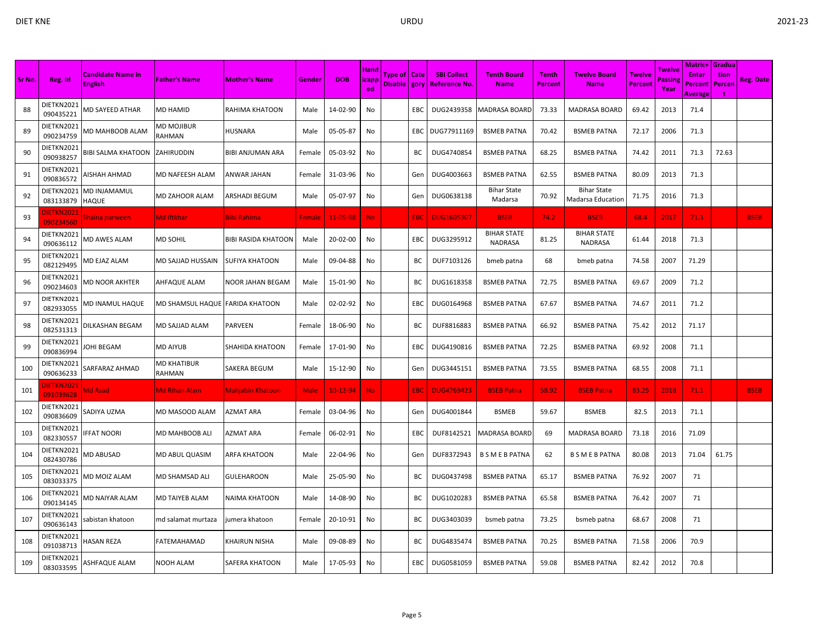|        |                               |                                     |                              |                       |               |            |                      |                |            |                                |                                      |              |                                         |                |                   | <b>Matric+ Gradua</b> |        |                  |
|--------|-------------------------------|-------------------------------------|------------------------------|-----------------------|---------------|------------|----------------------|----------------|------------|--------------------------------|--------------------------------------|--------------|-----------------------------------------|----------------|-------------------|-----------------------|--------|------------------|
| Sr No. | Reg. Id                       | <b>Candidate Name in</b>            | <b>Father's Name</b>         | <b>Mother's Name</b>  | Gender        | <b>DOB</b> | <b>Hand</b><br>icapp | Type of   Cate |            | <b>SBI Collect</b>             | <b>Tenth Board</b>                   | <b>Tenth</b> | <b>Twelve Board</b>                     | Twelve         | Twelve<br>Passine | <b>Enter</b>          | tion   | <b>Reg. Date</b> |
|        |                               | <b>English</b>                      |                              |                       |               |            | ed                   |                |            | Disable   gory   Reference No. | <b>Name</b>                          | Percent      | <b>Name</b>                             | <b>Percent</b> | Year              | Percent<br>Average    | Percen |                  |
| 88     | DIETKN2021<br>090435221       | MD SAYEED ATHAR                     | <b>MD HAMID</b>              | RAHIMA KHATOON        | Male          | 14-02-90   | No                   |                | EBC        |                                | DUG2439358   MADRASA BOARD           | 73.33        | <b>MADRASA BOARD</b>                    | 69.42          | 2013              | 71.4                  |        |                  |
| 89     | DIETKN2021<br>090234759       | MD MAHBOOB ALAM                     | MD MOJIBUR<br>RAHMAN         | HUSNARA               | Male          | 05-05-87   | No                   |                | <b>EBC</b> | DUG77911169                    | <b>BSMEB PATNA</b>                   | 70.42        | <b>BSMEB PATNA</b>                      | 72.17          | 2006              | 71.3                  |        |                  |
| 90     | DIETKN2021<br>090938257       | BIBI SALMA KHATOON                  | ZAHIRUDDIN                   | BIBI ANJUMAN ARA      | Female        | 05-03-92   | No                   |                | BC         | DUG4740854                     | <b>BSMEB PATNA</b>                   | 68.25        | <b>BSMEB PATNA</b>                      | 74.42          | 2011              | 71.3                  | 72.63  |                  |
| 91     | DIETKN2021<br>090836572       | AISHAH AHMAD                        | MD NAFEESH ALAM              | ANWAR JAHAN           | Female        | 31-03-96   | No                   |                | Gen        | DUG4003663                     | <b>BSMEB PATNA</b>                   | 62.55        | <b>BSMEB PATNA</b>                      | 80.09          | 2013              | 71.3                  |        |                  |
| 92     | DIETKN2021<br>083133879       | <b>MD INJAMAMUL</b><br><b>HAQUE</b> | MD ZAHOOR ALAM               | ARSHADI BEGUM         | Male          | 05-07-97   | No                   |                | Gen        | DUG0638138                     | <b>Bihar State</b><br>Madarsa        | 70.92        | Bihar State<br><b>Madarsa Education</b> | 71.75          | 2016              | 71.3                  |        |                  |
| 93     | <b>IETKN202</b><br>090234560  | Shaina parween                      | <b>Md Iftkhar</b>            | Bibi Rahima           | <b>Female</b> | 11-05-98   | No.                  |                | <b>EBC</b> | <b>DUG1605307</b>              | <b>BSEB</b>                          | 74.2         | <b>BSEB</b>                             | 68.4           | 2017              | 71.3                  |        | <b>BSEB</b>      |
| 94     | DIETKN2021<br>090636112       | <b>MD AWES ALAM</b>                 | MD SOHIL                     | BIBI RASIDA KHATOON   | Male          | 20-02-00   | No                   |                | EBC        | DUG3295912                     | <b>BIHAR STATE</b><br><b>NADRASA</b> | 81.25        | <b>BIHAR STATE</b><br><b>NADRASA</b>    | 61.44          | 2018              | 71.3                  |        |                  |
| 95     | DIETKN2021<br>082129495       | MD EJAZ ALAM                        | MD SAJJAD HUSSAIN            | SUFIYA KHATOON        | Male          | 09-04-88   | No                   |                | ВC         | DUF7103126                     | bmeb patna                           | 68           | bmeb patna                              | 74.58          | 2007              | 71.29                 |        |                  |
| 96     | DIETKN2021<br>090234603       | MD NOOR AKHTER                      | AHFAQUE ALAM                 | NOOR JAHAN BEGAM      | Male          | 15-01-90   | No                   |                | ВC         | DUG1618358                     | <b>BSMEB PATNA</b>                   | 72.75        | <b>BSMEB PATNA</b>                      | 69.67          | 2009              | 71.2                  |        |                  |
| 97     | DIETKN2021<br>082933055       | MD INAMUL HAQUE                     | MD SHAMSUL HAQUE             | <b>FARIDA KHATOON</b> | Male          | 02-02-92   | No                   |                | EBC        | DUG0164968                     | <b>BSMEB PATNA</b>                   | 67.67        | <b>BSMEB PATNA</b>                      | 74.67          | 2011              | 71.2                  |        |                  |
| 98     | DIETKN2021<br>082531313       | DILKASHAN BEGAM                     | MD SAJJAD ALAM               | PARVEEN               | Female        | 18-06-90   | No                   |                | ВC         | DUF8816883                     | <b>BSMEB PATNA</b>                   | 66.92        | <b>BSMEB PATNA</b>                      | 75.42          | 2012              | 71.17                 |        |                  |
| 99     | DIETKN2021<br>090836994       | <b>IOHI BEGAM</b>                   | <b>MD AIYUB</b>              | SHAHIDA KHATOON       | Female        | 17-01-90   | No                   |                | EBC        | DUG4190816                     | <b>BSMEB PATNA</b>                   | 72.25        | <b>BSMEB PATNA</b>                      | 69.92          | 2008              | 71.1                  |        |                  |
| 100    | DIETKN2021<br>090636233       | SARFARAZ AHMAD                      | <b>MD KHATIBUR</b><br>RAHMAN | SAKERA BEGUM          | Male          | 15-12-90   | No                   |                | Gen        | DUG3445151                     | <b>BSMEB PATNA</b>                   | 73.55        | <b>BSMEB PATNA</b>                      | 68.55          | 2008              | 71.1                  |        |                  |
| 101    | <b>IETKN2021</b><br>091039628 | Md Asad                             | <b>Md Rihan Alam</b>         | Mahjabin Khatoon      | <b>Male</b>   | $10-12-94$ | No.                  |                | EBC        | <b>DUG4769423</b>              | <b>BSEB Patna</b>                    | 58.92        | <b>BSEB Patna</b>                       | 83.25          | 2018              | 71.1                  |        | <b>BSEB</b>      |
| 102    | DIETKN2021<br>090836609       | SADIYA UZMA                         | MD MASOOD ALAM               | AZMAT ARA             | Female        | 03-04-96   | No                   |                | Gen        | DUG4001844                     | <b>BSMEB</b>                         | 59.67        | <b>BSMEB</b>                            | 82.5           | 2013              | 71.1                  |        |                  |
| 103    | DIETKN2021<br>082330557       | <b>IFFAT NOORI</b>                  | MD MAHBOOB ALI               | AZMAT ARA             | Female        | 06-02-91   | No                   |                | EBC        | DUF8142521                     | <b>MADRASA BOARD</b>                 | 69           | <b>MADRASA BOARD</b>                    | 73.18          | 2016              | 71.09                 |        |                  |
| 104    | DIETKN2021<br>082430786       | <b>MD ABUSAD</b>                    | MD ABUL QUASIM               | ARFA KHATOON          | Male          | 22-04-96   | No                   |                | Gen        | DUF8372943                     | <b>B S M E B PATNA</b>               | 62           | <b>B S M E B PATNA</b>                  | 80.08          | 2013              | 71.04                 | 61.75  |                  |
| 105    | DIETKN2021<br>083033375       | <b>MD MOIZ ALAM</b>                 | MD SHAMSAD ALI               | <b>GULEHAROON</b>     | Male          | 25-05-90   | No                   |                | ВC         | DUG0437498                     | <b>BSMEB PATNA</b>                   | 65.17        | <b>BSMEB PATNA</b>                      | 76.92          | 2007              | 71                    |        |                  |
| 106    | DIETKN2021<br>090134145       | <b>MD NAIYAR ALAM</b>               | MD TAIYEB ALAM               | NAIMA KHATOON         | Male          | 14-08-90   | No                   |                | ВC         | DUG1020283                     | <b>BSMEB PATNA</b>                   | 65.58        | <b>BSMEB PATNA</b>                      | 76.42          | 2007              | 71                    |        |                  |
| 107    | DIETKN2021<br>090636143       | sabistan khatoon                    | md salamat murtaza           | jumera khatoon        | Female        | 20-10-91   | No                   |                | ВC         | DUG3403039                     | bsmeb patna                          | 73.25        | bsmeb patna                             | 68.67          | 2008              | 71                    |        |                  |
| 108    | DIETKN2021<br>091038713       | HASAN REZA                          | FATEMAHAMAD                  | KHAIRUN NISHA         | Male          | 09-08-89   | No                   |                | ВC         | DUG4835474                     | <b>BSMEB PATNA</b>                   | 70.25        | <b>BSMEB PATNA</b>                      | 71.58          | 2006              | 70.9                  |        |                  |
| 109    | DIETKN2021<br>083033595       | ASHFAQUE ALAM                       | NOOH ALAM                    | SAFERA KHATOON        | Male          | 17-05-93   | No                   |                | EBC        | DUG0581059                     | <b>BSMEB PATNA</b>                   | 59.08        | <b>BSMEB PATNA</b>                      | 82.42          | 2012              | 70.8                  |        |                  |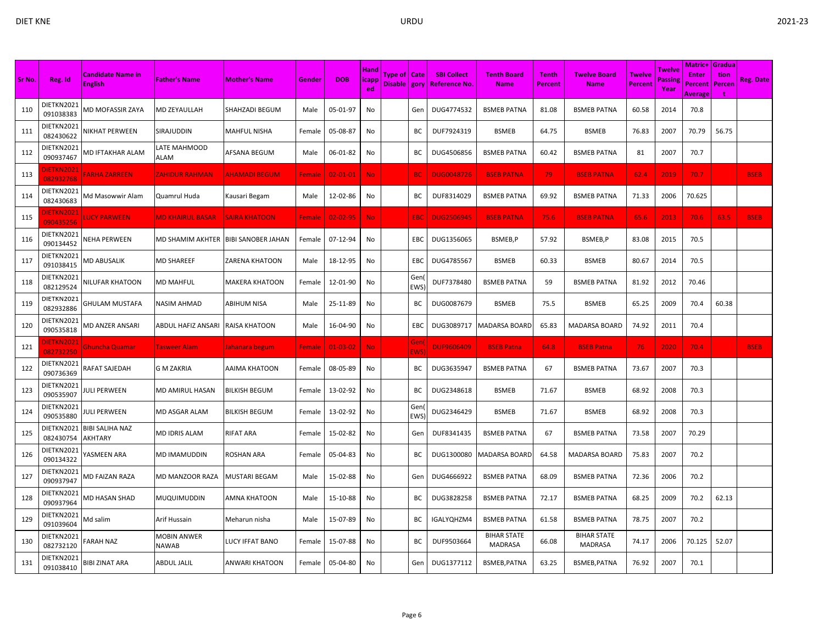| Sr No. | Reg. Id                        | <b>Candidate Name in</b>          | <b>Father's Name</b>        | <b>Mother's Name</b>      | Gender        | <b>DOB</b>     | <b>Hand</b><br>icapp | Type of   Cate |                   | <b>SBI Collect</b>  | <b>Tenth Board</b>            | <b>Tenth</b>   | <b>Twelve Board</b>                  | <b>Twelve</b>  | Twelve<br>assine' | <b>Matric+ Gradua</b><br><b>Enter</b> | tion   | <b>Reg. Date</b> |
|--------|--------------------------------|-----------------------------------|-----------------------------|---------------------------|---------------|----------------|----------------------|----------------|-------------------|---------------------|-------------------------------|----------------|--------------------------------------|----------------|-------------------|---------------------------------------|--------|------------------|
|        |                                | <b>English</b>                    |                             |                           |               |                | ed.                  | Disable   gory |                   | <b>Reference No</b> | <b>Name</b>                   | <b>Percent</b> | <b>Name</b>                          | <b>Percent</b> | Year              | Percent<br>Average                    | Percen |                  |
| 110    | DIETKN2021<br>091038383        | MD MOFASSIR ZAYA                  | <b>MD ZEYAULLAH</b>         | SHAHZADI BEGUM            | Male          | 05-01-97       | No                   |                | Gen               | DUG4774532          | <b>BSMEB PATNA</b>            | 81.08          | <b>BSMEB PATNA</b>                   | 60.58          | 2014              | 70.8                                  |        |                  |
| 111    | DIETKN2021<br>082430622        | NIKHAT PERWEEN                    | SIRAJUDDIN                  | MAHFUL NISHA              | Female        | 05-08-87       | No                   |                | BС                | DUF7924319          | <b>BSMEB</b>                  | 64.75          | <b>BSMEB</b>                         | 76.83          | 2007              | 70.79                                 | 56.75  |                  |
| 112    | DIETKN2021<br>090937467        | MD IFTAKHAR ALAM                  | LATE MAHMOOD<br><b>ALAM</b> | AFSANA BEGUM              | Male          | 06-01-82       | No                   |                | BC                | DUG4506856          | <b>BSMEB PATNA</b>            | 60.42          | <b>BSMEB PATNA</b>                   | 81             | 2007              | 70.7                                  |        |                  |
| 113    | <b>DIETKN2021</b><br>082932768 | <b>FARHA ZARREEN</b>              | <b>ZAHIDUR RAHMAN</b>       | <u>AHAMADI BEGUM</u>      | Female        | $02 - 01 - 01$ | No.                  |                | BC                | <b>DUG0048726</b>   | <b>BSEB PATNA</b>             | 79             | <b>BSEB PATNA</b>                    | 62.4           | 2019              | 70.7                                  |        | <b>BSEB</b>      |
| 114    | DIETKN2021<br>082430683        | Md Masowwir Alam                  | Quamrul Huda                | Kausari Begam             | Male          | 12-02-86       | No                   |                | BC                | DUF8314029          | <b>BSMEB PATNA</b>            | 69.92          | <b>BSMEB PATNA</b>                   | 71.33          | 2006              | 70.625                                |        |                  |
| 115    | <b>DIETKN2021</b><br>090435256 | <b>LUCY PARWEEN</b>               | <b>MD KHAIRUL BASAR</b>     | <b>SAIRA KHATOON</b>      | <b>Female</b> | $02 - 02 - 95$ | No.                  |                | EBC               | <b>DUG2506945</b>   | <b>BSEB PATNA</b>             | 75.6           | <b>BSEB PATNA</b>                    | 65.6           | 2013              | 70.6                                  | 63.5   | <b>BSEB</b>      |
| 116    | DIETKN2021<br>090134452        | NEHA PERWEEN                      | MD SHAMIM AKHTER            | <b>BIBI SANOBER JAHAN</b> | Female        | 07-12-94       | No                   |                | EBC               | DUG1356065          | BSMEB,P                       | 57.92          | BSMEB,P                              | 83.08          | 2015              | 70.5                                  |        |                  |
| 117    | DIETKN2021<br>091038415        | <b>MD ABUSALIK</b>                | <b>MD SHAREEF</b>           | <b>ZARENA KHATOON</b>     | Male          | 18-12-95       | No                   |                | <b>EBC</b>        | DUG4785567          | <b>BSMEB</b>                  | 60.33          | <b>BSMEB</b>                         | 80.67          | 2014              | 70.5                                  |        |                  |
| 118    | DIETKN2021<br>082129524        | NILUFAR KHATOON                   | <b>MD MAHFUL</b>            | MAKERA KHATOON            | Female        | 12-01-90       | No                   |                | Gen<br>EWS)       | DUF7378480          | <b>BSMEB PATNA</b>            | 59             | <b>BSMEB PATNA</b>                   | 81.92          | 2012              | 70.46                                 |        |                  |
| 119    | DIETKN2021<br>082932886        | GHULAM MUSTAFA                    | NASIM AHMAD                 | ABIHUM NISA               | Male          | 25-11-89       | No                   |                | BС                | DUG0087679          | <b>BSMEB</b>                  | 75.5           | <b>BSMEB</b>                         | 65.25          | 2009              | 70.4                                  | 60.38  |                  |
| 120    | DIETKN2021<br>090535818        | MD ANZER ANSARI                   | ABDUL HAFIZ ANSARI          | RAISA KHATOON             | Male          | 16-04-90       | No                   |                | EBC               | DUG3089717          | <b>MADARSA BOARD</b>          | 65.83          | MADARSA BOARD                        | 74.92          | 2011              | 70.4                                  |        |                  |
| 121    | <b>IETKN2021</b><br>082732250  | Ghuncha Quamar                    | <b>Tasweer Alam</b>         | Iahanara begum            | Female        | $01 - 03 - 02$ | <b>No</b>            |                | Gen<br><b>EWS</b> | <b>DUF9606409</b>   | <b>BSEB Patna</b>             | 64.8           | <b>BSEB Patna</b>                    | 76             | 2020              | 70.4                                  |        | <b>BSEB</b>      |
| 122    | DIETKN2021<br>090736369        | RAFAT SAJEDAH                     | G M ZAKRIA                  | AAIMA KHATOON             | Female        | 08-05-89       | No                   |                | BC                | DUG3635947          | <b>BSMEB PATNA</b>            | 67             | <b>BSMEB PATNA</b>                   | 73.67          | 2007              | 70.3                                  |        |                  |
| 123    | DIETKN2021<br>090535907        | <b>ULI PERWEEN</b>                | MD AMIRUL HASAN             | BILKISH BEGUM             | Female        | 13-02-92       | No                   |                | BC                | DUG2348618          | <b>BSMEB</b>                  | 71.67          | <b>BSMEB</b>                         | 68.92          | 2008              | 70.3                                  |        |                  |
| 124    | DIETKN2021<br>090535880        | ULI PERWEEN                       | MD ASGAR ALAM               | <b>BILKISH BEGUM</b>      | Female        | 13-02-92       | No                   |                | Gen<br><b>EWS</b> | DUG2346429          | <b>BSMEB</b>                  | 71.67          | <b>BSMEB</b>                         | 68.92          | 2008              | 70.3                                  |        |                  |
| 125    | DIETKN2021<br>082430754        | <b>BIBI SALIHA NAZ</b><br>AKHTARY | <b>MD IDRIS ALAM</b>        | RIFAT ARA                 | Female        | 15-02-82       | No                   |                | Gen               | DUF8341435          | <b>BSMEB PATNA</b>            | 67             | <b>BSMEB PATNA</b>                   | 73.58          | 2007              | 70.29                                 |        |                  |
| 126    | DIETKN2021<br>090134322        | YASMEEN ARA                       | MD IMAMUDDIN                | ROSHAN ARA                | Female        | 05-04-83       | No                   |                | BC                | DUG1300080          | <b>MADARSA BOARD</b>          | 64.58          | <b>MADARSA BOARD</b>                 | 75.83          | 2007              | 70.2                                  |        |                  |
| 127    | DIETKN2021<br>090937947        | <b>MD FAIZAN RAZA</b>             | MD MANZOOR RAZA             | MUSTARI BEGAM             | Male          | 15-02-88       | No                   |                | Gen               | DUG4666922          | <b>BSMEB PATNA</b>            | 68.09          | <b>BSMEB PATNA</b>                   | 72.36          | 2006              | 70.2                                  |        |                  |
| 128    | DIETKN2021<br>090937964        | VID HASAN SHAD                    | MUQUIMUDDIN                 | AMNA KHATOON              | Male          | 15-10-88       | No                   |                | BC                | DUG3828258          | <b>BSMEB PATNA</b>            | 72.17          | <b>BSMEB PATNA</b>                   | 68.25          | 2009              | 70.2                                  | 62.13  |                  |
| 129    | DIETKN2021<br>091039604        | Md salim                          | Arif Hussain                | Meharun nisha             | Male          | 15-07-89       | No                   |                | BC                | IGALYQHZM4          | <b>BSMEB PATNA</b>            | 61.58          | <b>BSMEB PATNA</b>                   | 78.75          | 2007              | 70.2                                  |        |                  |
| 130    | DIETKN2021<br>082732120        | FARAH NAZ                         | MOBIN ANWER<br><b>NAWAB</b> | LUCY IFFAT BANO           | Female        | 15-07-88       | No                   |                | BC                | DUF9503664          | <b>BIHAR STATE</b><br>MADRASA | 66.08          | <b>BIHAR STATE</b><br><b>MADRASA</b> | 74.17          | 2006              | 70.125                                | 52.07  |                  |
| 131    | DIETKN2021<br>091038410        | BIBI ZINAT ARA                    | ABDUL JALIL                 | ANWARI KHATOON            | Female        | 05-04-80       | No                   |                | Gen               | DUG1377112          | BSMEB, PATNA                  | 63.25          | BSMEB, PATNA                         | 76.92          | 2007              | 70.1                                  |        |                  |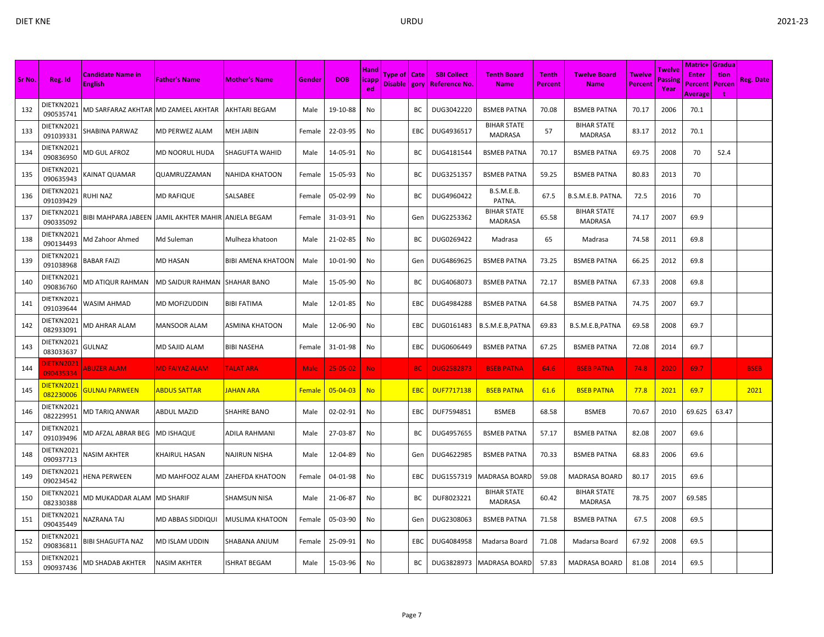|        |                                |                                            |                                 |                           |        |                | <b>Hand</b>        |                                |            |                                     |                                      |                         |                                      |                                 | Twelve         | <b>Matric+ Gradua</b>   |                |             |
|--------|--------------------------------|--------------------------------------------|---------------------------------|---------------------------|--------|----------------|--------------------|--------------------------------|------------|-------------------------------------|--------------------------------------|-------------------------|--------------------------------------|---------------------------------|----------------|-------------------------|----------------|-------------|
| Sr No. | Reg. Id                        | <b>Candidate Name in</b><br><b>English</b> | <b>Father's Name</b>            | <b>Mother's Name</b>      | Gender | <b>DOB</b>     | <b>icapp</b><br>ed | Type of   Cate<br>Disable gory |            | <b>SBI Collect</b><br>Reference No. | <b>Tenth Board</b><br><b>Name</b>    | <b>Tenth</b><br>Percent | <b>Twelve Board</b><br><b>Name</b>   | <b>Twelve</b><br><b>Percent</b> | assing<br>Year | <b>Enter</b><br>Percent | tion<br>Percen | Reg. Date   |
| 132    | DIETKN2021<br>090535741        | MD SARFARAZ AKHTAR                         | IMD ZAMEEL AKHTAR               | <b>AKHTARI BEGAM</b>      | Male   | 19-10-88       | No                 |                                | ВC         | DUG3042220                          | <b>BSMEB PATNA</b>                   | 70.08                   | <b>BSMEB PATNA</b>                   | 70.17                           | 2006           | <b>Average</b><br>70.1  |                |             |
| 133    | DIETKN2021<br>091039331        | SHABINA PARWAZ                             | MD PERWEZ ALAM                  | <b>MEH JABIN</b>          | Female | 22-03-95       | No                 |                                | EBC        | DUG4936517                          | <b>BIHAR STATE</b><br><b>MADRASA</b> | 57                      | <b>BIHAR STATE</b><br><b>MADRASA</b> | 83.17                           | 2012           | 70.1                    |                |             |
| 134    | DIETKN2021<br>090836950        | MD GUL AFROZ                               | MD NOORUL HUDA                  | <b>SHAGUFTA WAHID</b>     | Male   | 14-05-91       | No                 |                                | BC         | DUG4181544                          | <b>BSMEB PATNA</b>                   | 70.17                   | <b>BSMEB PATNA</b>                   | 69.75                           | 2008           | 70                      | 52.4           |             |
| 135    | DIETKN2021<br>090635943        | KAINAT QUAMAR                              | QUAMRUZZAMAN                    | NAHIDA KHATOON            | Female | 15-05-93       | No                 |                                | BC         | DUG3251357                          | <b>BSMEB PATNA</b>                   | 59.25                   | <b>BSMEB PATNA</b>                   | 80.83                           | 2013           | 70                      |                |             |
| 136    | DIETKN2021<br>091039429        | RUHI NAZ                                   | MD RAFIQUE                      | SALSABEE                  | Female | 05-02-99       | No                 |                                | BC         | DUG4960422                          | <b>B.S.M.E.B.</b><br>PATNA.          | 67.5                    | B.S.M.E.B. PATNA                     | 72.5                            | 2016           | 70                      |                |             |
| 137    | DIETKN2021<br>090335092        | BIBI MAHPARA JABEEN                        | JAMIL AKHTER MAHIR ANJELA BEGAM |                           | Female | 31-03-91       | No                 |                                | Gen        | DUG2253362                          | <b>BIHAR STATE</b><br><b>MADRASA</b> | 65.58                   | <b>BIHAR STATE</b><br><b>MADRASA</b> | 74.17                           | 2007           | 69.9                    |                |             |
| 138    | DIETKN2021<br>090134493        | Md Zahoor Ahmed                            | Md Suleman                      | Mulheza khatoon           | Male   | 21-02-85       | No                 |                                | BC         | DUG0269422                          | Madrasa                              | 65                      | Madrasa                              | 74.58                           | 2011           | 69.8                    |                |             |
| 139    | DIETKN2021<br>091038968        | <b>BABAR FAIZI</b>                         | <b>MD HASAN</b>                 | <b>BIBI AMENA KHATOON</b> | Male   | 10-01-90       | No                 |                                | Gen        | DUG4869625                          | <b>BSMEB PATNA</b>                   | 73.25                   | <b>BSMEB PATNA</b>                   | 66.25                           | 2012           | 69.8                    |                |             |
| 140    | DIETKN2021<br>090836760        | MD ATIQUR RAHMAN                           | MD SAIDUR RAHMAN                | <b>SHAHAR BANO</b>        | Male   | 15-05-90       | No                 |                                | ВC         | DUG4068073                          | <b>BSMEB PATNA</b>                   | 72.17                   | <b>BSMEB PATNA</b>                   | 67.33                           | 2008           | 69.8                    |                |             |
| 141    | DIETKN2021<br>091039644        | WASIM AHMAD                                | MD MOFIZUDDIN                   | <b>BIBI FATIMA</b>        | Male   | 12-01-85       | No                 |                                | EBC        | DUG4984288                          | <b>BSMEB PATNA</b>                   | 64.58                   | <b>BSMEB PATNA</b>                   | 74.75                           | 2007           | 69.7                    |                |             |
| 142    | DIETKN2021<br>082933091        | MD AHRAR ALAM                              | <b>MANSOOR ALAM</b>             | ASMINA KHATOON            | Male   | 12-06-90       | No                 |                                | EBC        | DUG0161483                          | B.S.M.E.B, PATNA                     | 69.83                   | B.S.M.E.B, PATNA                     | 69.58                           | 2008           | 69.7                    |                |             |
| 143    | DIETKN2021<br>083033637        | <b>GULNAZ</b>                              | MD SAJID ALAM                   | <b>BIBI NASEHA</b>        | Female | 31-01-98       | No                 |                                | EBC        | DUG0606449                          | <b>BSMEB PATNA</b>                   | 67.25                   | <b>BSMEB PATNA</b>                   | 72.08                           | 2014           | 69.7                    |                |             |
| 144    | <b>JIETKN2021</b><br>090435334 | <b>ABUZER ALAM</b>                         | <b>MD FAIYAZ ALAM</b>           | TALAT ARA                 | Male   | $25 - 05 - 02$ | <b>No</b>          |                                | BC.        | <b>DUG2582873</b>                   | <b>BSEB PATNA</b>                    | 64.6                    | <b>BSEB PATNA</b>                    | 74.8                            | 2020           | 69.7                    |                | <b>BSEB</b> |
| 145    | DIETKN2021<br>082230006        | GULNAJ PARWEEN                             | <b>ABDUS SATTAR</b>             | <b>AHAN ARA</b>           | Female | $05 - 04 - 03$ | <b>No</b>          |                                | <b>EBC</b> | <b>DUF7717138</b>                   | <b>BSEB PATNA</b>                    | 61.6                    | <b>BSEB PATNA</b>                    | 77.8                            | 2021           | 69.7                    |                | 2021        |
| 146    | DIETKN2021<br>082229951        | <b>MD TARIQ ANWAR</b>                      | ABDUL MAZID                     | <b>SHAHRE BANO</b>        | Male   | 02-02-91       | No                 |                                | EBC        | DUF7594851                          | <b>BSMEB</b>                         | 68.58                   | <b>BSMEB</b>                         | 70.67                           | 2010           | 69.625                  | 63.47          |             |
| 147    | DIETKN2021<br>091039496        | MD AFZAL ABRAR BEG                         | <b>MD ISHAQUE</b>               | ADILA RAHMANI             | Male   | 27-03-87       | No                 |                                | BC         | DUG4957655                          | <b>BSMEB PATNA</b>                   | 57.17                   | <b>BSMEB PATNA</b>                   | 82.08                           | 2007           | 69.6                    |                |             |
| 148    | DIETKN2021<br>090937713        | NASIM AKHTER                               | KHAIRUL HASAN                   | <b>NAJIRUN NISHA</b>      | Male   | 12-04-89       | No                 |                                | Gen        | DUG4622985                          | <b>BSMEB PATNA</b>                   | 70.33                   | <b>BSMEB PATNA</b>                   | 68.83                           | 2006           | 69.6                    |                |             |
| 149    | DIETKN2021<br>090234542        | <b>HENA PERWEEN</b>                        | MD MAHFOOZ ALAM                 | <b>ZAHEFDA KHATOON</b>    | Female | 04-01-98       | No                 |                                | EBC        | DUG1557319                          | MADRASA BOARD                        | 59.08                   | <b>MADRASA BOARD</b>                 | 80.17                           | 2015           | 69.6                    |                |             |
| 150    | DIETKN2021<br>082330388        | MD MUKADDAR ALAM                           | <b>MD SHARIF</b>                | SHAMSUN NISA              | Male   | 21-06-87       | No                 |                                | BC         | DUF8023221                          | <b>BIHAR STATE</b><br>MADRASA        | 60.42                   | <b>BIHAR STATE</b><br><b>MADRASA</b> | 78.75                           | 2007           | 69.585                  |                |             |
| 151    | DIETKN2021<br>090435449        | NAZRANA TAJ                                | MD ABBAS SIDDIQUI               | MUSLIMA KHATOON           | Female | 05-03-90       | No                 |                                | Gen        | DUG2308063                          | <b>BSMEB PATNA</b>                   | 71.58                   | <b>BSMEB PATNA</b>                   | 67.5                            | 2008           | 69.5                    |                |             |
| 152    | DIETKN2021<br>090836811        | <b>BIBI SHAGUFTA NAZ</b>                   | MD ISLAM UDDIN                  | SHABANA ANJUM             | Female | 25-09-91       | No                 |                                | EBC        | DUG4084958                          | Madarsa Board                        | 71.08                   | Madarsa Board                        | 67.92                           | 2008           | 69.5                    |                |             |
| 153    | DIETKN2021<br>090937436        | MD SHADAB AKHTER                           | <b>NASIM AKHTER</b>             | <b>ISHRAT BEGAM</b>       | Male   | 15-03-96       | No                 |                                | ВC         | DUG3828973                          | <b>MADRASA BOARD</b>                 | 57.83                   | <b>MADRASA BOARD</b>                 | 81.08                           | 2014           | 69.5                    |                |             |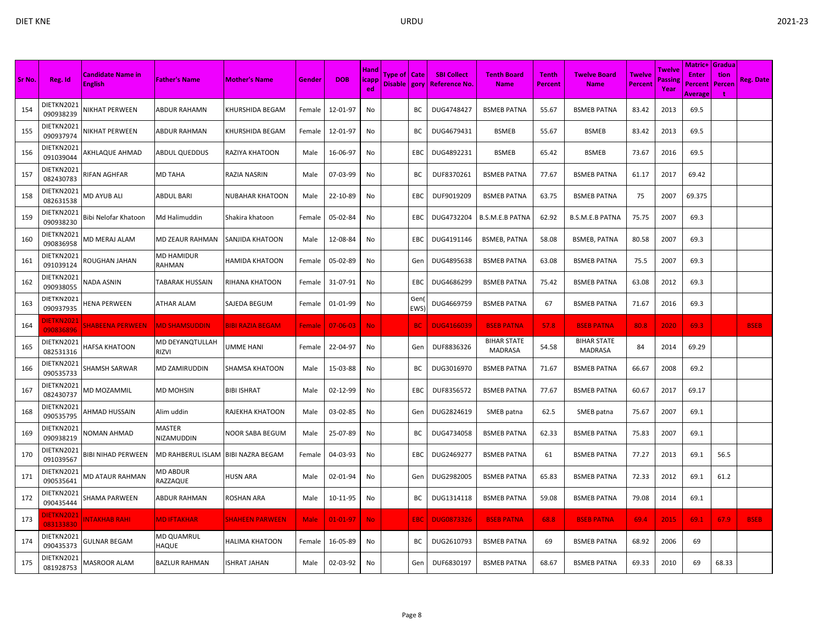|        |                                | <b>Candidate Name in</b>  |                            |                         |               |                | <b>Hand</b> | Type of   Cate |             | <b>SBI Collect</b>    | <b>Tenth Board</b>            | <b>Tenth</b>   | <b>Twelve Board</b>                  | <b>Twelve</b> | Twelve         | <b>Matric+ Gradua</b><br><b>Enter</b> | tion   |             |
|--------|--------------------------------|---------------------------|----------------------------|-------------------------|---------------|----------------|-------------|----------------|-------------|-----------------------|-------------------------------|----------------|--------------------------------------|---------------|----------------|---------------------------------------|--------|-------------|
| Sr No. | Reg. Id                        | <b>English</b>            | <b>Father's Name</b>       | <b>Mother's Name</b>    | Gender        | <b>DOB</b>     | icapp<br>ed | Disable   gory |             | <u>  Reference No</u> | <b>Name</b>                   | <b>Percent</b> | <b>Name</b>                          | Percent       | assing<br>Year | Percent<br>Average                    | Percen | Reg. Date   |
| 154    | DIETKN2021<br>090938239        | NIKHAT PERWEEN            | ABDUR RAHAMN               | KHURSHIDA BEGAM         | Female        | 12-01-97       | No          |                | ВC          | DUG4748427            | <b>BSMEB PATNA</b>            | 55.67          | <b>BSMEB PATNA</b>                   | 83.42         | 2013           | 69.5                                  |        |             |
| 155    | DIETKN2021<br>090937974        | NIKHAT PERWEEN            | ABDUR RAHMAN               | KHURSHIDA BEGAM         | Female        | 12-01-97       | No          |                | BС          | DUG4679431            | <b>BSMEB</b>                  | 55.67          | <b>BSMEB</b>                         | 83.42         | 2013           | 69.5                                  |        |             |
| 156    | DIETKN2021<br>091039044        | AKHLAQUE AHMAD            | ABDUL QUEDDUS              | RAZIYA KHATOON          | Male          | 16-06-97       | No          |                | EBC         | DUG4892231            | <b>BSMEB</b>                  | 65.42          | <b>BSMEB</b>                         | 73.67         | 2016           | 69.5                                  |        |             |
| 157    | DIETKN2021<br>082430783        | RIFAN AGHFAR              | MD TAHA                    | RAZIA NASRIN            | Male          | 07-03-99       | No          |                | BC          | DUF8370261            | <b>BSMEB PATNA</b>            | 77.67          | <b>BSMEB PATNA</b>                   | 61.17         | 2017           | 69.42                                 |        |             |
| 158    | DIETKN2021<br>082631538        | MD AYUB ALI               | ABDUL BARI                 | NUBAHAR KHATOON         | Male          | 22-10-89       | No          |                | EBC         | DUF9019209            | <b>BSMEB PATNA</b>            | 63.75          | <b>BSMEB PATNA</b>                   | -75           | 2007           | 69.375                                |        |             |
| 159    | DIETKN2021<br>090938230        | Bibi Nelofar Khatoon      | Md Halimuddin              | Shakira khatoon         | Female        | 05-02-84       | No          |                | EBC         | DUG4732204            | <b>B.S.M.E.B PATNA</b>        | 62.92          | <b>B.S.M.E.B PATNA</b>               | 75.75         | 2007           | 69.3                                  |        |             |
| 160    | DIETKN2021<br>090836958        | <b>MD MERAJ ALAM</b>      | MD ZEAUR RAHMAN            | SANJIDA KHATOON         | Male          | 12-08-84       | No          |                | EBC         | DUG4191146            | <b>BSMEB, PATNA</b>           | 58.08          | <b>BSMEB, PATNA</b>                  | 80.58         | 2007           | 69.3                                  |        |             |
| 161    | DIETKN2021<br>091039124        | ROUGHAN JAHAN             | MD HAMIDUR<br>RAHMAN       | HAMIDA KHATOON          | Female        | 05-02-89       | No          |                | Gen         | DUG4895638            | <b>BSMEB PATNA</b>            | 63.08          | <b>BSMEB PATNA</b>                   | 75.5          | 2007           | 69.3                                  |        |             |
| 162    | DIETKN2021<br>090938055        | NADA ASNIN                | TABARAK HUSSAIN            | RIHANA KHATOON          | Female        | 31-07-91       | No          |                | EBC         | DUG4686299            | <b>BSMEB PATNA</b>            | 75.42          | <b>BSMEB PATNA</b>                   | 63.08         | 2012           | 69.3                                  |        |             |
| 163    | DIETKN2021<br>090937935        | HENA PERWEEN              | ATHAR ALAM                 | SAJEDA BEGUM            | Female        | 01-01-99       | No          |                | Gen<br>EWS) | DUG4669759            | <b>BSMEB PATNA</b>            | 67             | <b>BSMEB PATNA</b>                   | 71.67         | 2016           | 69.3                                  |        |             |
| 164    | <b>JIETKN2021</b><br>090836896 | <b>SHABEENA PERWEEN</b>   | <b>MD SHAMSUDDIN</b>       | <b>BIBI RAZIA BEGAM</b> | <b>Female</b> | $07 - 06 - 03$ | No.         |                | <b>BC</b>   | <b>DUG4166039</b>     | <b>BSEB PATNA</b>             | 57.8           | <b>BSEB PATNA</b>                    | 80.8          | 2020           | 69.3                                  |        | <b>BSEB</b> |
| 165    | DIETKN2021<br>082531316        | HAFSA KHATOON             | MD DEYANQTULLAH<br>RIZVI   | UMME HANI               | Female        | 22-04-97       | No          |                | Gen         | DUF8836326            | <b>BIHAR STATE</b><br>MADRASA | 54.58          | <b>BIHAR STATE</b><br><b>MADRASA</b> | 84            | 2014           | 69.29                                 |        |             |
| 166    | DIETKN2021<br>090535733        | SHAMSH SARWAR             | MD ZAMIRUDDIN              | SHAMSA KHATOON          | Male          | 15-03-88       | No          |                | ВC          | DUG3016970            | <b>BSMEB PATNA</b>            | 71.67          | <b>BSMEB PATNA</b>                   | 66.67         | 2008           | 69.2                                  |        |             |
| 167    | DIETKN2021<br>082430737        | <b>MD MOZAMMIL</b>        | MD MOHSIN                  | <b>BIBI ISHRAT</b>      | Male          | 02-12-99       | No          |                | EBC         | DUF8356572            | <b>BSMEB PATNA</b>            | 77.67          | <b>BSMEB PATNA</b>                   | 60.67         | 2017           | 69.17                                 |        |             |
| 168    | DIETKN2021<br>090535795        | AHMAD HUSSAIN             | Alim uddin                 | RAJEKHA KHATOON         | Male          | 03-02-85       | No          |                | Gen         | DUG2824619            | SMEB patna                    | 62.5           | SMEB patna                           | 75.67         | 2007           | 69.1                                  |        |             |
| 169    | DIETKN2021<br>090938219        | <b>NOMAN AHMAD</b>        | MASTER<br>NIZAMUDDIN       | NOOR SABA BEGUM         | Male          | 25-07-89       | No          |                | BC          | DUG4734058            | <b>BSMEB PATNA</b>            | 62.33          | <b>BSMEB PATNA</b>                   | 75.83         | 2007           | 69.1                                  |        |             |
| 170    | DIETKN2021<br>091039567        | <b>BIBI NIHAD PERWEEN</b> | MD RAHBERUL ISLAM          | <b>BIBI NAZRA BEGAM</b> | Female        | 04-03-93       | No          |                | EBC         | DUG2469277            | <b>BSMEB PATNA</b>            | 61             | <b>BSMEB PATNA</b>                   | 77.27         | 2013           | 69.1                                  | 56.5   |             |
| 171    | DIETKN2021<br>090535641        | MD ATAUR RAHMAN           | MD ABDUR<br>RAZZAQUE       | <b>HUSN ARA</b>         | Male          | 02-01-94       | No          |                | Gen         | DUG2982005            | <b>BSMEB PATNA</b>            | 65.83          | <b>BSMEB PATNA</b>                   | 72.33         | 2012           | 69.1                                  | 61.2   |             |
| 172    | DIETKN2021<br>090435444        | SHAMA PARWEEN             | ABDUR RAHMAN               | ROSHAN ARA              | Male          | 10-11-95       | No          |                | BC          | DUG1314118            | <b>BSMEB PATNA</b>            | 59.08          | <b>BSMEB PATNA</b>                   | 79.08         | 2014           | 69.1                                  |        |             |
| 173    | <b>IETKN202</b><br>083133830   | NTAKHAB RAHI              | <b>MD IFTAKHAR</b>         | <b>SHAHEEN PARWEEN</b>  | <b>Male</b>   | $01 - 01 - 97$ | <b>No</b>   |                | EBC         | <b>DUG0873326</b>     | <b>BSEB PATNA</b>             | 68.8           | <b>BSEB PATNA</b>                    | 69.4          | 2015           | 69.1                                  | 67.9   | <b>BSEB</b> |
| 174    | DIETKN2021<br>090435373        | GULNAR BEGAM              | <b>MD QUAMRUL</b><br>HAQUE | HALIMA KHATOON          | Female        | 16-05-89       | No          |                | BС          | DUG2610793            | <b>BSMEB PATNA</b>            | 69             | <b>BSMEB PATNA</b>                   | 68.92         | 2006           | 69                                    |        |             |
| 175    | DIETKN2021<br>081928753        | <b>MASROOR ALAM</b>       | BAZLUR RAHMAN              | <b>SHRAT JAHAN</b>      | Male          | 02-03-92       | No          |                | Gen         | DUF6830197            | <b>BSMEB PATNA</b>            | 68.67          | <b>BSMEB PATNA</b>                   | 69.33         | 2010           | 69                                    | 68.33  |             |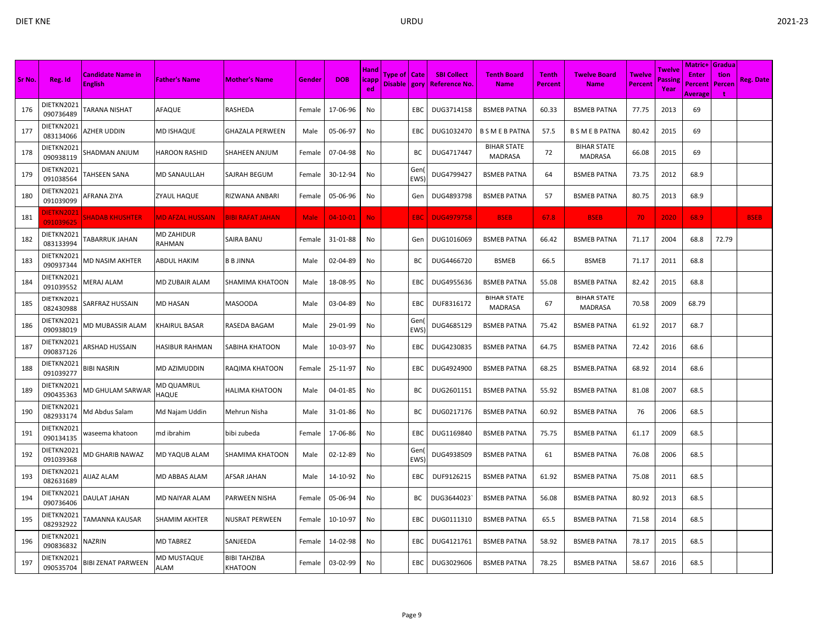|        |                               |                                            |                            |                         |             |            |                            |                                  |             |                                           |                                      |                         |                                      |                          |                          | <b>Matric+ Gradua</b>                     |                |             |
|--------|-------------------------------|--------------------------------------------|----------------------------|-------------------------|-------------|------------|----------------------------|----------------------------------|-------------|-------------------------------------------|--------------------------------------|-------------------------|--------------------------------------|--------------------------|--------------------------|-------------------------------------------|----------------|-------------|
| Sr No. | Reg. Id                       | <b>Candidate Name in</b><br><b>English</b> | <b>Father's Name</b>       | <b>Mother's Name</b>    | Gender      | <b>DOB</b> | <b>Hand</b><br>icapp<br>ed | Type of   Cate<br>Disable   gory |             | <b>SBI Collect</b><br><b>Reference No</b> | <b>Tenth Board</b><br><b>Name</b>    | <b>Tenth</b><br>Percent | <b>Twelve Board</b><br><b>Name</b>   | <b>Twelve</b><br>Percent | Twelve<br>assine<br>Year | <b>Enter</b><br>Percent<br><b>Average</b> | tion<br>Percen | Reg. Date   |
| 176    | DIETKN2021<br>090736489       | TARANA NISHAT                              | AFAQUE                     | RASHEDA                 | Female      | 17-06-96   | No                         |                                  | EBC         | DUG3714158                                | <b>BSMEB PATNA</b>                   | 60.33                   | <b>BSMEB PATNA</b>                   | 77.75                    | 2013                     | 69                                        |                |             |
| 177    | DIETKN2021<br>083134066       | AZHER UDDIN                                | MD ISHAQUE                 | GHAZALA PERWEEN         | Male        | 05-06-97   | No                         |                                  | EBC         | DUG1032470                                | <b>B S M E B PATNA</b>               | 57.5                    | <b>B S M E B PATNA</b>               | 80.42                    | 2015                     | 69                                        |                |             |
| 178    | DIETKN2021<br>090938119       | SHADMAN ANJUM                              | <b>HAROON RASHID</b>       | SHAHEEN ANJUM           | Female      | 07-04-98   | No                         |                                  | BC          | DUG4717447                                | <b>BIHAR STATE</b><br><b>MADRASA</b> | 72                      | <b>BIHAR STATE</b><br><b>MADRASA</b> | 66.08                    | 2015                     | 69                                        |                |             |
| 179    | DIETKN2021<br>091038564       | <b>TAHSEEN SANA</b>                        | <b>MD SANAULLAH</b>        | SAJRAH BEGUM            | Female      | 30-12-94   | No                         |                                  | Gen<br>EWS) | DUG4799427                                | <b>BSMEB PATNA</b>                   | 64                      | <b>BSMEB PATNA</b>                   | 73.75                    | 2012                     | 68.9                                      |                |             |
| 180    | DIETKN2021<br>091039099       | AFRANA ZIYA                                | ZYAUL HAQUE                | RIZWANA ANBARI          | Female      | 05-06-96   | No                         |                                  | Gen         | DUG4893798                                | <b>BSMEB PATNA</b>                   | 57                      | <b>BSMEB PATNA</b>                   | 80.75                    | 2013                     | 68.9                                      |                |             |
| 181    | <b>DIETKN202</b><br>091039625 | <b>SHADAB KHUSHTER</b>                     | <b>MD AFZAL HUSSAIN</b>    | <b>BIBI RAFAT JAHAN</b> | <b>Male</b> | $04-10-01$ | No.                        |                                  | EBC         | <b>DUG4979758</b>                         | <b>BSEB</b>                          | 67.8                    | <b>BSEB</b>                          | 70                       | 2020                     | 68.9                                      |                | <b>BSEB</b> |
| 182    | DIETKN2021<br>083133994       | <b><i>TABARRUK JAHAN</i></b>               | MD ZAHIDUR<br>RAHMAN       | SAIRA BANU              | Female      | 31-01-88   | No                         |                                  | Gen         | DUG1016069                                | <b>BSMEB PATNA</b>                   | 66.42                   | <b>BSMEB PATNA</b>                   | 71.17                    | 2004                     | 68.8                                      | 72.79          |             |
| 183    | DIETKN2021<br>090937344       | <b>MD NASIM AKHTER</b>                     | <b>ABDUL HAKIM</b>         | <b>B B JINNA</b>        | Male        | 02-04-89   | No                         |                                  | BC          | DUG4466720                                | <b>BSMEB</b>                         | 66.5                    | <b>BSMEB</b>                         | 71.17                    | 2011                     | 68.8                                      |                |             |
| 184    | DIETKN2021<br>091039552       | MERAJ ALAM                                 | MD ZUBAIR ALAM             | <b>SHAMIMA KHATOON</b>  | Male        | 18-08-95   | No                         |                                  | EBC         | DUG4955636                                | <b>BSMEB PATNA</b>                   | 55.08                   | <b>BSMEB PATNA</b>                   | 82.42                    | 2015                     | 68.8                                      |                |             |
| 185    | DIETKN2021<br>082430988       | SARFRAZ HUSSAIN                            | MD HASAN                   | <b>MASOODA</b>          | Male        | 03-04-89   | No                         |                                  | EBC         | DUF8316172                                | <b>BIHAR STATE</b><br><b>MADRASA</b> | 67                      | <b>BIHAR STATE</b><br><b>MADRASA</b> | 70.58                    | 2009                     | 68.79                                     |                |             |
| 186    | DIETKN2021<br>090938019       | MD MUBASSIR ALAM                           | <b>KHAIRUL BASAR</b>       | RASEDA BAGAM            | Male        | 29-01-99   | No                         |                                  | Gen<br>EWS) | DUG4685129                                | <b>BSMEB PATNA</b>                   | 75.42                   | <b>BSMEB PATNA</b>                   | 61.92                    | 2017                     | 68.7                                      |                |             |
| 187    | DIETKN2021<br>090837126       | ARSHAD HUSSAIN                             | HASIBUR RAHMAN             | SABIHA KHATOON          | Male        | 10-03-97   | No                         |                                  | EBC         | DUG4230835                                | <b>BSMEB PATNA</b>                   | 64.75                   | <b>BSMEB PATNA</b>                   | 72.42                    | 2016                     | 68.6                                      |                |             |
| 188    | DIETKN2021<br>091039277       | BIBI NASRIN                                | MD AZIMUDDIN               | RAQIMA KHATOON          | Female      | 25-11-97   | No                         |                                  | EBC         | DUG4924900                                | <b>BSMEB PATNA</b>                   | 68.25                   | BSMEB.PATNA                          | 68.92                    | 2014                     | 68.6                                      |                |             |
| 189    | DIETKN2021<br>090435363       | <b>MD GHULAM SARWAR</b>                    | MD QUAMRUL<br><b>HAQUE</b> | HALIMA KHATOON          | Male        | 04-01-85   | No                         |                                  | BC          | DUG2601151                                | <b>BSMEB PATNA</b>                   | 55.92                   | <b>BSMEB PATNA</b>                   | 81.08                    | 2007                     | 68.5                                      |                |             |
| 190    | DIETKN2021<br>082933174       | Md Abdus Salam                             | Md Najam Uddin             | Mehrun Nisha            | Male        | 31-01-86   | No                         |                                  | BC          | DUG0217176                                | <b>BSMEB PATNA</b>                   | 60.92                   | <b>BSMEB PATNA</b>                   | 76                       | 2006                     | 68.5                                      |                |             |
| 191    | DIETKN2021<br>090134135       | waseema khatoon                            | md ibrahim                 | bibi zubeda             | Female      | 17-06-86   | No                         |                                  | EBC         | DUG1169840                                | <b>BSMEB PATNA</b>                   | 75.75                   | <b>BSMEB PATNA</b>                   | 61.17                    | 2009                     | 68.5                                      |                |             |
| 192    | DIETKN2021<br>091039368       | MD GHARIB NAWAZ                            | MD YAQUB ALAM              | SHAMIMA KHATOON         | Male        | 02-12-89   | No                         |                                  | Gen<br>EWS) | DUG4938509                                | <b>BSMEB PATNA</b>                   | 61                      | <b>BSMEB PATNA</b>                   | 76.08                    | 2006                     | 68.5                                      |                |             |
| 193    | DIETKN2021<br>082631689       | <b>AIJAZ ALAM</b>                          | MD ABBAS ALAM              | AFSAR JAHAN             | Male        | 14-10-92   | No                         |                                  | EBC         | DUF9126215                                | <b>BSMEB PATNA</b>                   | 61.92                   | <b>BSMEB PATNA</b>                   | 75.08                    | 2011                     | 68.5                                      |                |             |
| 194    | DIETKN2021<br>090736406       | DAULAT JAHAN                               | MD NAIYAR ALAM             | PARWEEN NISHA           | Female      | 05-06-94   | No                         |                                  | ВC          | DUG3644023                                | <b>BSMEB PATNA</b>                   | 56.08                   | <b>BSMEB PATNA</b>                   | 80.92                    | 2013                     | 68.5                                      |                |             |
| 195    | DIETKN2021<br>082932922       | TAMANNA KAUSAR                             | <b>SHAMIM AKHTER</b>       | NUSRAT PERWEEN          | Female      | 10-10-97   | No.                        |                                  | EBC         | DUG0111310                                | <b>BSMEB PATNA</b>                   | 65.5                    | <b>BSMEB PATNA</b>                   | 71.58                    | 2014                     | 68.5                                      |                |             |
| 196    | DIETKN2021<br>090836832       | NAZRIN                                     | <b>MD TABREZ</b>           | SANJEEDA                | Female      | 14-02-98   | No                         |                                  | EBC         | DUG4121761                                | <b>BSMEB PATNA</b>                   | 58.92                   | <b>BSMEB PATNA</b>                   | 78.17                    | 2015                     | 68.5                                      |                |             |
| 197    | DIETKN2021<br>090535704       | <b>BIBI ZENAT PARWEEN</b>                  | <b>MD MUSTAQUE</b><br>ALAM | BIBI TAHZIBA<br>KHATOON | Female      | 03-02-99   | No                         |                                  | EBC         | DUG3029606                                | <b>BSMEB PATNA</b>                   | 78.25                   | BSMEB PATNA                          | 58.67                    | 2016                     | 68.5                                      |                |             |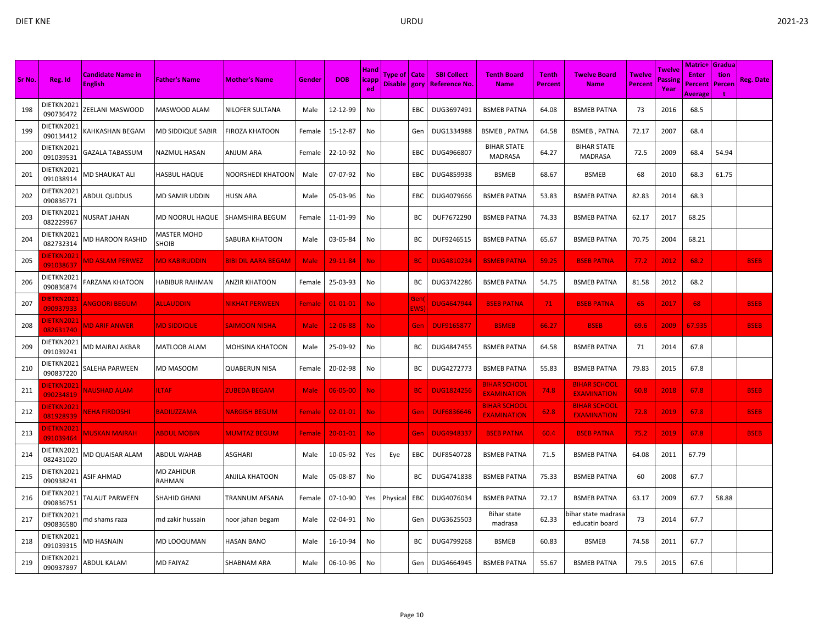|        |                                |                                            |                             |                        |             |                |                             |                                |             |                                            |                                           |                                |                                           |                   |                           | Matric+ Gradua                     |                |                  |
|--------|--------------------------------|--------------------------------------------|-----------------------------|------------------------|-------------|----------------|-----------------------------|--------------------------------|-------------|--------------------------------------------|-------------------------------------------|--------------------------------|-------------------------------------------|-------------------|---------------------------|------------------------------------|----------------|------------------|
| Sr No. | Reg. Id                        | <b>Candidate Name in</b><br><b>English</b> | <b>Father's Name</b>        | <b>Mother's Name</b>   | Gender      | <b>DOB</b>     | Hand<br><b>licapp</b><br>ed | Type of   Cate<br>Disable gory |             | <b>SBI Collect</b><br><b>Reference No.</b> | <b>Tenth Board</b><br><b>Name</b>         | <b>Tenth</b><br><b>Percent</b> | Twelve Board<br><b>Name</b>               | Twelve<br>Percent | Twelve<br>'assinı<br>Year | <b>Enter</b><br>Percent<br>Average | tion<br>Percen | <b>Reg. Date</b> |
| 198    | DIETKN2021<br>090736472        | ZEELANI MASWOOD                            | MASWOOD ALAM                | <b>NILOFER SULTANA</b> | Male        | 12-12-99       | No                          |                                | EBC         | DUG3697491                                 | <b>BSMEB PATNA</b>                        | 64.08                          | <b>BSMEB PATNA</b>                        | 73                | 2016                      | 68.5                               |                |                  |
| 199    | DIETKN2021<br>090134412        | KAHKASHAN BEGAM                            | MD SIDDIQUE SABIR           | FIROZA KHATOON         | Female      | 15-12-87       | No                          |                                | Gen         | DUG1334988                                 | <b>BSMEB, PATNA</b>                       | 64.58                          | <b>BSMEB, PATNA</b>                       | 72.17             | 2007                      | 68.4                               |                |                  |
| 200    | DIETKN2021<br>091039531        | GAZALA TABASSUM                            | NAZMUL HASAN                | ANJUM ARA              | Female      | 22-10-92       | No                          |                                | EBC         | DUG4966807                                 | <b>BIHAR STATE</b><br><b>MADRASA</b>      | 64.27                          | <b>BIHAR STATE</b><br><b>MADRASA</b>      | 72.5              | 2009                      | 68.4                               | 54.94          |                  |
| 201    | DIETKN2021<br>091038914        | MD SHAUKAT ALI                             | HASBUL HAQUE                | NOORSHEDI KHATOON      | Male        | 07-07-92       | No                          |                                | EBC         | DUG4859938                                 | <b>BSMEB</b>                              | 68.67                          | BSMEB                                     | 68                | 2010                      | 68.3                               | 61.75          |                  |
| 202    | DIETKN2021<br>090836771        | <b>ABDUL QUDDUS</b>                        | MD SAMIR UDDIN              | HUSN ARA               | Male        | 05-03-96       | No                          |                                | EBC         | DUG4079666                                 | <b>BSMEB PATNA</b>                        | 53.83                          | <b>BSMEB PATNA</b>                        | 82.83             | 2014                      | 68.3                               |                |                  |
| 203    | DIETKN2021<br>082229967        | NUSRAT JAHAN                               | MD NOORUL HAQUE             | SHAMSHIRA BEGUM        | Female      | 11-01-99       | No                          |                                | BC          | DUF7672290                                 | <b>BSMEB PATNA</b>                        | 74.33                          | <b>BSMEB PATNA</b>                        | 62.17             | 2017                      | 68.25                              |                |                  |
| 204    | DIETKN2021<br>082732314        | MD HAROON RASHID                           | <b>MASTER MOHD</b><br>SHOIB | SABURA KHATOON         | Male        | 03-05-84       | No                          |                                | BC          | DUF9246515                                 | <b>BSMEB PATNA</b>                        | 65.67                          | <b>BSMEB PATNA</b>                        | 70.75             | 2004                      | 68.21                              |                |                  |
| 205    | DIETKN2021<br>091038637        | <b>MD ASLAM PERWEZ</b>                     | <b>MD KABIRUDDIN</b>        | BIBI DIL AARA BEGAM    | <b>Male</b> | 29-11-84       | No.                         |                                | <b>BC</b>   | <b>DUG4810234</b>                          | <b>BSMEB PATNA</b>                        | 59.25                          | <b>BSEB PATNA</b>                         | 77.2              | 2012                      | 68.2                               |                | <b>BSEB</b>      |
| 206    | DIETKN2021<br>090836874        | FARZANA KHATOON                            | <b>HABIBUR RAHMAN</b>       | ANZIR KHATOON          | Female      | 25-03-93       | No                          |                                | BC          | DUG3742286                                 | <b>BSMEB PATNA</b>                        | 54.75                          | <b>BSMEB PATNA</b>                        | 81.58             | 2012                      | 68.2                               |                |                  |
| 207    | DIETKN2021<br>090937933        | <b>ANGOORI BEGUM</b>                       | <b>ALLAUDDIN</b>            | NIKHAT PERWEEN         | Female      | $01 - 01 - 01$ | No.                         |                                | Gen<br>EWS) | <b>DUG4647944</b>                          | <b>BSEB PATNA</b>                         | 71                             | <b>BSEB PATNA</b>                         | 65                | 2017                      | 68                                 |                | <b>BSEB</b>      |
| 208    | DIETKN2021<br>082631740        | <b>MD ARIF ANWER</b>                       | <b>MD SIDDIQUE</b>          | <b>SAIMOON NISHA</b>   | <b>Male</b> | 12-06-88       | No.                         |                                | Gen         | <b>DUF9165877</b>                          | <b>BSMEB</b>                              | 66.27                          | <b>BSEB</b>                               | 69.6              | 2009                      | 67.935                             |                | <b>BSEB</b>      |
| 209    | DIETKN2021<br>091039241        | MD MAIRAJ AKBAR                            | MATLOOB ALAM                | <b>MOHSINA KHATOON</b> | Male        | 25-09-92       | No                          |                                | BC          | DUG4847455                                 | <b>BSMEB PATNA</b>                        | 64.58                          | <b>BSMEB PATNA</b>                        | 71                | 2014                      | 67.8                               |                |                  |
| 210    | DIETKN2021<br>090837220        | SALEHA PARWEEN                             | MD MASOOM                   | <b>QUABERUN NISA</b>   | Female      | 20-02-98       | No                          |                                | BC          | DUG4272773                                 | <b>BSMEB PATNA</b>                        | 55.83                          | <b>BSMEB PATNA</b>                        | 79.83             | 2015                      | 67.8                               |                |                  |
| 211    | )IETKN2021<br>090234819        | <u>NAUSHAD ALAM</u>                        | <b>ILTAF</b>                | ZUBEDA BEGAM           | <b>Male</b> | $06 - 05 - 00$ | No.                         |                                | <b>BC</b>   | <b>DUG1824256</b>                          | <b>BIHAR SCHOOL</b><br><b>EXAMINATION</b> | 74.8                           | <b>BIHAR SCHOOL</b><br><b>EXAMINATION</b> | 60.8              | 2018                      | 67.8                               |                | <b>BSEB</b>      |
| 212    | DIETKN2021<br>081928939        | <b>VEHA FIRDOSHI</b>                       | <b>BADIUZZAMA</b>           | <b>VARGISH BEGUM</b>   | Female      | $02 - 01 - 01$ | No.                         |                                | Gen         | <b>DUF6836646</b>                          | <b>BIHAR SCHOOL</b><br><b>EXAMINATION</b> | 62.8                           | <b>BIHAR SCHOOL</b><br><b>EXAMINATION</b> | 72.8              | 2019                      | 67.8                               |                | <b>BSEB</b>      |
| 213    | <b>DIETKN2021</b><br>091039464 | <b>MUSKAN MAIRAH</b>                       | <b>ABDUL MOBIN</b>          | <b>MUMTAZ BEGUM</b>    | Female      | $20 - 01 - 01$ | No.                         |                                | Gen         | <b>DUG4948337</b>                          | <b>BSEB PATNA</b>                         | 60.4                           | <b>BSEB PATNA</b>                         | 75.2              | 2019                      | 67.8                               |                | <b>BSEB</b>      |
| 214    | DIETKN2021<br>082431020        | MD QUAISAR ALAM                            | ABDUL WAHAB                 | ASGHARI                | Male        | 10-05-92       | Yes                         | Eye                            | EBC         | DUF8540728                                 | <b>BSMEB PATNA</b>                        | 71.5                           | <b>BSMEB PATNA</b>                        | 64.08             | 2011                      | 67.79                              |                |                  |
| 215    | DIETKN2021<br>090938241        | ASIF AHMAD                                 | MD ZAHIDUR<br>RAHMAN        | ANJILA KHATOON         | Male        | 05-08-87       | No                          |                                | BC          | DUG4741838                                 | <b>BSMEB PATNA</b>                        | 75.33                          | <b>BSMEB PATNA</b>                        | 60                | 2008                      | 67.7                               |                |                  |
| 216    | DIETKN2021<br>090836751        | TALAUT PARWEEN                             | SHAHID GHANI                | <b>TRANNUM AFSANA</b>  | Female      | 07-10-90       | Yes                         | Physical                       | EBC         | DUG4076034                                 | <b>BSMEB PATNA</b>                        | 72.17                          | <b>BSMEB PATNA</b>                        | 63.17             | 2009                      | 67.7                               | 58.88          |                  |
| 217    | DIETKN2021<br>090836580        | md shams raza                              | md zakir hussain            | noor jahan begam       | Male        | 02-04-91       | No                          |                                | Gen         | DUG3625503                                 | Bihar state<br>madrasa                    | 62.33                          | oihar state madrasa<br>educatin board     | 73                | 2014                      | 67.7                               |                |                  |
| 218    | DIETKN2021<br>091039315        | <b>MD HASNAIN</b>                          | MD LOOQUMAN                 | <b>HASAN BANO</b>      | Male        | 16-10-94       | No                          |                                | BС          | DUG4799268                                 | <b>BSMEB</b>                              | 60.83                          | <b>BSMEB</b>                              | 74.58             | 2011                      | 67.7                               |                |                  |
| 219    | DIETKN2021<br>090937897        | ABDUL KALAM                                | <b>MD FAIYAZ</b>            | <b>SHABNAM ARA</b>     | Male        | 06-10-96       | No                          |                                | Gen         | DUG4664945                                 | <b>BSMEB PATNA</b>                        | 55.67                          | <b>BSMEB PATNA</b>                        | 79.5              | 2015                      | 67.6                               |                |                  |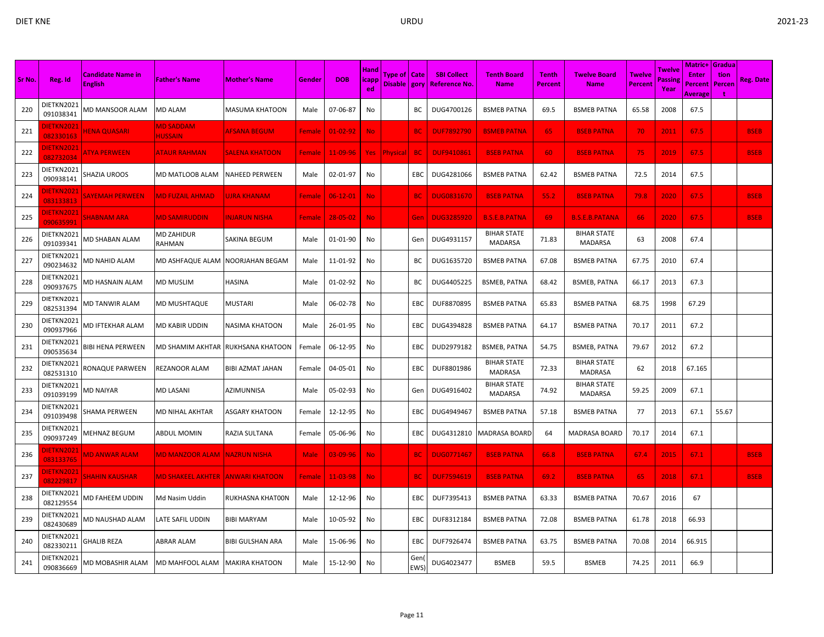|        |                                |                                            |                                    |                                    |               |                |                             |                                  |             |                                           |                                      |                                |                                      |                                 |                           | Matric+                                   | <b>Gradua</b>  |                  |
|--------|--------------------------------|--------------------------------------------|------------------------------------|------------------------------------|---------------|----------------|-----------------------------|----------------------------------|-------------|-------------------------------------------|--------------------------------------|--------------------------------|--------------------------------------|---------------------------------|---------------------------|-------------------------------------------|----------------|------------------|
| Sr No. | Reg. Id                        | <b>Candidate Name in</b><br><b>English</b> | <b>Father's Name</b>               | <b>Mother's Name</b>               | Gender        | <b>DOB</b>     | <b>Hand</b><br> icapp<br>ed | Type of   Cate<br>Disable   gory |             | <b>SBI Collect</b><br><b>Reference No</b> | <b>Tenth Board</b><br><b>Name</b>    | <b>Tenth</b><br><b>Percent</b> | <b>Twelve Board</b><br><b>Name</b>   | <b>Twelve</b><br><b>Percent</b> | Twelve<br>Passine<br>Year | <b>Enter</b><br>Percent<br><b>Average</b> | tion<br>Percen | <b>Reg. Date</b> |
| 220    | DIETKN2021<br>091038341        | MD MANSOOR ALAM                            | MD ALAM                            | <b>MASUMA KHATOON</b>              | Male          | 07-06-87       | No                          |                                  | ВC          | DUG4700126                                | <b>BSMEB PATNA</b>                   | 69.5                           | <b>BSMEB PATNA</b>                   | 65.58                           | 2008                      | 67.5                                      |                |                  |
| 221    | <b>IETKN2021</b><br>082330163  | <b>HENA QUASARI</b>                        | <b>MD SADDAM</b><br><b>HUSSAIN</b> | AFSANA BEGUM                       | Female        | $01 - 02 - 92$ | No.                         |                                  | <b>BC</b>   | <b>DUF7892790</b>                         | <b>BSMEB PATNA</b>                   | 65                             | <b>BSEB PATNA</b>                    | 70                              | 2011                      | 67.5                                      |                | <b>BSEB</b>      |
| 222    | <b>JIETKN2021</b><br>082732034 | <b>ATYA PERWEEN</b>                        | <b>ATAUR RAHMAN</b>                | <b>SALENA KHATOON</b>              | Female        | 11-09-96       |                             | Yes Physical                     | <b>BC</b>   | <b>DUF9410861</b>                         | <b>BSEB PATNA</b>                    | 60                             | <b>BSEB PATNA</b>                    | 75                              | 2019                      | 67.5                                      |                | <b>BSEB</b>      |
| 223    | DIETKN2021<br>090938141        | SHAZIA UROOS                               | MD MATLOOB ALAM                    | <b>NAHEED PERWEEN</b>              | Male          | 02-01-97       | No                          |                                  | EBC         | DUG4281066                                | <b>BSMEB PATNA</b>                   | 62.42                          | <b>BSMEB PATNA</b>                   | 72.5                            | 2014                      | 67.5                                      |                |                  |
| 224    | <b>JIETKN2021</b><br>083133813 | <b>SAYEMAH PERWEEN</b>                     | <b>MD FUZAIL AHMAD</b>             | <b>JJRA KHANAM</b>                 | <b>Female</b> | $06-12-01$     | No.                         |                                  | <b>BC</b>   | <b>DUG0831670</b>                         | <b>BSEB PATNA</b>                    | 55.2                           | <b>BSEB PATNA</b>                    | 79.8                            | 2020                      | 67.5                                      |                | <b>BSEB</b>      |
| 225    | DIETKN2021<br>090635991        | <b>SHABNAM ARA</b>                         | <b>MD SAMIRUDDIN</b>               | <b>NJARUN NISHA</b>                | <b>Female</b> | 28-05-02       | No.                         |                                  | Gen         | <b>DUG3285920</b>                         | <b>B.S.E.B.PATNA</b>                 | 69                             | <b>B.S.E.B.PATANA</b>                | 66                              | 2020                      | 67.5                                      |                | <b>BSEB</b>      |
| 226    | DIETKN2021<br>091039341        | MD SHABAN ALAM                             | MD ZAHIDUR<br>RAHMAN               | SAKINA BEGUM                       | Male          | 01-01-90       | No                          |                                  | Gen         | DUG4931157                                | <b>BIHAR STATE</b><br><b>MADARSA</b> | 71.83                          | <b>BIHAR STATE</b><br><b>MADARSA</b> | 63                              | 2008                      | 67.4                                      |                |                  |
| 227    | DIETKN2021<br>090234632        | <b>MD NAHID ALAM</b>                       | MD ASHFAQUE ALAM NOORJAHAN BEGAM   |                                    | Male          | 11-01-92       | No                          |                                  | ВC          | DUG1635720                                | <b>BSMEB PATNA</b>                   | 67.08                          | <b>BSMEB PATNA</b>                   | 67.75                           | 2010                      | 67.4                                      |                |                  |
| 228    | DIETKN2021<br>090937675        | MD HASNAIN ALAM                            | MD MUSLIM                          | <b>HASINA</b>                      | Male          | 01-02-92       | No                          |                                  | ВC          | DUG4405225                                | <b>BSMEB, PATNA</b>                  | 68.42                          | <b>BSMEB, PATNA</b>                  | 66.17                           | 2013                      | 67.3                                      |                |                  |
| 229    | DIETKN2021<br>082531394        | <b>MD TANWIR ALAM</b>                      | MD MUSHTAQUE                       | <b>MUSTARI</b>                     | Male          | 06-02-78       | No                          |                                  | EBC         | DUF8870895                                | <b>BSMEB PATNA</b>                   | 65.83                          | <b>BSMEB PATNA</b>                   | 68.75                           | 1998                      | 67.29                                     |                |                  |
| 230    | DIETKN2021<br>090937966        | MD IFTEKHAR ALAM                           | MD KABIR UDDIN                     | NASIMA KHATOON                     | Male          | 26-01-95       | No                          |                                  | EBC         | DUG4394828                                | <b>BSMEB PATNA</b>                   | 64.17                          | <b>BSMEB PATNA</b>                   | 70.17                           | 2011                      | 67.2                                      |                |                  |
| 231    | DIETKN2021<br>090535634        | BIBI HENA PERWEEN                          |                                    | MD SHAMIM AKHTAR  RUKHSANA KHATOON | Female        | 06-12-95       | No                          |                                  | EBC         | DUD2979182                                | <b>BSMEB, PATNA</b>                  | 54.75                          | <b>BSMEB, PATNA</b>                  | 79.67                           | 2012                      | 67.2                                      |                |                  |
| 232    | DIETKN2021<br>082531310        | RONAQUE PARWEEN                            | REZANOOR ALAM                      | BIBI AZMAT JAHAN                   | Female        | 04-05-01       | No                          |                                  | EBC         | DUF8801986                                | <b>BIHAR STATE</b><br>MADRASA        | 72.33                          | <b>BIHAR STATE</b><br>MADRASA        | 62                              | 2018                      | 67.165                                    |                |                  |
| 233    | DIETKN2021<br>091039199        | <b>MD NAIYAR</b>                           | MD LASANI                          | AZIMUNNISA                         | Male          | 05-02-93       | No                          |                                  | Gen         | DUG4916402                                | <b>BIHAR STATE</b><br>MADARSA        | 74.92                          | <b>BIHAR STATE</b><br><b>MADARSA</b> | 59.25                           | 2009                      | 67.1                                      |                |                  |
| 234    | DIETKN2021<br>091039498        | SHAMA PERWEEN                              | MD NIHAL AKHTAR                    | <b>ASGARY KHATOON</b>              | Female        | 12-12-95       | No                          |                                  | EBC         | DUG4949467                                | <b>BSMEB PATNA</b>                   | 57.18                          | <b>BSMEB PATNA</b>                   | 77                              | 2013                      | 67.1                                      | 55.67          |                  |
| 235    | DIETKN2021<br>090937249        | <b>MEHNAZ BEGUM</b>                        | <b>ABDUL MOMIN</b>                 | RAZIA SULTANA                      | Female        | 05-06-96       | No                          |                                  | EBC         | DUG4312810                                | <b>MADRASA BOARD</b>                 | 64                             | MADRASA BOARD                        | 70.17                           | 2014                      | 67.1                                      |                |                  |
| 236    | <b>IETKN2021</b><br>083133765  | <b>MD ANWAR ALAM</b>                       | MD MANZOOR ALAM  NAZRUN NISHA      |                                    | Male          | $03 - 09 - 96$ | <b>No</b>                   |                                  | <b>BC</b>   | <b>DUG0771467</b>                         | <b>BSEB PATNA</b>                    | 66.8                           | <b>BSEB PATNA</b>                    | 67.4                            | 2015                      | 67.1                                      |                | <b>BSEB</b>      |
| 237    | DIETKN2021<br>082229817        | <b>SHAHIN KAUSHAR</b>                      | <b>MD SHAKEEL AKHTER</b>           | <b>ANWARI KHATOON</b>              | <b>Female</b> | 11-03-98       | No.                         |                                  | <b>BC</b>   | <b>DUF7594619</b>                         | <b>BSEB PATNA</b>                    | 69.2                           | <b>BSEB PATNA</b>                    | 65                              | 2018                      | 67.1                                      |                | <b>BSEB</b>      |
| 238    | DIETKN2021<br>082129554        | MD FAHEEM UDDIN                            | Md Nasim Uddin                     | RUKHASNA KHAT00N                   | Male          | 12-12-96       | No                          |                                  | EBC         | DUF7395413                                | <b>BSMEB PATNA</b>                   | 63.33                          | <b>BSMEB PATNA</b>                   | 70.67                           | 2016                      | 67                                        |                |                  |
| 239    | DIETKN2021<br>082430689        | MD NAUSHAD ALAM                            | LATE SAFIL UDDIN                   | <b>BIBI MARYAM</b>                 | Male          | 10-05-92       | No                          |                                  | EBC         | DUF8312184                                | <b>BSMEB PATNA</b>                   | 72.08                          | <b>BSMEB PATNA</b>                   | 61.78                           | 2018                      | 66.93                                     |                |                  |
| 240    | DIETKN2021<br>082330211        | <b>GHALIB REZA</b>                         | ABRAR ALAM                         | <b>BIBI GULSHAN ARA</b>            | Male          | 15-06-96       | No                          |                                  | EBC         | DUF7926474                                | <b>BSMEB PATNA</b>                   | 63.75                          | <b>BSMEB PATNA</b>                   | 70.08                           | 2014                      | 66.915                                    |                |                  |
| 241    | DIETKN2021<br>090836669        | MD MOBASHIR ALAM                           | MD MAHFOOL ALAM                    | <b>IMAKIRA KHATOON</b>             | Male          | 15-12-90       | No                          |                                  | Gen<br>EWS) | DUG4023477                                | <b>BSMEB</b>                         | 59.5                           | <b>BSMEB</b>                         | 74.25                           | 2011                      | 66.9                                      |                |                  |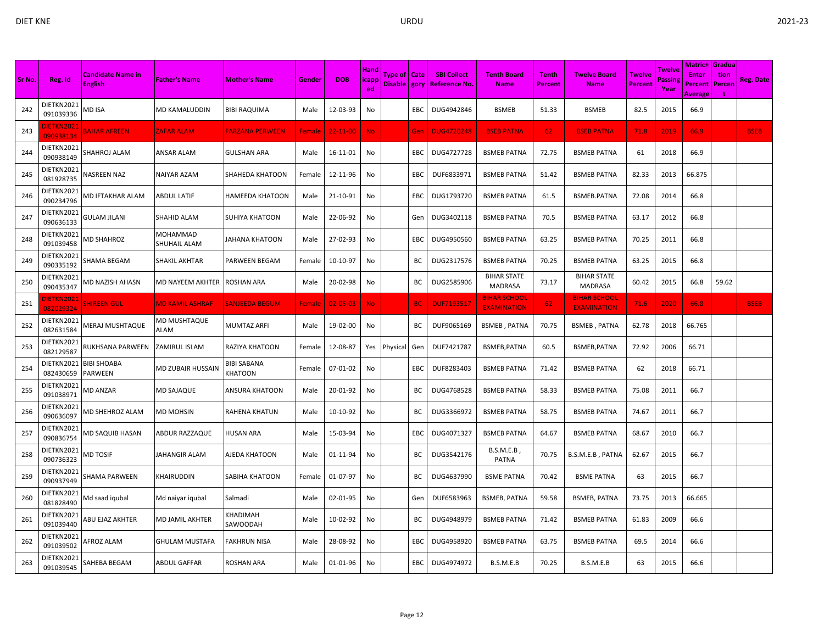|        |                                |                                            |                             |                        |               |                |                              |                                  |           |                                           |                                           |                                |                                           |                                 |                           | Matric+                            | <b>Gradua</b>         |                  |
|--------|--------------------------------|--------------------------------------------|-----------------------------|------------------------|---------------|----------------|------------------------------|----------------------------------|-----------|-------------------------------------------|-------------------------------------------|--------------------------------|-------------------------------------------|---------------------------------|---------------------------|------------------------------------|-----------------------|------------------|
| Sr No. | Reg. Id                        | <b>Candidate Name in</b><br><b>English</b> | <b>Father's Name</b>        | <b>Mother's Name</b>   | Gender        | <b>DOB</b>     | Hand<br><b>licapp</b><br>ed. | Type of   Cate<br>Disable   gory |           | <b>SBI Collect</b><br><b>Reference No</b> | <b>Tenth Board</b><br><b>Name</b>         | <b>Tenth</b><br><b>Percent</b> | <b>Twelve Board</b><br><b>Name</b>        | <b>Twelve</b><br><b>Percent</b> | Twelve<br>Passine<br>Year | <b>Enter</b><br>Percent<br>Average | tion<br><b>Percen</b> | <b>Reg. Date</b> |
| 242    | DIETKN2021<br>091039336        | VID ISA                                    | MD KAMALUDDIN               | <b>BIBI RAQUIMA</b>    | Male          | 12-03-93       | No                           |                                  | EBC       | DUG4942846                                | <b>BSMEB</b>                              | 51.33                          | <b>BSMEB</b>                              | 82.5                            | 2015                      | 66.9                               |                       |                  |
| 243    | <b>IETKN2021</b><br>090938134  | <b>BAHAR AFREEN</b>                        | ZAFAR ALAM                  | FARZANA PERWEEN        | Female        | $22 - 11 - 00$ | <b>No</b>                    |                                  | Gen       | <b>DUG4720248</b>                         | <b>BSEB PATNA</b>                         | 62                             | <b>BSEB PATNA</b>                         | 71.8                            | 2019                      | 66.9                               |                       | <b>BSEB</b>      |
| 244    | DIETKN2021<br>090938149        | SHAHROJ ALAM                               | ANSAR ALAM                  | <b>GULSHAN ARA</b>     | Male          | 16-11-01       | No                           |                                  | EBC       | DUG4727728                                | <b>BSMEB PATNA</b>                        | 72.75                          | <b>BSMEB PATNA</b>                        | 61                              | 2018                      | 66.9                               |                       |                  |
| 245    | DIETKN2021<br>081928735        | NASREEN NAZ                                | NAIYAR AZAM                 | SHAHEDA KHATOON        | Female        | 12-11-96       | No                           |                                  | EBC       | DUF6833971                                | <b>BSMEB PATNA</b>                        | 51.42                          | <b>BSMEB PATNA</b>                        | 82.33                           | 2013                      | 66.875                             |                       |                  |
| 246    | DIETKN2021<br>090234796        | <b>MD IFTAKHAR ALAM</b>                    | ABDUL LATIF                 | <b>HAMEEDA KHATOON</b> | Male          | 21-10-91       | No                           |                                  | EBC       | DUG1793720                                | <b>BSMEB PATNA</b>                        | 61.5                           | <b>BSMEB.PATNA</b>                        | 72.08                           | 2014                      | 66.8                               |                       |                  |
| 247    | DIETKN2021<br>090636133        | <b>GULAM JILANI</b>                        | SHAHID ALAM                 | <b>SUHIYA KHATOON</b>  | Male          | 22-06-92       | No                           |                                  | Gen       | DUG3402118                                | <b>BSMEB PATNA</b>                        | 70.5                           | <b>BSMEB PATNA</b>                        | 63.17                           | 2012                      | 66.8                               |                       |                  |
| 248    | DIETKN2021<br>091039458        | <b>MD SHAHROZ</b>                          | MOHAMMAD<br>SHUHAIL ALAM    | <b>JAHANA KHATOON</b>  | Male          | 27-02-93       | No                           |                                  | EBC       | DUG4950560                                | <b>BSMEB PATNA</b>                        | 63.25                          | <b>BSMEB PATNA</b>                        | 70.25                           | 2011                      | 66.8                               |                       |                  |
| 249    | DIETKN2021<br>090335192        | SHAMA BEGAM                                | SHAKIL AKHTAR               | <b>PARWEEN BEGAM</b>   | Female        | 10-10-97       | No                           |                                  | BC        | DUG2317576                                | <b>BSMEB PATNA</b>                        | 70.25                          | <b>BSMEB PATNA</b>                        | 63.25                           | 2015                      | 66.8                               |                       |                  |
| 250    | DIETKN2021<br>090435347        | VID NAZISH AHASN                           | MD NAYEEM AKHTER            | <b>ROSHAN ARA</b>      | Male          | 20-02-98       | No                           |                                  | ВC        | DUG2585906                                | <b>BIHAR STATE</b><br><b>MADRASA</b>      | 73.17                          | <b>BIHAR STATE</b><br>MADRASA             | 60.42                           | 2015                      | 66.8                               | 59.62                 |                  |
| 251    | <b>JIETKN2021</b><br>082029324 | SHIREEN GUL                                | <u>VID KAMIL ASHRAF</u>     | SANJEEDA BEGUM         | <b>Female</b> | $02 - 05 - 03$ | No.                          |                                  | <b>BC</b> | <b>DUF7193517</b>                         | <b>BIHAR SCHOOL</b><br><b>EXAMINATION</b> | 62                             | <b>BIHAR SCHOOL</b><br><b>EXAMINATION</b> | 71.6                            | 2020                      | 66.8                               |                       | <b>BSEB</b>      |
| 252    | DIETKN2021<br>082631584        | <b>MERAJ MUSHTAQUE</b>                     | MD MUSHTAQUE<br><b>ALAM</b> | <b>MUMTAZ ARFI</b>     | Male          | 19-02-00       | No                           |                                  | BC        | DUF9065169                                | BSMEB, PATNA                              | 70.75                          | <b>BSMEB, PATNA</b>                       | 62.78                           | 2018                      | 66.765                             |                       |                  |
| 253    | DIETKN2021<br>082129587        | RUKHSANA PARWEEN                           | ZAMIRUL ISLAM               | RAZIYA KHATOON         | Female        | 12-08-87       | Yes                          | Physical                         | Gen       | DUF7421787                                | BSMEB, PATNA                              | 60.5                           | <b>BSMEB, PATNA</b>                       | 72.92                           | 2006                      | 66.71                              |                       |                  |
| 254    | DIETKN2021<br>082430659        | <b>BIBI SHOABA</b><br>PARWEEN              | MD ZUBAIR HUSSAIN           | BIBI SABANA<br>KHATOON | Female        | 07-01-02       | No                           |                                  | EBC       | DUF8283403                                | <b>BSMEB PATNA</b>                        | 71.42                          | <b>BSMEB PATNA</b>                        | 62                              | 2018                      | 66.71                              |                       |                  |
| 255    | DIETKN2021<br>091038971        | <b>MD ANZAR</b>                            | MD SAJAQUE                  | ANSURA KHATOON         | Male          | 20-01-92       | No                           |                                  | BC        | DUG4768528                                | <b>BSMEB PATNA</b>                        | 58.33                          | <b>BSMEB PATNA</b>                        | 75.08                           | 2011                      | 66.7                               |                       |                  |
| 256    | DIETKN2021<br>090636097        | MD SHEHROZ ALAM                            | MD MOHSIN                   | RAHENA KHATUN          | Male          | 10-10-92       | No                           |                                  | BC        | DUG3366972                                | <b>BSMEB PATNA</b>                        | 58.75                          | <b>BSMEB PATNA</b>                        | 74.67                           | 2011                      | 66.7                               |                       |                  |
| 257    | DIETKN2021<br>090836754        | <b>MD SAQUIB HASAN</b>                     | ABDUR RAZZAQUE              | <b>HUSAN ARA</b>       | Male          | 15-03-94       | No                           |                                  | EBC       | DUG4071327                                | <b>BSMEB PATNA</b>                        | 64.67                          | <b>BSMEB PATNA</b>                        | 68.67                           | 2010                      | 66.7                               |                       |                  |
| 258    | DIETKN2021<br>090736323        | <b>MD TOSIF</b>                            | JAHANGIR ALAM               | AJEDA KHATOON          | Male          | 01-11-94       | No                           |                                  | BС        | DUG3542176                                | $B.S.M.E.B$ ,<br>PATNA                    | 70.75                          | B.S.M.E.B, PATNA                          | 62.67                           | 2015                      | 66.7                               |                       |                  |
| 259    | DIETKN2021<br>090937949        | SHAMA PARWEEN                              | KHAIRUDDIN                  | SABIHA KHATOON         | Female        | 01-07-97       | No                           |                                  | BС        | DUG4637990                                | <b>BSME PATNA</b>                         | 70.42                          | <b>BSME PATNA</b>                         | 63                              | 2015                      | 66.7                               |                       |                  |
| 260    | DIETKN2021<br>081828490        | Md saad iqubal                             | Md naiyar iqubal            | Salmadi                | Male          | 02-01-95       | No                           |                                  | Gen       | DUF6583963                                | <b>BSMEB, PATNA</b>                       | 59.58                          | <b>BSMEB, PATNA</b>                       | 73.75                           | 2013                      | 66.665                             |                       |                  |
| 261    | DIETKN2021<br>091039440        | ABU EJAZ AKHTER                            | MD JAMIL AKHTER             | KHADIMAH<br>SAWOODAH   | Male          | 10-02-92       | No                           |                                  | BС        | DUG4948979                                | <b>BSMEB PATNA</b>                        | 71.42                          | <b>BSMEB PATNA</b>                        | 61.83                           | 2009                      | 66.6                               |                       |                  |
| 262    | DIETKN2021<br>091039502        | <b>AFROZ ALAM</b>                          | GHULAM MUSTAFA              | <b>FAKHRUN NISA</b>    | Male          | 28-08-92       | No                           |                                  | EBC       | DUG4958920                                | <b>BSMEB PATNA</b>                        | 63.75                          | <b>BSMEB PATNA</b>                        | 69.5                            | 2014                      | 66.6                               |                       |                  |
| 263    | DIETKN2021<br>091039545        | SAHEBA BEGAM                               | ABDUL GAFFAR                | ROSHAN ARA             | Male          | 01-01-96       | No                           |                                  | EBC       | DUG4974972                                | B.S.M.E.B                                 | 70.25                          | B.S.M.E.B                                 | 63                              | 2015                      | 66.6                               |                       |                  |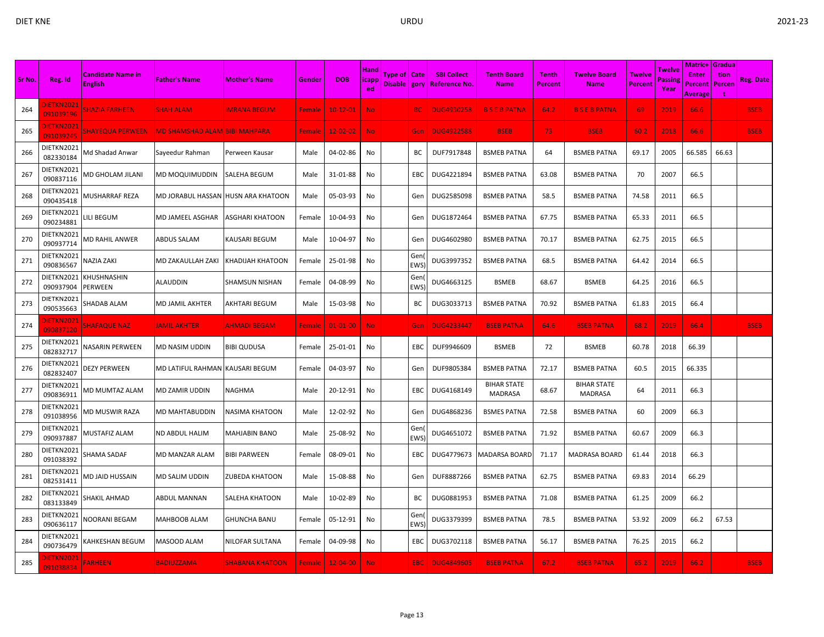|        |                                |                                            |                                  |                         |               |                |                             |                                |                   |                                       |                                      |                         |                                      |                                 |                          | <b>Matric+ Gradua</b>                     |                |             |
|--------|--------------------------------|--------------------------------------------|----------------------------------|-------------------------|---------------|----------------|-----------------------------|--------------------------------|-------------------|---------------------------------------|--------------------------------------|-------------------------|--------------------------------------|---------------------------------|--------------------------|-------------------------------------------|----------------|-------------|
| Sr No. | Reg. Id                        | <b>Candidate Name in</b><br><b>English</b> | <b>Father's Name</b>             | <b>Mother's Name</b>    | Gender        | <b>DOB</b>     | <b>Hand</b><br> icapp<br>ed | Type of   Cate<br>Disable gory |                   | <b>SBI Collect</b><br>  Reference No. | <b>Tenth Board</b><br><b>Name</b>    | <b>Tenth</b><br>Percent | <b>Twelve Board</b><br><b>Name</b>   | <b>Twelve</b><br><b>Percent</b> | Twelve<br>assing<br>Year | <b>Enter</b><br>Percent<br><b>Average</b> | tion<br>Percen | Reg. Date   |
| 264    | DIETKN2021<br>091039196        | <b>SHAZIA FARHEEN</b>                      | <b>SHAH ALAM</b>                 | <b>MRANA BEGUM</b>      | Female        | $10-12-01$     | No.                         |                                | <b>BC</b>         | <b>DUG4930258</b>                     | <b>BSEBPATNA</b>                     | 64.2                    | <b>B S E B PATNA</b>                 | 69                              | 2019                     | 66.6                                      |                | <b>BSEB</b> |
| 265    | <b>DIETKN2021</b><br>091039245 | <b>SHAYEQUA PERWEEN</b>                    | MD SHAMSHAD ALAM BIBI MAHPARA    |                         | Female        | $12 - 02 - 02$ | <b>No</b>                   |                                | Gen               | <b>DUG4922588</b>                     | <b>BSEB</b>                          | 73                      | <b>BSEB</b>                          | 60.2                            | 2018                     | 66.6                                      |                | <b>BSEB</b> |
| 266    | DIETKN2021<br>082330184        | Vid Shadad Anwar                           | Sayeedur Rahman                  | Perween Kausar          | Male          | 04-02-86       | No                          |                                | BС                | DUF7917848                            | <b>BSMEB PATNA</b>                   | 64                      | <b>BSMEB PATNA</b>                   | 69.17                           | 2005                     | 66.585                                    | 66.63          |             |
| 267    | DIETKN2021<br>090837116        | VID GHOLAM JILANI                          | MD MOQUIMUDDIN                   | <b>SALEHA BEGUM</b>     | Male          | 31-01-88       | No                          |                                | <b>EBC</b>        | DUG4221894                            | <b>BSMEB PATNA</b>                   | 63.08                   | <b>BSMEB PATNA</b>                   | 70                              | 2007                     | 66.5                                      |                |             |
| 268    | DIETKN2021<br>090435418        | <b>MUSHARRAF REZA</b>                      | MD JORABUL HASSAN                | <b>HUSN ARA KHATOON</b> | Male          | 05-03-93       | No                          |                                | Gen               | DUG2585098                            | <b>BSMEB PATNA</b>                   | 58.5                    | <b>BSMEB PATNA</b>                   | 74.58                           | 2011                     | 66.5                                      |                |             |
| 269    | DIETKN2021<br>090234881        | <b>ILI BEGUM</b>                           | MD JAMEEL ASGHAR                 | <b>ASGHARI KHATOON</b>  | Female        | 10-04-93       | No                          |                                | Gen               | DUG1872464                            | <b>BSMEB PATNA</b>                   | 67.75                   | <b>BSMEB PATNA</b>                   | 65.33                           | 2011                     | 66.5                                      |                |             |
| 270    | DIETKN2021<br>090937714        | MD RAHIL ANWER                             | <b>ABDUS SALAM</b>               | KAUSARI BEGUM           | Male          | 10-04-97       | No                          |                                | Gen               | DUG4602980                            | <b>BSMEB PATNA</b>                   | 70.17                   | <b>BSMEB PATNA</b>                   | 62.75                           | 2015                     | 66.5                                      |                |             |
| 271    | DIETKN2021<br>090836567        | <b>NAZIA ZAKI</b>                          | MD ZAKAULLAH ZAKI                | KHADIJAH KHATOON        | Female        | 25-01-98       | No                          |                                | Gen<br><b>EWS</b> | DUG3997352                            | <b>BSMEB PATNA</b>                   | 68.5                    | <b>BSMEB PATNA</b>                   | 64.42                           | 2014                     | 66.5                                      |                |             |
| 272    | DIETKN2021<br>090937904        | KHUSHNASHIN<br>PERWEEN                     | ALAUDDIN                         | SHAMSUN NISHAN          | Female        | 04-08-99       | No                          |                                | Gen<br><b>EWS</b> | DUG4663125                            | <b>BSMEB</b>                         | 68.67                   | <b>BSMEB</b>                         | 64.25                           | 2016                     | 66.5                                      |                |             |
| 273    | DIETKN2021<br>090535663        | SHADAB ALAM                                | MD JAMIL AKHTER                  | <b>AKHTARI BEGUM</b>    | Male          | 15-03-98       | No                          |                                | BC                | DUG3033713                            | <b>BSMEB PATNA</b>                   | 70.92                   | <b>BSMEB PATNA</b>                   | 61.83                           | 2015                     | 66.4                                      |                |             |
| 274    | <b>DIETKN2021</b><br>090837120 | <b>SHAFAQUE NAZ</b>                        | <b>JAMIL AKHTER</b>              | AHMADI BEGAM            | Female        | $01 - 01 - 00$ | <b>No</b>                   |                                | Gen               | <b>DUG4233447</b>                     | <b>BSEB PATNA</b>                    | 64.6                    | <b>BSEB PATNA</b>                    | 68.2                            | 2019                     | 66.4                                      |                | <b>BSEB</b> |
| 275    | DIETKN2021<br>082832717        | NASARIN PERWEEN                            | MD NASIM UDDIN                   | <b>BIBI QUDUSA</b>      | Female        | 25-01-01       | No                          |                                | EBC               | DUF9946609                            | <b>BSMEB</b>                         | 72                      | <b>BSMEB</b>                         | 60.78                           | 2018                     | 66.39                                     |                |             |
| 276    | DIETKN2021<br>082832407        | <b>DEZY PERWEEN</b>                        | MD LATIFUL RAHMAN  KAUSARI BEGUM |                         | Female        | 04-03-97       | No                          |                                | Gen               | DUF9805384                            | <b>BSMEB PATNA</b>                   | 72.17                   | <b>BSMEB PATNA</b>                   | 60.5                            | 2015                     | 66.335                                    |                |             |
| 277    | DIETKN2021<br>090836911        | MD MUMTAZ ALAM                             | MD ZAMIR UDDIN                   | <b>NAGHMA</b>           | Male          | 20-12-91       | No                          |                                | EBC               | DUG4168149                            | <b>BIHAR STATE</b><br><b>MADRASA</b> | 68.67                   | <b>BIHAR STATE</b><br><b>MADRASA</b> | 64                              | 2011                     | 66.3                                      |                |             |
| 278    | DIETKN2021<br>091038956        | MD MUSWIR RAZA                             | MD MAHTABUDDIN                   | NASIMA KHATOON          | Male          | 12-02-92       | No                          |                                | Gen               | DUG4868236                            | <b>BSMES PATNA</b>                   | 72.58                   | <b>BSMEB PATNA</b>                   | 60                              | 2009                     | 66.3                                      |                |             |
| 279    | DIETKN2021<br>090937887        | <b>MUSTAFIZ ALAM</b>                       | ND ABDUL HALIM                   | <b>MAHJABIN BANO</b>    | Male          | 25-08-92       | No                          |                                | Gen<br>EWS        | DUG4651072                            | <b>BSMEB PATNA</b>                   | 71.92                   | <b>BSMEB PATNA</b>                   | 60.67                           | 2009                     | 66.3                                      |                |             |
| 280    | DIETKN2021<br>091038392        | SHAMA SADAF                                | MD MANZAR ALAM                   | <b>BIBI PARWEEN</b>     | Female        | 08-09-01       | No                          |                                | EBC               | DUG4779673                            | <b>MADARSA BOARD</b>                 | 71.17                   | <b>MADRASA BOARD</b>                 | 61.44                           | 2018                     | 66.3                                      |                |             |
| 281    | DIETKN2021<br>082531411        | MD JAID HUSSAIN                            | MD SALIM UDDIN                   | ZUBEDA KHATOON          | Male          | 15-08-88       | No                          |                                | Gen               | DUF8887266                            | <b>BSMEB PATNA</b>                   | 62.75                   | <b>BSMEB PATNA</b>                   | 69.83                           | 2014                     | 66.29                                     |                |             |
| 282    | DIETKN2021<br>083133849        | SHAKIL AHMAD                               | ABDUL MANNAN                     | SALEHA KHATOON          | Male          | 10-02-89       | No                          |                                | BC                | DUG0881953                            | <b>BSMEB PATNA</b>                   | 71.08                   | <b>BSMEB PATNA</b>                   | 61.25                           | 2009                     | 66.2                                      |                |             |
| 283    | DIETKN2021<br>090636117        | NOORANI BEGAM                              | MAHBOOB ALAM                     | <b>GHUNCHA BANU</b>     | Female        | 05-12-91       | No                          |                                | Gen<br><b>EWS</b> | DUG3379399                            | <b>BSMEB PATNA</b>                   | 78.5                    | <b>BSMEB PATNA</b>                   | 53.92                           | 2009                     | 66.2                                      | 67.53          |             |
| 284    | DIETKN2021<br>090736479        | <b>KAHKESHAN BEGUM</b>                     | MASOOD ALAM                      | NILOFAR SULTANA         | Female        | 04-09-98       | No                          |                                | EBC               | DUG3702118                            | <b>BSMEB PATNA</b>                   | 56.17                   | <b>BSMEB PATNA</b>                   | 76.25                           | 2015                     | 66.2                                      |                |             |
| 285    | <b>DIETKN2021</b><br>091038834 | <b>FARHEEN</b>                             | <b>BADIUZZAMA</b>                | SHABANA KHATOON         | <b>Female</b> | $12 - 04 - 00$ | <b>No</b>                   |                                | EBC               | <b>DUG4849605</b>                     | <b>BSEB PATNA</b>                    | 67.2                    | <b>BSEB PATNA</b>                    | 65.2                            | 2019                     | 66.2                                      |                | <b>BSEB</b> |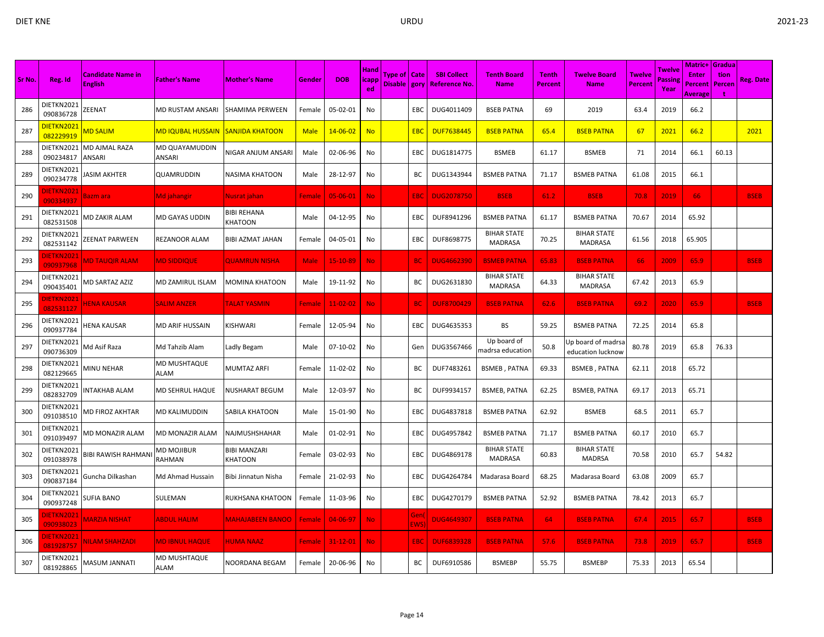| Sr No. | Reg. Id                        | <b>Candidate Name in</b><br><b>English</b> | <b>Father's Name</b>                            | <b>Mother's Name</b>           | Gender      | <b>DOB</b>     | <b>Hand</b><br>icapp<br>ed | Type of   Cate<br>Disable gory |                   | <b>SBI Collect</b><br>  Reference No. | <b>Tenth Board</b><br><b>Name</b>    | <b>Tenth</b><br><b>Percent</b> | <b>Twelve Board</b><br><b>Name</b>      | <b>Twelve</b><br>Percent | Twelve<br>Passing<br>Year | Matric+ Gradua<br><b>Enter</b><br><b>Percent</b><br>Average | tion<br>Percen | <b>Reg. Date</b> |
|--------|--------------------------------|--------------------------------------------|-------------------------------------------------|--------------------------------|-------------|----------------|----------------------------|--------------------------------|-------------------|---------------------------------------|--------------------------------------|--------------------------------|-----------------------------------------|--------------------------|---------------------------|-------------------------------------------------------------|----------------|------------------|
| 286    | DIETKN2021<br>090836728        | ZEENAT                                     | MD RUSTAM ANSARI                                | SHAMIMA PERWEEN                | Female      | 05-02-01       | No                         |                                | EBC               | DUG4011409                            | <b>BSEB PATNA</b>                    | 69                             | 2019                                    | 63.4                     | 2019                      | 66.2                                                        |                |                  |
| 287    | DIETKN2021<br>082229919        | <b>MD SALIM</b>                            | <mark>MD IQUBAL HUSSAIN  SANJIDA KHATOON</mark> |                                | <b>Male</b> | $14 - 06 - 02$ | <b>No</b>                  |                                | <b>EBC</b>        | <b>DUF7638445</b>                     | <b>BSEB PATNA</b>                    | 65.4                           | <b>BSEB PATNA</b>                       | 67                       | 2021                      | 66.2                                                        |                | 2021             |
| 288    | DIETKN2021<br>090234817        | <b>MD AJMAL RAZA</b><br><b>ANSARI</b>      | MD QUAYAMUDDIN<br>ANSARI                        | NIGAR ANJUM ANSARI             | Male        | 02-06-96       | No                         |                                | EBC               | DUG1814775                            | <b>BSMEB</b>                         | 61.17                          | <b>BSMEB</b>                            | 71                       | 2014                      | 66.1                                                        | 60.13          |                  |
| 289    | DIETKN2021<br>090234778        | <b>ASIM AKHTER</b>                         | QUAMRUDDIN                                      | NASIMA KHATOON                 | Male        | 28-12-97       | No                         |                                | ВC                | DUG1343944                            | <b>BSMEB PATNA</b>                   | 71.17                          | <b>BSMEB PATNA</b>                      | 61.08                    | 2015                      | 66.1                                                        |                |                  |
| 290    | <b>IETKN202</b><br>090334937   | Bazm ara                                   | Md jahangir                                     | Nusrat jahan                   | Female      | 05-06-01       | No.                        |                                | EBC               | <b>DUG2078750</b>                     | <b>BSEB</b>                          | 61.2                           | <b>BSEB</b>                             | 70.8                     | 2019                      | 66                                                          |                | <b>BSEB</b>      |
| 291    | DIETKN2021<br>082531508        | MD ZAKIR ALAM                              | MD GAYAS UDDIN                                  | <b>BIBI REHANA</b><br>KHATOON  | Male        | 04-12-95       | No                         |                                | EBC               | DUF8941296                            | <b>BSMEB PATNA</b>                   | 61.17                          | <b>BSMEB PATNA</b>                      | 70.67                    | 2014                      | 65.92                                                       |                |                  |
| 292    | DIETKN2021<br>082531142        | ZEENAT PARWEEN                             | REZANOOR ALAM                                   | BIBI AZMAT JAHAN               | Female      | 04-05-01       | No                         |                                | EBC               | DUF8698775                            | <b>BIHAR STATE</b><br>MADRASA        | 70.25                          | <b>BIHAR STATE</b><br><b>MADRASA</b>    | 61.56                    | 2018                      | 65.905                                                      |                |                  |
| 293    | <b>IETKN202</b><br>090937968   | <b>MD TAUQIR ALAM</b>                      | <b>MD SIDDIQUE</b>                              | <b>QUAMRUN NISHA</b>           | <b>Male</b> | 15-10-89       | No.                        |                                | <b>BC</b>         | <b>DUG4662390</b>                     | <b>BSMEB PATNA</b>                   | 65.83                          | <b>BSEB PATNA</b>                       | 66                       | 2009                      | 65.9                                                        |                | <b>BSEB</b>      |
| 294    | DIETKN2021<br>090435401        | <b>MD SARTAZ AZIZ</b>                      | MD ZAMIRUL ISLAM                                | MOMINA KHATOON                 | Male        | 19-11-92       | No                         |                                | BC                | DUG2631830                            | <b>BIHAR STATE</b><br><b>MADRASA</b> | 64.33                          | <b>BIHAR STATE</b><br><b>MADRASA</b>    | 67.42                    | 2013                      | 65.9                                                        |                |                  |
| 295    | DIETKN202:<br>082531127        | <b>IENA KAUSAR</b>                         | <b>SALIM ANZER</b>                              | <b>TALAT YASMIN</b>            | Female      | $11 - 02 - 02$ | <b>No</b>                  |                                | <b>BC</b>         | <b>DUF8700429</b>                     | <b>BSEB PATNA</b>                    | 62.6                           | <b>BSEB PATNA</b>                       | 69.2                     | 2020                      | 65.9                                                        |                | <b>BSEB</b>      |
| 296    | DIETKN2021<br>090937784        | HENA KAUSAR                                | MD ARIF HUSSAIN                                 | KISHWARI                       | Female      | 12-05-94       | No                         |                                | EBC               | DUG4635353                            | BS                                   | 59.25                          | <b>BSMEB PATNA</b>                      | 72.25                    | 2014                      | 65.8                                                        |                |                  |
| 297    | DIETKN2021<br>090736309        | Md Asif Raza                               | Md Tahzib Alam                                  | Ladly Begam                    | Male        | 07-10-02       | No                         |                                | Gen               | DUG3567466                            | Up board of<br>nadrsa education      | 50.8                           | Jp board of madrsa<br>education lucknow | 80.78                    | 2019                      | 65.8                                                        | 76.33          |                  |
| 298    | DIETKN2021<br>082129665        | <b>MINU NEHAR</b>                          | MD MUSHTAQUE<br>ALAM                            | <b>MUMTAZ ARFI</b>             | Female      | 11-02-02       | No                         |                                | BC                | DUF7483261                            | <b>BSMEB, PATNA</b>                  | 69.33                          | <b>BSMEB, PATNA</b>                     | 62.11                    | 2018                      | 65.72                                                       |                |                  |
| 299    | DIETKN2021<br>082832709        | NTAKHAB ALAM                               | MD SEHRUL HAQUE                                 | NUSHARAT BEGUM                 | Male        | 12-03-97       | No                         |                                | <b>BC</b>         | DUF9934157                            | <b>BSMEB, PATNA</b>                  | 62.25                          | <b>BSMEB, PATNA</b>                     | 69.17                    | 2013                      | 65.71                                                       |                |                  |
| 300    | DIETKN2021<br>091038510        | MD FIROZ AKHTAR                            | MD KALIMUDDIN                                   | SABILA KHATOON                 | Male        | 15-01-90       | No                         |                                | EBC               | DUG4837818                            | <b>BSMEB PATNA</b>                   | 62.92                          | <b>BSMEB</b>                            | 68.5                     | 2011                      | 65.7                                                        |                |                  |
| 301    | DIETKN2021<br>091039497        | MD MONAZIR ALAM                            | MD MONAZIR ALAM                                 | NAJMUSHSHAHAR                  | Male        | 01-02-91       | No                         |                                | <b>EBC</b>        | DUG4957842                            | <b>BSMEB PATNA</b>                   | 71.17                          | <b>BSMEB PATNA</b>                      | 60.17                    | 2010                      | 65.7                                                        |                |                  |
| 302    | DIETKN2021<br>091038978        | <b>BIBI RAWISH RAHMAN</b>                  | MD MOJIBUR<br>RAHMAN                            | <b>BIBI MANZARI</b><br>KHATOON | Female      | 03-02-93       | No                         |                                | EBC               | DUG4869178                            | <b>BIHAR STATE</b><br>MADRASA        | 60.83                          | <b>BIHAR STATE</b><br><b>MADRSA</b>     | 70.58                    | 2010                      | 65.7                                                        | 54.82          |                  |
| 303    | DIETKN2021<br>090837184        | Guncha Dilkashan                           | Md Ahmad Hussain                                | Bibi Jinnatun Nisha            | Female      | 21-02-93       | No                         |                                | <b>EBC</b>        | DUG4264784                            | Madarasa Board                       | 68.25                          | Madarasa Board                          | 63.08                    | 2009                      | 65.7                                                        |                |                  |
| 304    | DIETKN2021<br>090937248        | SUFIA BANO                                 | SULEMAN                                         | RUKHSANA KHATOON               | Female      | 11-03-96       | No                         |                                | EBC               | DUG4270179                            | <b>BSMEB PATNA</b>                   | 52.92                          | <b>BSMEB PATNA</b>                      | 78.42                    | 2013                      | 65.7                                                        |                |                  |
| 305    | <b>JIETKN2021</b><br>090938023 | <b>MARZIA NISHAT</b>                       | <b>ABDUL HALIM</b>                              | <b>MAHAJABEEN BANOO</b>        | Female      | 04-06-97       | No.                        |                                | Gen<br><b>EWS</b> | <b>DUG4649307</b>                     | <b>BSEB PATNA</b>                    | 64                             | <b>BSEB PATNA</b>                       | 67.4                     | 2015                      | 65.7                                                        |                | <b>BSEB</b>      |
| 306    | <b>DIETKN2021</b><br>081928757 | <b>VILAM SHAHZADI</b>                      | <b>MD IBNUL HAQUE</b>                           | <b>HUMA NAAZ</b>               | Female      | $31 - 12 - 01$ | No.                        |                                | EBC               | <b>DUF6839328</b>                     | <b>BSEB PATNA</b>                    | 57.6                           | <b>BSEB PATNA</b>                       | 73.8                     | 2019                      | 65.7                                                        |                | <b>BSEB</b>      |
| 307    | DIETKN2021<br>081928865        | MASUM JANNATI                              | <b>MD MUSHTAQUE</b><br>ALAM                     | NOORDANA BEGAM                 | Female      | 20-06-96       | No                         |                                | BC                | DUF6910586                            | <b>BSMEBP</b>                        | 55.75                          | <b>BSMEBP</b>                           | 75.33                    | 2013                      | 65.54                                                       |                |                  |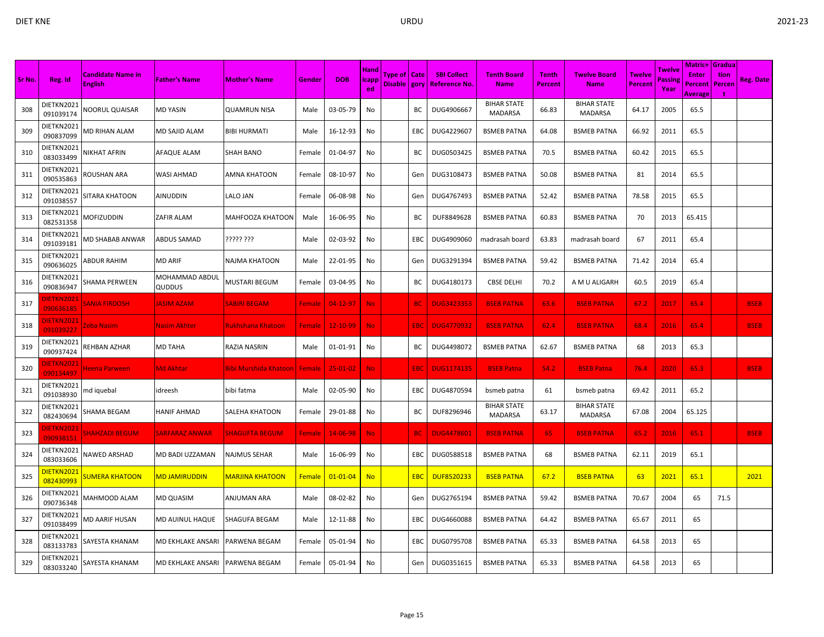|        |                                |                                            |                          |                                |               |                |                            |                                  |            |                                            |                                      |                                |                                      |                                 |                           | <b>Matric+ Gradua</b>                     |                |                  |
|--------|--------------------------------|--------------------------------------------|--------------------------|--------------------------------|---------------|----------------|----------------------------|----------------------------------|------------|--------------------------------------------|--------------------------------------|--------------------------------|--------------------------------------|---------------------------------|---------------------------|-------------------------------------------|----------------|------------------|
| Sr No. | Reg. Id                        | <b>Candidate Name in</b><br><b>English</b> | <b>Father's Name</b>     | <b>Mother's Name</b>           | Gender        | <b>DOB</b>     | <b>Hand</b><br>icapp<br>ed | Type of   Cate<br>Disable   gory |            | <b>SBI Collect</b><br><b>Reference No.</b> | <b>Tenth Board</b><br><b>Name</b>    | <b>Tenth</b><br><b>Percent</b> | <b>Twelve Board</b><br><b>Name</b>   | <b>Twelve</b><br><b>Percent</b> | Twelve<br>Passine<br>Year | <b>Enter</b><br>Percent<br><b>Average</b> | tion<br>Percen | <b>Reg. Date</b> |
| 308    | DIETKN2021<br>091039174        | <b>NOORUL QUAISAR</b>                      | MD YASIN                 | <b>QUAMRUN NISA</b>            | Male          | 03-05-79       | No                         |                                  | ВC         | DUG4906667                                 | <b>BIHAR STATE</b><br><b>MADARSA</b> | 66.83                          | <b>BIHAR STATE</b><br><b>MADARSA</b> | 64.17                           | 2005                      | 65.5                                      |                |                  |
| 309    | DIETKN2021<br>090837099        | MD RIHAN ALAM                              | MD SAJID ALAM            | <b>BIBI HURMATI</b>            | Male          | 16-12-93       | No                         |                                  | EBC        | DUG4229607                                 | <b>BSMEB PATNA</b>                   | 64.08                          | <b>BSMEB PATNA</b>                   | 66.92                           | 2011                      | 65.5                                      |                |                  |
| 310    | DIETKN2021<br>083033499        | NIKHAT AFRIN                               | AFAQUE ALAM              | <b>SHAH BANO</b>               | Female        | 01-04-97       | No                         |                                  | BC         | DUG0503425                                 | <b>BSMEB PATNA</b>                   | 70.5                           | <b>BSMEB PATNA</b>                   | 60.42                           | 2015                      | 65.5                                      |                |                  |
| 311    | DIETKN2021<br>090535863        | ROUSHAN ARA                                | WASI AHMAD               | AMNA KHATOON                   | Female        | 08-10-97       | No                         |                                  | Gen        | DUG3108473                                 | <b>BSMEB PATNA</b>                   | 50.08                          | <b>BSMEB PATNA</b>                   | 81                              | 2014                      | 65.5                                      |                |                  |
| 312    | DIETKN2021<br>091038557        | SITARA KHATOON                             | AINUDDIN                 | LALO JAN                       | Female        | 06-08-98       | No                         |                                  | Gen        | DUG4767493                                 | <b>BSMEB PATNA</b>                   | 52.42                          | <b>BSMEB PATNA</b>                   | 78.58                           | 2015                      | 65.5                                      |                |                  |
| 313    | DIETKN2021<br>082531358        | MOFIZUDDIN                                 | ZAFIR ALAM               | MAHFOOZA KHATOON               | Male          | 16-06-95       | No                         |                                  | BC         | DUF8849628                                 | <b>BSMEB PATNA</b>                   | 60.83                          | <b>BSMEB PATNA</b>                   | 70                              | 2013                      | 65.415                                    |                |                  |
| 314    | DIETKN2021<br>091039181        | MD SHABAB ANWAR                            | <b>ABDUS SAMAD</b>       | ????? ???                      | Male          | 02-03-92       | No                         |                                  | EBC        | DUG4909060                                 | madrasah board                       | 63.83                          | madrasah board                       | 67                              | 2011                      | 65.4                                      |                |                  |
| 315    | DIETKN2021<br>090636025        | ABDUR RAHIM                                | <b>MD ARIF</b>           | NAJMA KHATOON                  | Male          | 22-01-95       | No                         |                                  | Gen        | DUG3291394                                 | <b>BSMEB PATNA</b>                   | 59.42                          | <b>BSMEB PATNA</b>                   | 71.42                           | 2014                      | 65.4                                      |                |                  |
| 316    | DIETKN2021<br>090836947        | SHAMA PERWEEN                              | MOHAMMAD ABDUL<br>QUDDUS | MUSTARI BEGUM                  | Female        | 03-04-95       | No                         |                                  | BC         | DUG4180173                                 | <b>CBSE DELHI</b>                    | 70.2                           | A M U ALIGARH                        | 60.5                            | 2019                      | 65.4                                      |                |                  |
| 317    | <b>JIETKN2021</b><br>090636185 | SANIA FIRDOSHI                             | <b>JASIM AZAM</b>        | SABIRI BEGAM                   | Female        | $04 - 12 - 97$ | No.                        |                                  | <b>BC</b>  | <b>DUG3423353</b>                          | <b>BSEB PATNA</b>                    | 63.6                           | <b>BSEB PATNA</b>                    | 67.2                            | 2017                      | 65.4                                      |                | <b>BSEB</b>      |
| 318    | <b>JIETKN2021</b><br>091039227 | Zeba Nasim                                 | <b>Nasim Akhter</b>      | <b>Rukhshana Khatoon</b>       | Female        | 12-10-99       | No.                        |                                  | EBC        | <b>DUG4770932</b>                          | <b>BSEB PATNA</b>                    | 62.4                           | <b>BSEB PATNA</b>                    | 68.4                            | 2016                      | 65.4                                      |                | <b>BSEB</b>      |
| 319    | DIETKN2021<br>090937424        | REHBAN AZHAR                               | MD TAHA                  | RAZIA NASRIN                   | Male          | 01-01-91       | No                         |                                  | BC         | DUG4498072                                 | <b>BSMEB PATNA</b>                   | 62.67                          | <b>BSMEB PATNA</b>                   | 68                              | 2013                      | 65.3                                      |                |                  |
| 320    | )IETKN2021<br>090134497        | Heena Parween                              | Md Akhtar                | Bibi Murshida Khatoon   Female |               | $25 - 01 - 02$ | No.                        |                                  | <b>EBC</b> | <b>DUG1174135</b>                          | <b>BSEB Patna</b>                    | 54.2                           | <b>BSEB Patna</b>                    | 76.4                            | 2020                      | 65.3                                      |                | <b>BSEB</b>      |
| 321    | DIETKN2021<br>091038930        | md iquebal                                 | idreesh                  | bibi fatma                     | Male          | 02-05-90       | No                         |                                  | EBC        | DUG4870594                                 | bsmeb patna                          | 61                             | bsmeb patna                          | 69.42                           | 2011                      | 65.2                                      |                |                  |
| 322    | DIETKN2021<br>082430694        | SHAMA BEGAM                                | HANIF AHMAD              | SALEHA KHATOON                 | Female        | 29-01-88       | No                         |                                  | BC         | DUF8296946                                 | <b>BIHAR STATE</b><br>MADARSA        | 63.17                          | <b>BIHAR STATE</b><br><b>MADARSA</b> | 67.08                           | 2004                      | 65.125                                    |                |                  |
| 323    | <b>DIETKN2021</b><br>090938151 | <b>SHAHZADI BEGUM</b>                      | <b>SARFARAZ ANWAR</b>    | <b>SHAGUFTA BEGUM</b>          | <b>Female</b> | 14-06-98       | No.                        |                                  | <b>BC</b>  | <b>DUG4478601</b>                          | <b>BSEB PATNA</b>                    | 65                             | <b>BSEB PATNA</b>                    | 65.2                            | 2016                      | 65.1                                      |                | <b>BSEB</b>      |
| 324    | DIETKN2021<br>083033606        | NAWED ARSHAD                               | MD BADI UZZAMAN          | NAJMUS SEHAR                   | Male          | 16-06-99       | No                         |                                  | EBC        | DUG0588518                                 | <b>BSMEB PATNA</b>                   | 68                             | <b>BSMEB PATNA</b>                   | 62.11                           | 2019                      | 65.1                                      |                |                  |
| 325    | DIETKN2021<br>082430993        | <b>SUMERA KHATOON</b>                      | <b>MD JAMIRUDDIN</b>     | <u>MARJINA KHATOON</u>         | Female        | $01 - 01 - 04$ | <b>No</b>                  |                                  | <b>EBC</b> | <b>DUF8520233</b>                          | <b>BSEB PATNA</b>                    | 67.2                           | <b>BSEB PATNA</b>                    | 63                              | 2021                      | 65.1                                      |                | 2021             |
| 326    | DIETKN2021<br>090736348        | MAHMOOD ALAM                               | MD QUASIM                | ANJUMAN ARA                    | Male          | 08-02-82       | No                         |                                  | Gen        | DUG2765194                                 | <b>BSMEB PATNA</b>                   | 59.42                          | <b>BSMEB PATNA</b>                   | 70.67                           | 2004                      | 65                                        | 71.5           |                  |
| 327    | DIETKN2021<br>091038499        | MD AARIF HUSAN                             | MD AUINUL HAQUE          | SHAGUFA BEGAM                  | Male          | 12-11-88       | No                         |                                  | EBC        | DUG4660088                                 | <b>BSMEB PATNA</b>                   | 64.42                          | <b>BSMEB PATNA</b>                   | 65.67                           | 2011                      | 65                                        |                |                  |
| 328    | DIETKN2021<br>083133783        | SAYESTA KHANAM                             | MD EKHLAKE ANSARI        | PARWENA BEGAM                  | Female        | 05-01-94       | No                         |                                  | EBC        | DUG0795708                                 | <b>BSMEB PATNA</b>                   | 65.33                          | <b>BSMEB PATNA</b>                   | 64.58                           | 2013                      | 65                                        |                |                  |
| 329    | DIETKN2021<br>083033240        | SAYESTA KHANAM                             | MD EKHLAKE ANSARI        | PARWENA BEGAM                  | Female        | 05-01-94       | No                         |                                  | Gen        | DUG0351615                                 | <b>BSMEB PATNA</b>                   | 65.33                          | <b>BSMEB PATNA</b>                   | 64.58                           | 2013                      | 65                                        |                |                  |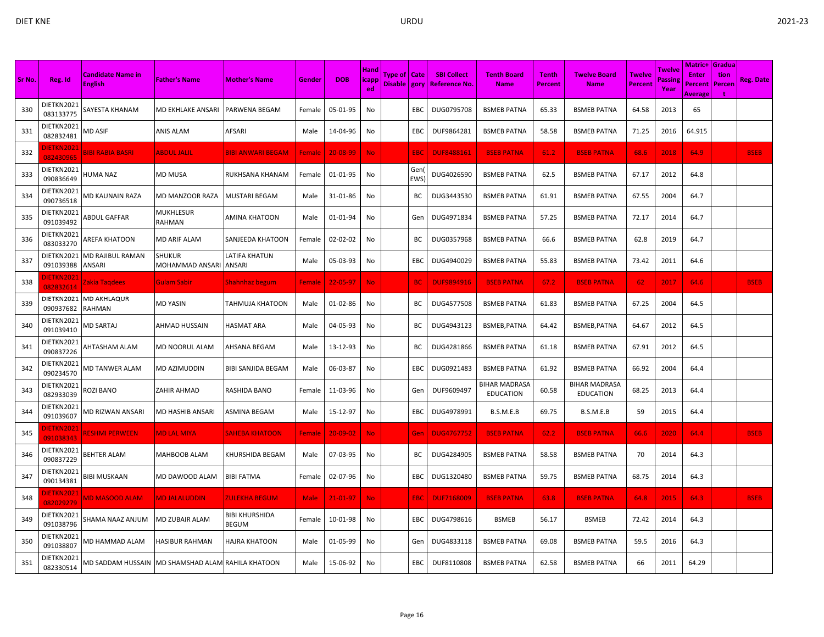| Sr No. | Reg. Id                        | <b>Candidate Name in</b><br><b>English</b> | <b>Father's Name</b>                   | <b>Mother's Name</b>                  | Gender        | <b>DOB</b>     | <b>Hand</b><br> icapp<br>ed | Type of   Cate<br>Disable   gory |                   | <b>SBI Collect</b><br><b>Reference No</b> | <b>Tenth Board</b><br><b>Name</b> | <b>Tenth</b><br><b>Percent</b> | <b>Twelve Board</b><br><b>Name</b>       | <b>Twelve</b><br><b>Percent</b> | Twelve<br>Passine<br>Year | <b>Matric+ Gradua</b><br><b>Enter</b><br>Percent<br>Average | tion<br>Percen | <b>Reg. Date</b> |
|--------|--------------------------------|--------------------------------------------|----------------------------------------|---------------------------------------|---------------|----------------|-----------------------------|----------------------------------|-------------------|-------------------------------------------|-----------------------------------|--------------------------------|------------------------------------------|---------------------------------|---------------------------|-------------------------------------------------------------|----------------|------------------|
| 330    | DIETKN2021<br>083133775        | SAYESTA KHANAM                             | MD EKHLAKE ANSARI                      | PARWENA BEGAM                         | Female        | 05-01-95       | No                          |                                  | EBC               | DUG0795708                                | <b>BSMEB PATNA</b>                | 65.33                          | <b>BSMEB PATNA</b>                       | 64.58                           | 2013                      | 65                                                          |                |                  |
| 331    | DIETKN2021<br>082832481        | MD ASIF                                    | ANIS ALAM                              | AFSARI                                | Male          | 14-04-96       | No                          |                                  | EBC               | DUF9864281                                | <b>BSMEB PATNA</b>                | 58.58                          | <b>BSMEB PATNA</b>                       | 71.25                           | 2016                      | 64.915                                                      |                |                  |
| 332    | DIETKN2021<br>082430965        | <b>BIBI RABIA BASRI</b>                    | <b>ABDUL JALIL</b>                     | <b>BIBI ANWARI BEGAM</b>              | Female        | 20-08-99       | <b>No</b>                   |                                  | EBC               | <b>DUF8488161</b>                         | <b>BSEB PATNA</b>                 | 61.2                           | <b>BSEB PATNA</b>                        | 68.6                            | 2018                      | 64.9                                                        |                | <b>BSEB</b>      |
| 333    | DIETKN2021<br>090836649        | <b>HUMA NAZ</b>                            | MD MUSA                                | RUKHSANA KHANAM                       | Female        | 01-01-95       | No                          |                                  | Gen<br><b>EWS</b> | DUG4026590                                | <b>BSMEB PATNA</b>                | 62.5                           | <b>BSMEB PATNA</b>                       | 67.17                           | 2012                      | 64.8                                                        |                |                  |
| 334    | DIETKN2021<br>090736518        | <b>MD KAUNAIN RAZA</b>                     | MD MANZOOR RAZA                        | <b>MUSTARI BEGAM</b>                  | Male          | 31-01-86       | No                          |                                  | BC                | DUG3443530                                | <b>BSMEB PATNA</b>                | 61.91                          | <b>BSMEB PATNA</b>                       | 67.55                           | 2004                      | 64.7                                                        |                |                  |
| 335    | DIETKN2021<br>091039492        | <b>ABDUL GAFFAR</b>                        | MUKHLESUR<br>RAHMAN                    | <b>AMINA KHATOON</b>                  | Male          | 01-01-94       | No                          |                                  | Gen               | DUG4971834                                | <b>BSMEB PATNA</b>                | 57.25                          | <b>BSMEB PATNA</b>                       | 72.17                           | 2014                      | 64.7                                                        |                |                  |
| 336    | DIETKN2021<br>083033270        | <b>AREFA KHATOON</b>                       | MD ARIF ALAM                           | SANJEEDA KHATOON                      | Female        | 02-02-02       | No                          |                                  | BC                | DUG0357968                                | <b>BSMEB PATNA</b>                | 66.6                           | <b>BSMEB PATNA</b>                       | 62.8                            | 2019                      | 64.7                                                        |                |                  |
| 337    | DIETKN2021<br>091039388        | MD RAJIBUL RAMAN<br>ANSARI                 | SHUKUR<br>MOHAMMAD ANSARI              | LATIFA KHATUN<br>ANSARI               | Male          | 05-03-93       | No                          |                                  | EBC               | DUG4940029                                | <b>BSMEB PATNA</b>                | 55.83                          | <b>BSMEB PATNA</b>                       | 73.42                           | 2011                      | 64.6                                                        |                |                  |
| 338    | <b>IETKN2021</b><br>082832614  | Zakia Tagdees                              | Gulam Sabir                            | Shahnhaz begum                        | <b>Female</b> | 22-05-97       | No.                         |                                  | <b>BC</b>         | <b>DUF9894916</b>                         | <b>BSEB PATNA</b>                 | 67.2                           | <b>BSEB PATNA</b>                        | 62                              | 2017                      | 64.6                                                        |                | <b>BSEB</b>      |
| 339    | DIETKN2021<br>090937682        | <b>MD AKHLAQUR</b><br><b>RAHMAN</b>        | MD YASIN                               | TAHMUJA KHATOON                       | Male          | 01-02-86       | No                          |                                  | BС                | DUG4577508                                | <b>BSMEB PATNA</b>                | 61.83                          | <b>BSMEB PATNA</b>                       | 67.25                           | 2004                      | 64.5                                                        |                |                  |
| 340    | DIETKN2021<br>091039410        | <b>MD SARTAJ</b>                           | AHMAD HUSSAIN                          | <b>HASMAT ARA</b>                     | Male          | 04-05-93       | No                          |                                  | ВC                | DUG4943123                                | BSMEB, PATNA                      | 64.42                          | BSMEB, PATNA                             | 64.67                           | 2012                      | 64.5                                                        |                |                  |
| 341    | DIETKN2021<br>090837226        | AHTASHAM ALAM                              | MD NOORUL ALAM                         | AHSANA BEGAM                          | Male          | 13-12-93       | No                          |                                  | BС                | DUG4281866                                | <b>BSMEB PATNA</b>                | 61.18                          | <b>BSMEB PATNA</b>                       | 67.91                           | 2012                      | 64.5                                                        |                |                  |
| 342    | DIETKN2021<br>090234570        | MD TANWER ALAM                             | MD AZIMUDDIN                           | <b>BIBI SANJIDA BEGAM</b>             | Male          | 06-03-87       | No                          |                                  | EBC               | DUG0921483                                | <b>BSMEB PATNA</b>                | 61.92                          | <b>BSMEB PATNA</b>                       | 66.92                           | 2004                      | 64.4                                                        |                |                  |
| 343    | DIETKN2021<br>082933039        | <b>ROZI BANO</b>                           | ZAHIR AHMAD                            | RASHIDA BANO                          | Female        | 11-03-96       | No                          |                                  | Gen               | DUF9609497                                | BIHAR MADRASA<br><b>EDUCATION</b> | 60.58                          | <b>BIHAR MADRASA</b><br><b>EDUCATION</b> | 68.25                           | 2013                      | 64.4                                                        |                |                  |
| 344    | DIETKN2021<br>091039607        | MD RIZWAN ANSARI                           | MD HASHIB ANSARI                       | <b>ASMINA BEGAM</b>                   | Male          | 15-12-97       | No                          |                                  | EBC               | DUG4978991                                | B.S.M.E.B                         | 69.75                          | B.S.M.E.B                                | 59                              | 2015                      | 64.4                                                        |                |                  |
| 345    | <b>DIETKN2021</b><br>091038343 | <b>RESHMI PERWEEN</b>                      | <b>MD LAL MIYA</b>                     | <b>SAHEBA KHATOON</b>                 | <b>Female</b> | $20 - 09 - 02$ | No.                         |                                  | Gen               | <b>DUG4767752</b>                         | <b>BSEB PATNA</b>                 | 62.2                           | <b>BSEB PATNA</b>                        | 66.6                            | 2020                      | 64.4                                                        |                | <b>BSEB</b>      |
| 346    | DIETKN2021<br>090837229        | BEHTER ALAM                                | MAHBOOB ALAM                           | KHURSHIDA BEGAM                       | Male          | 07-03-95       | No                          |                                  | BС                | DUG4284905                                | <b>BSMEB PATNA</b>                | 58.58                          | <b>BSMEB PATNA</b>                       | 70                              | 2014                      | 64.3                                                        |                |                  |
| 347    | DIETKN2021<br>090134381        | <b>BIBI MUSKAAN</b>                        | MD DAWOOD ALAM                         | <b>BIBI FATMA</b>                     | Female        | 02-07-96       | No                          |                                  | EBC               | DUG1320480                                | <b>BSMEB PATNA</b>                | 59.75                          | <b>BSMEB PATNA</b>                       | 68.75                           | 2014                      | 64.3                                                        |                |                  |
| 348    | <b>JIETKN2021</b><br>082029279 | <b>MD MASOOD ALAM</b>                      | <b>MD JALALUDDIN</b>                   | ZULEKHA BEGUM                         | <b>Male</b>   | 21-01-97       | <b>No</b>                   |                                  | EBC               | <b>DUF7168009</b>                         | <b>BSEB PATNA</b>                 | 63.8                           | <b>BSEB PATNA</b>                        | 64.8                            | 2015                      | 64.3                                                        |                | <b>BSEB</b>      |
| 349    | DIETKN2021<br>091038796        | SHAMA NAAZ ANJUM                           | MD ZUBAIR ALAM                         | <b>BIBI KHURSHIDA</b><br><b>BEGUM</b> | Female        | 10-01-98       | No                          |                                  | EBC               | DUG4798616                                | <b>BSMEB</b>                      | 56.17                          | <b>BSMEB</b>                             | 72.42                           | 2014                      | 64.3                                                        |                |                  |
| 350    | DIETKN2021<br>091038807        | <b>MD HAMMAD ALAM</b>                      | HASIBUR RAHMAN                         | <b>HAJRA KHATOON</b>                  | Male          | 01-05-99       | No                          |                                  | Gen               | DUG4833118                                | <b>BSMEB PATNA</b>                | 69.08                          | <b>BSMEB PATNA</b>                       | 59.5                            | 2016                      | 64.3                                                        |                |                  |
| 351    | DIETKN2021<br>082330514        | MD SADDAM HUSSAIN                          | <b>MD SHAMSHAD ALAM RAHILA KHATOON</b> |                                       | Male          | 15-06-92       | No                          |                                  | EBC               | DUF8110808                                | <b>BSMEB PATNA</b>                | 62.58                          | <b>BSMEB PATNA</b>                       | 66                              | 2011                      | 64.29                                                       |                |                  |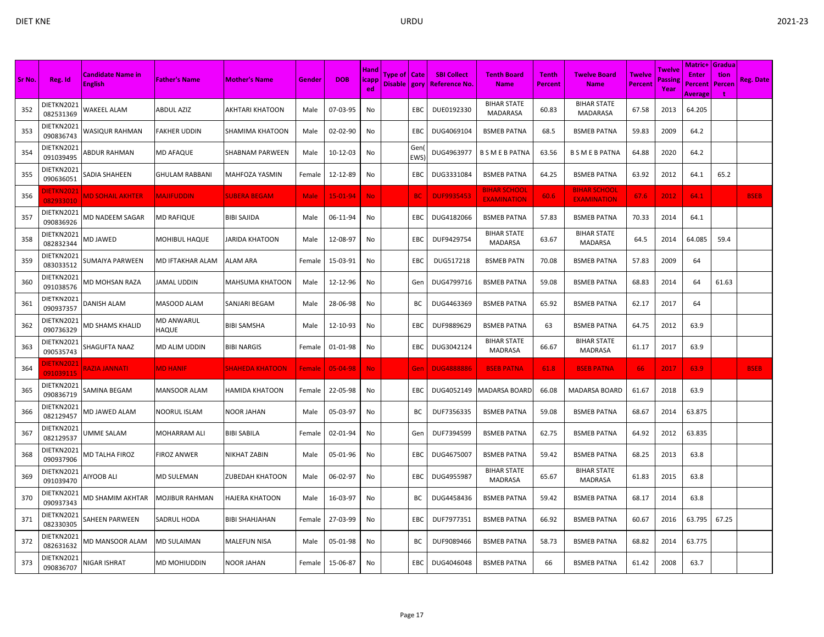|        |                               |                                            |                                   |                        |             |            |                            |                |                   |                                                     |                                           |                         |                                           |                                 |                          | <b>Matric+ Gradua</b>                     |                |             |
|--------|-------------------------------|--------------------------------------------|-----------------------------------|------------------------|-------------|------------|----------------------------|----------------|-------------------|-----------------------------------------------------|-------------------------------------------|-------------------------|-------------------------------------------|---------------------------------|--------------------------|-------------------------------------------|----------------|-------------|
| Sr No. | Reg. Id                       | <b>Candidate Name in</b><br><b>English</b> | <b>Father's Name</b>              | <b>Mother's Name</b>   | Gender      | <b>DOB</b> | <b>Hand</b><br>icapp<br>ed | Type of   Cate |                   | <b>SBI Collect</b><br>Disable   gory   Reference No | <b>Tenth Board</b><br><b>Name</b>         | <b>Tenth</b><br>Percent | <b>Twelve Board</b><br><b>Name</b>        | <b>Twelve</b><br><b>Percent</b> | Twelve<br>assine<br>Year | <b>Enter</b><br>Percent<br><b>Average</b> | tion<br>Percen | Reg. Date   |
| 352    | DIETKN2021<br>082531369       | WAKEEL ALAM                                | ABDUL AZIZ                        | AKHTARI KHATOON        | Male        | 07-03-95   | No                         |                | EBC               | DUE0192330                                          | <b>BIHAR STATE</b><br><b>MADARASA</b>     | 60.83                   | <b>BIHAR STATE</b><br><b>MADARASA</b>     | 67.58                           | 2013                     | 64.205                                    |                |             |
| 353    | DIETKN2021<br>090836743       | WASIQUR RAHMAN                             | <b>FAKHER UDDIN</b>               | SHAMIMA KHATOON        | Male        | 02-02-90   | No                         |                | EBC               | DUG4069104                                          | <b>BSMEB PATNA</b>                        | 68.5                    | BSMEB PATNA                               | 59.83                           | 2009                     | 64.2                                      |                |             |
| 354    | DIETKN2021<br>091039495       | ABDUR RAHMAN                               | <b>MD AFAQUE</b>                  | SHABNAM PARWEEN        | Male        | 10-12-03   | No                         |                | Gen<br><b>EWS</b> | DUG4963977                                          | <b>B S M E B PATNA</b>                    | 63.56                   | <b>B S M E B PATNA</b>                    | 64.88                           | 2020                     | 64.2                                      |                |             |
| 355    | DIETKN2021<br>090636051       | SADIA SHAHEEN                              | <b>GHULAM RABBANI</b>             | MAHFOZA YASMIN         | Female      | 12-12-89   | No                         |                | EBC               | DUG3331084                                          | <b>BSMEB PATNA</b>                        | 64.25                   | <b>BSMEB PATNA</b>                        | 63.92                           | 2012                     | 64.1                                      | 65.2           |             |
| 356    | <b>IETKN2021</b><br>082933010 | <b>MD SOHAIL AKHTER</b>                    | <b>MAJIFUDDIN</b>                 | <b>SUBERA BEGAM</b>    | <b>Male</b> | 15-01-94   | No.                        |                | <b>BC</b>         | <b>DUF9935453</b>                                   | <b>BIHAR SCHOOL</b><br><b>EXAMINATION</b> | 60.6                    | <b>BIHAR SCHOOL</b><br><b>EXAMINATION</b> | 67.6                            | 2012                     | 64.1                                      |                | <b>BSEB</b> |
| 357    | DIETKN2021<br>090836926       | <b>MD NADEEM SAGAR</b>                     | <b>MD RAFIQUE</b>                 | BIBI SAJIDA            | Male        | 06-11-94   | No                         |                | EBC               | DUG4182066                                          | <b>BSMEB PATNA</b>                        | 57.83                   | <b>BSMEB PATNA</b>                        | 70.33                           | 2014                     | 64.1                                      |                |             |
| 358    | DIETKN2021<br>082832344       | <b>MD JAWED</b>                            | MOHIBUL HAQUE                     | IARIDA KHATOON         | Male        | 12-08-97   | No                         |                | EBC               | DUF9429754                                          | <b>BIHAR STATE</b><br>MADARSA             | 63.67                   | <b>BIHAR STATE</b><br><b>MADARSA</b>      | 64.5                            | 2014                     | 64.085                                    | 59.4           |             |
| 359    | DIETKN2021<br>083033512       | SUMAIYA PARWEEN                            | <b>MD IFTAKHAR ALAM</b>           | ALAM ARA               | Female      | 15-03-91   | No                         |                | <b>EBC</b>        | DUG517218                                           | <b>BSMEB PATN</b>                         | 70.08                   | <b>BSMEB PATNA</b>                        | 57.83                           | 2009                     | 64                                        |                |             |
| 360    | DIETKN2021<br>091038576       | MD MOHSAN RAZA                             | <b>JAMAL UDDIN</b>                | MAHSUMA KHATOON        | Male        | 12-12-96   | No                         |                | Gen               | DUG4799716                                          | <b>BSMEB PATNA</b>                        | 59.08                   | <b>BSMEB PATNA</b>                        | 68.83                           | 2014                     | 64                                        | 61.63          |             |
| 361    | DIETKN2021<br>090937357       | DANISH ALAM                                | MASOOD ALAM                       | SANJARI BEGAM          | Male        | 28-06-98   | No                         |                | BC                | DUG4463369                                          | <b>BSMEB PATNA</b>                        | 65.92                   | BSMEB PATNA                               | 62.17                           | 2017                     | 64                                        |                |             |
| 362    | DIETKN2021<br>090736329       | MD SHAMS KHALID                            | <b>MD ANWARUL</b><br><b>HAQUE</b> | BIBI SAMSHA            | Male        | 12-10-93   | No                         |                | EBC               | DUF9889629                                          | <b>BSMEB PATNA</b>                        | 63                      | <b>BSMEB PATNA</b>                        | 64.75                           | 2012                     | 63.9                                      |                |             |
| 363    | DIETKN2021<br>090535743       | SHAGUFTA NAAZ                              | MD ALIM UDDIN                     | BIBI NARGIS            | Female      | 01-01-98   | No                         |                | EBC               | DUG3042124                                          | <b>BIHAR STATE</b><br><b>MADRASA</b>      | 66.67                   | <b>BIHAR STATE</b><br><b>MADRASA</b>      | 61.17                           | 2017                     | 63.9                                      |                |             |
| 364    | )IETKN2021<br>091039115       | <b>TANNAL AISA</b>                         | <b>MD HANIF</b>                   | <b>SHAHEDA KHATOON</b> | Female      | 05-04-98   | <b>No</b>                  |                | Gen               | <b>DUG4888886</b>                                   | <b>BSEB PATNA</b>                         | 61.8                    | <b>BSEB PATNA</b>                         | 66                              | 2017                     | 63.9                                      |                | <b>BSEB</b> |
| 365    | DIETKN2021<br>090836719       | SAMINA BEGAM                               | MANSOOR ALAM                      | HAMIDA KHATOON         | Female      | 22-05-98   | No                         |                | EBC               | DUG4052149                                          | <b>MADARSA BOARD</b>                      | 66.08                   | <b>MADARSA BOARD</b>                      | 61.67                           | 2018                     | 63.9                                      |                |             |
| 366    | DIETKN2021<br>082129457       | <b>MD JAWED ALAM</b>                       | <b>NOORUL ISLAM</b>               | NOOR JAHAN             | Male        | 05-03-97   | No                         |                | BC                | DUF7356335                                          | <b>BSMEB PATNA</b>                        | 59.08                   | <b>BSMEB PATNA</b>                        | 68.67                           | 2014                     | 63.875                                    |                |             |
| 367    | DIETKN2021<br>082129537       | UMME SALAM                                 | MOHARRAM ALI                      | BIBI SABILA            | Female      | 02-01-94   | No                         |                | Gen               | DUF7394599                                          | <b>BSMEB PATNA</b>                        | 62.75                   | <b>BSMEB PATNA</b>                        | 64.92                           | 2012                     | 63.835                                    |                |             |
| 368    | DIETKN2021<br>090937906       | <b>MD TALHA FIROZ</b>                      | <b>FIROZ ANWER</b>                | NIKHAT ZABIN           | Male        | 05-01-96   | No                         |                | EBC               | DUG4675007                                          | <b>BSMEB PATNA</b>                        | 59.42                   | <b>BSMEB PATNA</b>                        | 68.25                           | 2013                     | 63.8                                      |                |             |
| 369    | DIETKN2021<br>091039470       | <b>AIYOOB ALI</b>                          | <b>MD SULEMAN</b>                 | ZUBEDAH KHATOON        | Male        | 06-02-97   | No                         |                | EBC               | DUG4955987                                          | <b>BIHAR STATE</b><br><b>MADRASA</b>      | 65.67                   | <b>BIHAR STATE</b><br><b>MADRASA</b>      | 61.83                           | 2015                     | 63.8                                      |                |             |
| 370    | DIETKN2021<br>090937343       | MD SHAMIM AKHTAR                           | MOJIBUR RAHMAN                    | HAJERA KHATOON         | Male        | 16-03-97   | No                         |                | ВC                | DUG4458436                                          | <b>BSMEB PATNA</b>                        | 59.42                   | <b>BSMEB PATNA</b>                        | 68.17                           | 2014                     | 63.8                                      |                |             |
| 371    | DIETKN2021<br>082330305       | SAHEEN PARWEEN                             | <b>SADRUL HODA</b>                | BIBI SHAHJAHAN         | Female      | 27-03-99   | No.                        |                | EBC               | DUF7977351                                          | <b>BSMEB PATNA</b>                        | 66.92                   | <b>BSMEB PATNA</b>                        | 60.67                           | 2016                     | 63.795                                    | 67.25          |             |
| 372    | DIETKN2021<br>082631632       | MD MANSOOR ALAM                            | <b>MD SULAIMAN</b>                | MALEFUN NISA           | Male        | 05-01-98   | No                         |                | ВC                | DUF9089466                                          | <b>BSMEB PATNA</b>                        | 58.73                   | <b>BSMEB PATNA</b>                        | 68.82                           | 2014                     | 63.775                                    |                |             |
| 373    | DIETKN2021<br>090836707       | NIGAR ISHRAT                               | MD MOHIUDDIN                      | NOOR JAHAN             | Female      | 15-06-87   | No                         |                | EBC               | DUG4046048                                          | <b>BSMEB PATNA</b>                        | 66                      | BSMEB PATNA                               | 61.42                           | 2008                     | 63.7                                      |                |             |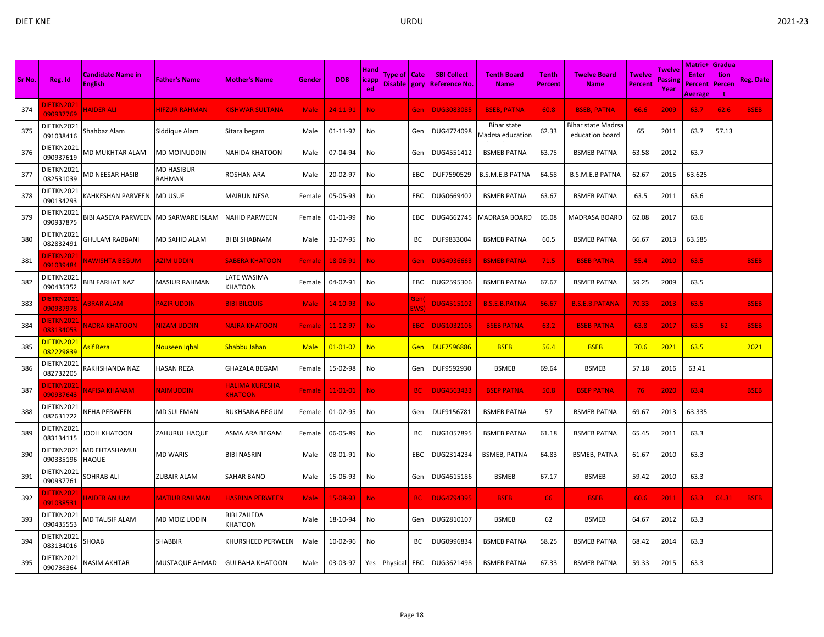|        |                                |                                            |                      |                                  |               |                |                              |                                  |             |                                            |                                        |                                |                                       |                          |                   | <b>Matric+ Gradua</b>   |                       |                  |
|--------|--------------------------------|--------------------------------------------|----------------------|----------------------------------|---------------|----------------|------------------------------|----------------------------------|-------------|--------------------------------------------|----------------------------------------|--------------------------------|---------------------------------------|--------------------------|-------------------|-------------------------|-----------------------|------------------|
| Sr No. | Reg. Id                        | <b>Candidate Name in</b><br><b>English</b> | <b>Father's Name</b> | <b>Mother's Name</b>             | Gender        | <b>DOB</b>     | <b>Hand</b><br><b>licapp</b> | Type of   Cate<br>Disable   gory |             | <b>SBI Collect</b><br><b>Reference No.</b> | <b>Tenth Board</b><br><b>Name</b>      | <b>Tenth</b><br><b>Percent</b> | <b>Twelve Board</b><br><b>Name</b>    | <b>Twelve</b><br>Percent | Twelve<br>Passine | <b>Enter</b><br>Percent | tion<br><b>Percer</b> | <b>Reg. Date</b> |
|        |                                |                                            |                      |                                  |               |                | ed.                          |                                  |             |                                            |                                        |                                |                                       |                          | Year              | Average                 |                       |                  |
| 374    | <b>DIETKN2021</b><br>090937769 | <b>HAIDER ALL</b>                          | <b>HIFZUR RAHMAN</b> | <b>KISHWAR SULTANA</b>           | <b>Male</b>   | 24-11-91       | No.                          |                                  | Gen         | <b>DUG3083085</b>                          | <b>BSEB, PATNA</b>                     | 60.8                           | <b>BSEB, PATNA</b>                    | 66.6                     | 2009              | 63.7                    | 62.6                  | <b>BSEB</b>      |
| 375    | DIETKN2021<br>091038416        | Shahbaz Alam                               | Siddique Alam        | Sitara begam                     | Male          | 01-11-92       | No                           |                                  | Gen         | DUG4774098                                 | <b>Bihar state</b><br>Madrsa education | 62.33                          | Bihar state Madrsa<br>education board | 65                       | 2011              | 63.7                    | 57.13                 |                  |
| 376    | DIETKN2021<br>090937619        | MD MUKHTAR ALAM                            | <b>MD MOINUDDIN</b>  | NAHIDA KHATOON                   | Male          | 07-04-94       | No                           |                                  | Gen         | DUG4551412                                 | <b>BSMEB PATNA</b>                     | 63.75                          | <b>BSMEB PATNA</b>                    | 63.58                    | 2012              | 63.7                    |                       |                  |
| 377    | DIETKN2021<br>082531039        | VID NEESAR HASIB                           | MD HASIBUR<br>RAHMAN | ROSHAN ARA                       | Male          | 20-02-97       | No                           |                                  | EBC         | DUF7590529                                 | <b>B.S.M.E.B PATNA</b>                 | 64.58                          | <b>B.S.M.E.B PATNA</b>                | 62.67                    | 2015              | 63.625                  |                       |                  |
| 378    | DIETKN2021<br>090134293        | KAHKESHAN PARVEEN                          | <b>MD USUF</b>       | <b>MAIRUN NESA</b>               | Female        | 05-05-93       | No                           |                                  | EBC         | DUG0669402                                 | <b>BSMEB PATNA</b>                     | 63.67                          | <b>BSMEB PATNA</b>                    | 63.5                     | 2011              | 63.6                    |                       |                  |
| 379    | DIETKN2021<br>090937875        | <b>BIBI AASEYA PARWEEN</b>                 | MD SARWARE ISLAM     | <b>NAHID PARWEEN</b>             | Female        | 01-01-99       | No                           |                                  | EBC         | DUG4662745                                 | <b>MADRASA BOARD</b>                   | 65.08                          | MADRASA BOARD                         | 62.08                    | 2017              | 63.6                    |                       |                  |
| 380    | DIETKN2021<br>082832491        | GHULAM RABBANI                             | MD SAHID ALAM        | BI BI SHABNAM                    | Male          | 31-07-95       | No                           |                                  | ВC          | DUF9833004                                 | <b>BSMEB PATNA</b>                     | 60.5                           | <b>BSMEB PATNA</b>                    | 66.67                    | 2013              | 63.585                  |                       |                  |
| 381    | <b>JIETKN2021</b><br>091039484 | <b>VAWISHTA BEGUM</b>                      | <b>AZIM UDDIN</b>    | <b>SABERA KHATOON</b>            | Female        | 18-06-91       | <b>No</b>                    |                                  | Gen         | <b>DUG4936663</b>                          | <b>BSMEB PATNA</b>                     | 71.5                           | <b>BSEB PATNA</b>                     | 55.4                     | 2010              | 63.5                    |                       | <b>BSEB</b>      |
| 382    | DIETKN2021<br>090435352        | BIBI FARHAT NAZ                            | MASIUR RAHMAN        | LATE WASIMA<br>KHATOON           | Female        | 04-07-91       | No                           |                                  | EBC         | DUG2595306                                 | <b>BSMEB PATNA</b>                     | 67.67                          | <b>BSMEB PATNA</b>                    | 59.25                    | 2009              | 63.5                    |                       |                  |
| 383    | <b>JIETKN2021</b><br>090937978 | <b>ABRAR ALAM</b>                          | PAZIR UDDIN          | <b>BIBI BILQUIS</b>              | <b>Male</b>   | $14 - 10 - 93$ | No.                          |                                  | Gen<br>EWS) | <b>DUG4515102</b>                          | <b>B.S.E.B.PATNA</b>                   | 56.67                          | <b>B.S.E.B.PATANA</b>                 | 70.33                    | 2013              | 63.5                    |                       | <b>BSEB</b>      |
| 384    | <b>DIETKN2021</b><br>083134053 | <b>VADRA KHATOON</b>                       | <b>NIZAM UDDIN</b>   | <b>NAJRA KHATOON</b>             | Female        | $11 - 12 - 97$ | <b>No</b>                    |                                  | <b>EBC</b>  | <b>DUG1032106</b>                          | <b>BSEB PATNA</b>                      | 63.2                           | <b>BSEB PATNA</b>                     | 63.8                     | 2017              | 63.5                    | 62                    | <b>BSEB</b>      |
| 385    | DIETKN2021<br>082229839        | Asif Rezal                                 | Nouseen Iqbal        | Shabbu Jahan                     | <b>Male</b>   | $01 - 01 - 02$ | <b>No</b>                    |                                  | Gen         | <b>DUF7596886</b>                          | <b>BSEB</b>                            | 56.4                           | <b>BSEB</b>                           | 70.6                     | 2021              | 63.5                    |                       | 2021             |
| 386    | DIETKN2021<br>082732205        | RAKHSHANDA NAZ                             | HASAN REZA           | <b>GHAZALA BEGAM</b>             | Female        | 15-02-98       | No                           |                                  | Gen         | DUF9592930                                 | <b>BSMEB</b>                           | 69.64                          | <b>BSMEB</b>                          | 57.18                    | 2016              | 63.41                   |                       |                  |
| 387    | DIETKN2021<br>090937643        | <u>NAFISA KHANAM</u>                       | <u>NAIMUDDIN</u>     | HALIMA KURESHA<br><b>KHATOON</b> | <b>Female</b> | $11 - 01 - 01$ | No.                          |                                  | <b>BC</b>   | <b>DUG4563433</b>                          | <b>BSEP PATNA</b>                      | 50.8                           | <b>BSEP PATNA</b>                     | 76                       | 2020              | 63.4                    |                       | <b>BSEB</b>      |
| 388    | DIETKN2021<br>082631722        | <b>NEHA PERWEEN</b>                        | MD SULEMAN           | RUKHSANA BEGUM                   | Female        | 01-02-95       | No                           |                                  | Gen         | DUF9156781                                 | <b>BSMEB PATNA</b>                     | 57                             | <b>BSMEB PATNA</b>                    | 69.67                    | 2013              | 63.335                  |                       |                  |
| 389    | DIETKN2021<br>083134115        | <b>OOLI KHATOON</b>                        | ZAHURUL HAQUE        | ASMA ARA BEGAM                   | Female        | 06-05-89       | No                           |                                  | ВC          | DUG1057895                                 | <b>BSMEB PATNA</b>                     | 61.18                          | <b>BSMEB PATNA</b>                    | 65.45                    | 2011              | 63.3                    |                       |                  |
| 390    | DIETKN2021<br>090335196        | MD EHTASHAMUL<br>HAQUE                     | MD WARIS             | <b>BIBI NASRIN</b>               | Male          | 08-01-91       | No                           |                                  | ЕВС         | DUG2314234                                 | <b>BSMEB, PATNA</b>                    | 64.83                          | <b>BSMEB, PATNA</b>                   | 61.67                    | 2010              | 63.3                    |                       |                  |
| 391    | DIETKN2021<br>090937761        | SOHRAB ALI                                 | ZUBAIR ALAM          | SAHAR BANO                       | Male          | 15-06-93       | No                           |                                  | Gen         | DUG4615186                                 | <b>BSMEB</b>                           | 67.17                          | <b>BSMEB</b>                          | 59.42                    | 2010              | 63.3                    |                       |                  |
| 392    | DIETKN2021<br>091038531        | <b>HAIDER ANJUM</b>                        | <u>MATIUR RAHMAN</u> | HASBINA PERWEEN                  | <b>Male</b>   | $15 - 08 - 93$ | <b>No</b>                    |                                  | <b>BC</b>   | <b>DUG4794395</b>                          | <b>BSEB</b>                            | 66                             | <b>BSEB</b>                           | 60.6                     | 2011              | 63.3                    | 64.31                 | <b>BSEB</b>      |
| 393    | DIETKN2021<br>090435553        | MD TAUSIF ALAM                             | MD MOIZ UDDIN        | <b>BIBI ZAHEDA</b><br>KHATOON    | Male          | 18-10-94       | No                           |                                  | Gen         | DUG2810107                                 | <b>BSMEB</b>                           | 62                             | <b>BSMEB</b>                          | 64.67                    | 2012              | 63.3                    |                       |                  |
| 394    | DIETKN2021<br>083134016        | SHOAB                                      | SHABBIR              | KHURSHEED PERWEEN                | Male          | 10-02-96       | No                           |                                  | BС          | DUG0996834                                 | <b>BSMEB PATNA</b>                     | 58.25                          | <b>BSMEB PATNA</b>                    | 68.42                    | 2014              | 63.3                    |                       |                  |
| 395    | DIETKN2021<br>090736364        | NASIM AKHTAR                               | MUSTAQUE AHMAD       | GULBAHA KHATOON                  | Male          | 03-03-97       |                              | Yes Physical                     | EBC         | DUG3621498                                 | <b>BSMEB PATNA</b>                     | 67.33                          | <b>BSMEB PATNA</b>                    | 59.33                    | 2015              | 63.3                    |                       |                  |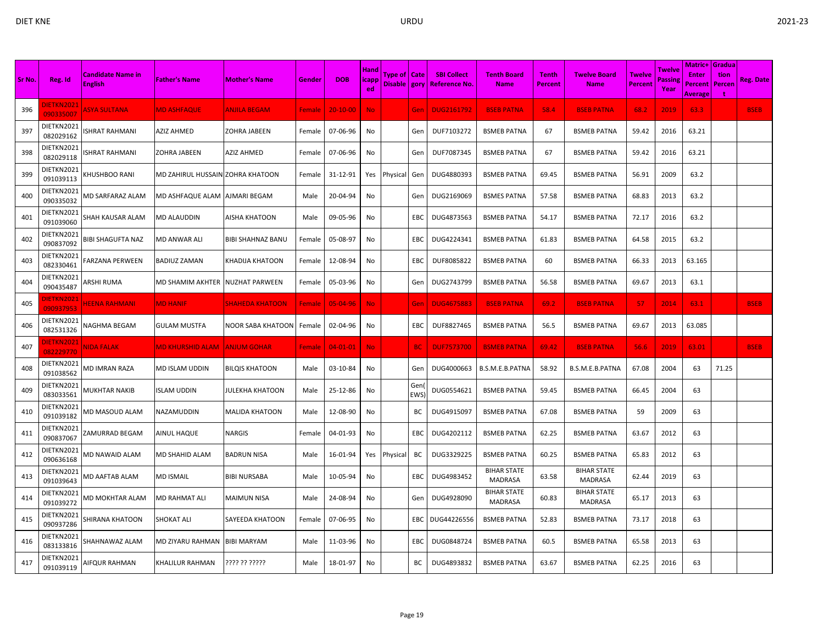| Sr No. | Reg. Id                        | <b>Candidate Name in</b><br><b>English</b> | <b>Father's Name</b>             | <b>Mother's Name</b>   | Gender        | <b>DOB</b>     | <b>Hand</b><br>icapp<br>ed | Type of   Cate<br>Disable   gory |                         | <b>SBI Collect</b><br><u>  Reference No</u> | <b>Tenth Board</b><br><b>Name</b> | <b>Tenth</b><br>Percent | <b>Twelve Board</b><br><b>Name</b>   | <b>Twelve</b><br><b>Percent</b> | Twelve<br>assing<br>Year | <b>Matric+ Gradua</b><br><b>Enter</b><br>Percent<br><b>Average</b> | tion<br>Percen | Reg. Date   |
|--------|--------------------------------|--------------------------------------------|----------------------------------|------------------------|---------------|----------------|----------------------------|----------------------------------|-------------------------|---------------------------------------------|-----------------------------------|-------------------------|--------------------------------------|---------------------------------|--------------------------|--------------------------------------------------------------------|----------------|-------------|
| 396    | <b>DIETKN2021</b><br>090335007 | <b>ASYA SULTANA</b>                        | <b>MD ASHFAQUE</b>               | <b>ANJILA BEGAM</b>    | Female        | $20 - 10 - 00$ | No.                        |                                  | Gen                     | <b>DUG2161792</b>                           | <b>BSEB PATNA</b>                 | 58.4                    | <b>BSEB PATNA</b>                    | 68.2                            | 2019                     | 63.3                                                               |                | <b>BSEB</b> |
| 397    | DIETKN2021<br>082029162        | SHRAT RAHMANI                              | AZIZ AHMED                       | ZOHRA JABEEN           | Female        | 07-06-96       | No                         |                                  | Gen                     | DUF7103272                                  | <b>BSMEB PATNA</b>                | 67                      | <b>BSMEB PATNA</b>                   | 59.42                           | 2016                     | 63.21                                                              |                |             |
| 398    | DIETKN2021<br>082029118        | <b>SHRAT RAHMANI</b>                       | ZOHRA JABEEN                     | AZIZ AHMED             | Female        | 07-06-96       | No                         |                                  | Gen                     | DUF7087345                                  | <b>BSMEB PATNA</b>                | 67                      | <b>BSMEB PATNA</b>                   | 59.42                           | 2016                     | 63.21                                                              |                |             |
| 399    | DIETKN2021<br>091039113        | KHUSHBOO RANI                              | MD ZAHIRUL HUSSAIN ZOHRA KHATOON |                        | Female        | 31-12-91       | Yes                        | Physical                         | Gen                     | DUG4880393                                  | <b>BSMEB PATNA</b>                | 69.45                   | <b>BSMEB PATNA</b>                   | 56.91                           | 2009                     | 63.2                                                               |                |             |
| 400    | DIETKN2021<br>090335032        | MD SARFARAZ ALAM                           | MD ASHFAQUE ALAM                 | AJMARI BEGAM           | Male          | 20-04-94       | No                         |                                  | Gen                     | DUG2169069                                  | <b>BSMES PATNA</b>                | 57.58                   | BSMEB PATNA                          | 68.83                           | 2013                     | 63.2                                                               |                |             |
| 401    | DIETKN2021<br>091039060        | SHAH KAUSAR ALAM                           | <b>MD ALAUDDIN</b>               | AISHA KHATOON          | Male          | 09-05-96       | No                         |                                  | EBC                     | DUG4873563                                  | <b>BSMEB PATNA</b>                | 54.17                   | <b>BSMEB PATNA</b>                   | 72.17                           | 2016                     | 63.2                                                               |                |             |
| 402    | DIETKN2021<br>090837092        | <b>BIBI SHAGUFTA NAZ</b>                   | MD ANWAR ALI                     | BIBI SHAHNAZ BANU      | Female        | 05-08-97       | No                         |                                  | EBC                     | DUG4224341                                  | <b>BSMEB PATNA</b>                | 61.83                   | <b>BSMEB PATNA</b>                   | 64.58                           | 2015                     | 63.2                                                               |                |             |
| 403    | DIETKN2021<br>082330461        | FARZANA PERWEEN                            | <b>BADIUZ ZAMAN</b>              | KHADIJA KHATOON        | Female        | 12-08-94       | No                         |                                  | EBC                     | DUF8085822                                  | <b>BSMEB PATNA</b>                | 60                      | <b>BSMEB PATNA</b>                   | 66.33                           | 2013                     | 63.165                                                             |                |             |
| 404    | DIETKN2021<br>090435487        | ARSHI RUMA                                 | MD SHAMIM AKHTER                 | <b>NUZHAT PARWEEN</b>  | Female        | 05-03-96       | No                         |                                  | Gen                     | DUG2743799                                  | <b>BSMEB PATNA</b>                | 56.58                   | <b>BSMEB PATNA</b>                   | 69.67                           | 2013                     | 63.1                                                               |                |             |
| 405    | DIETKN202:<br>090937953        | <b>IEENA RAHMANI</b>                       | <b>MD HANIF</b>                  | <u>SHAHEDA KHATOON</u> | <b>Female</b> | 05-04-96       | No.                        |                                  | Gen                     | <b>DUG4675883</b>                           | <b>BSEB PATNA</b>                 | 69.2                    | <b>BSEB PATNA</b>                    | 57                              | 2014                     | 63.1                                                               |                | <b>BSEB</b> |
| 406    | DIETKN2021<br>082531326        | NAGHMA BEGAM                               | <b>GULAM MUSTFA</b>              | NOOR SABA KHATOON      | Female        | 02-04-96       | No                         |                                  | EBC                     | DUF8827465                                  | <b>BSMEB PATNA</b>                | 56.5                    | <b>BSMEB PATNA</b>                   | 69.67                           | 2013                     | 63.085                                                             |                |             |
| 407    | )IETKN2021<br>082229770        | NIDA FALAK                                 | <b>MD KHURSHID ALAM</b>          | <b>ANJUM GOHAR</b>     | <b>Female</b> | $04 - 01 - 01$ | No.                        |                                  | <b>BC</b>               | <b>DUF7573700</b>                           | <b>BSMEB PATNA</b>                | 69.42                   | <b>BSEB PATNA</b>                    | 56.6                            | 2019                     | 63.01                                                              |                | <b>BSEB</b> |
| 408    | DIETKN2021<br>091038562        | MD IMRAN RAZA                              | MD ISLAM UDDIN                   | BILQIS KHATOON         | Male          | 03-10-84       | No                         |                                  | Gen                     | DUG4000663                                  | B.S.M.E.B.PATNA                   | 58.92                   | B.S.M.E.B.PATNA                      | 67.08                           | 2004                     | 63                                                                 | 71.25          |             |
| 409    | DIETKN2021<br>083033561        | MUKHTAR NAKIB                              | ISLAM UDDIN                      | IULEKHA KHATOON        | Male          | 25-12-86       | No                         |                                  | Gen<br>EWS <sup>®</sup> | DUG0554621                                  | <b>BSMEB PATNA</b>                | 59.45                   | <b>BSMEB PATNA</b>                   | 66.45                           | 2004                     | 63                                                                 |                |             |
| 410    | DIETKN2021<br>091039182        | MD MASOUD ALAM                             | NAZAMUDDIN                       | MALIDA KHATOON         | Male          | 12-08-90       | No                         |                                  | BC                      | DUG4915097                                  | <b>BSMEB PATNA</b>                | 67.08                   | <b>BSMEB PATNA</b>                   | 59                              | 2009                     | 63                                                                 |                |             |
| 411    | DIETKN2021<br>090837067        | ZAMURRAD BEGAM                             | AINUL HAQUE                      | NARGIS                 | Female        | 04-01-93       | No                         |                                  | EBC                     | DUG4202112                                  | <b>BSMEB PATNA</b>                | 62.25                   | <b>BSMEB PATNA</b>                   | 63.67                           | 2012                     | 63                                                                 |                |             |
| 412    | DIETKN2021<br>090636168        | <b>MD NAWAID ALAM</b>                      | MD SHAHID ALAM                   | BADRUN NISA            | Male          | 16-01-94       | Yes                        | Physical                         | BC                      | DUG3329225                                  | <b>BSMEB PATNA</b>                | 60.25                   | <b>BSMEB PATNA</b>                   | 65.83                           | 2012                     | 63                                                                 |                |             |
| 413    | DIETKN2021<br>091039643        | <b>MD AAFTAB ALAM</b>                      | <b>MD ISMAIL</b>                 | BIBI NURSABA           | Male          | 10-05-94       | No                         |                                  | EBC                     | DUG4983452                                  | <b>BIHAR STATE</b><br>MADRASA     | 63.58                   | <b>BIHAR STATE</b><br><b>MADRASA</b> | 62.44                           | 2019                     | 63                                                                 |                |             |
| 414    | DIETKN2021<br>091039272        | MD MOKHTAR ALAM                            | MD RAHMAT ALI                    | MAIMUN NISA            | Male          | 24-08-94       | No                         |                                  | Gen                     | DUG4928090                                  | <b>BIHAR STATE</b><br>MADRASA     | 60.83                   | <b>BIHAR STATE</b><br><b>MADRASA</b> | 65.17                           | 2013                     | 63                                                                 |                |             |
| 415    | DIETKN2021<br>090937286        | SHIRANA KHATOON                            | <b>SHOKAT ALI</b>                | SAYEEDA KHATOON        | Female        | 07-06-95       | No                         |                                  | EBC                     | DUG44226556                                 | <b>BSMEB PATNA</b>                | 52.83                   | <b>BSMEB PATNA</b>                   | 73.17                           | 2018                     | 63                                                                 |                |             |
| 416    | DIETKN2021<br>083133816        | SHAHNAWAZ ALAM                             | MD ZIYARU RAHMAN                 | <b>BIBI MARYAM</b>     | Male          | 11-03-96       | No                         |                                  | EBC                     | DUG0848724                                  | <b>BSMEB PATNA</b>                | 60.5                    | <b>BSMEB PATNA</b>                   | 65.58                           | 2013                     | 63                                                                 |                |             |
| 417    | DIETKN2021<br>091039119        | AIFQUR RAHMAN                              | KHALILUR RAHMAN                  | ???? ?? ?????          | Male          | 18-01-97       | No                         |                                  | ВC                      | DUG4893832                                  | <b>BSMEB PATNA</b>                | 63.67                   | <b>BSMEB PATNA</b>                   | 62.25                           | 2016                     | 63                                                                 |                |             |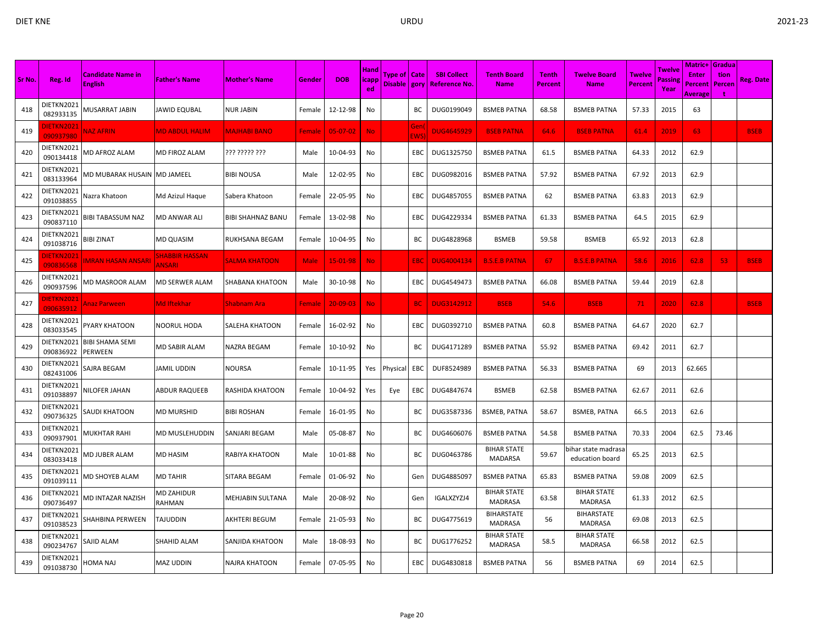|        |                                | <b>Candidate Name in</b>          |                                 |                         |               |                | Hand        | Type of   Cate |                   | <b>SBI Collect</b>  | <b>Tenth Board</b>                   | <b>Tenth</b>   | Twelve Board                          | Twelve         | Twelve         | <b>Matric+ Gradua</b><br><b>Enter</b> | tion   |                  |
|--------|--------------------------------|-----------------------------------|---------------------------------|-------------------------|---------------|----------------|-------------|----------------|-------------------|---------------------|--------------------------------------|----------------|---------------------------------------|----------------|----------------|---------------------------------------|--------|------------------|
| Sr No. | Reg. Id                        | <b>English</b>                    | <b>Father's Name</b>            | <b>Mother's Name</b>    | Gender        | <b>DOB</b>     | icapp<br>ed | Disable   gory |                   | <b>Reference No</b> | <b>Name</b>                          | <b>Percent</b> | <b>Name</b>                           | <b>Percent</b> | Passin<br>Year | Percent<br><b>Average</b>             | Percen | <b>Reg. Date</b> |
| 418    | DIETKN2021<br>082933135        | MUSARRAT JABIN                    | JAWID EQUBAL                    | <b>NUR JABIN</b>        | Female        | 12-12-98       | No          |                | BC                | DUG0199049          | <b>BSMEB PATNA</b>                   | 68.58          | <b>BSMEB PATNA</b>                    | 57.33          | 2015           | 63                                    |        |                  |
| 419    | <b>IETKN2021</b><br>090937980  | <b>NAZ AFRIN</b>                  | <b>MD ABDUL HALIM</b>           | <b>MAJHABI BANO</b>     | Female        | $05-07-02$     | <b>No</b>   |                | Gen<br><b>EWS</b> | <b>DUG4645929</b>   | <b>BSEB PATNA</b>                    | 64.6           | <b>BSEB PATNA</b>                     | 61.4           | 2019           | 63                                    |        | <b>BSEB</b>      |
| 420    | DIETKN2021<br>090134418        | MD AFROZ ALAM                     | MD FIROZ ALAM                   | ??? ????? ???           | Male          | 10-04-93       | No          |                | <b>EBC</b>        | DUG1325750          | <b>BSMEB PATNA</b>                   | 61.5           | <b>BSMEB PATNA</b>                    | 64.33          | 2012           | 62.9                                  |        |                  |
| 421    | DIETKN2021<br>083133964        | MD MUBARAK HUSAIN                 | <b>MD JAMEEL</b>                | <b>BIBI NOUSA</b>       | Male          | 12-02-95       | No          |                | EBC               | DUG0982016          | <b>BSMEB PATNA</b>                   | 57.92          | <b>BSMEB PATNA</b>                    | 67.92          | 2013           | 62.9                                  |        |                  |
| 422    | DIETKN2021<br>091038855        | Nazra Khatoon                     | Md Azizul Haque                 | Sabera Khatoon          | Female        | 22-05-95       | No          |                | EBC               | DUG4857055          | <b>BSMEB PATNA</b>                   | 62             | <b>BSMEB PATNA</b>                    | 63.83          | 2013           | 62.9                                  |        |                  |
| 423    | DIETKN2021<br>090837110        | <b>BIBI TABASSUM NAZ</b>          | MD ANWAR ALI                    | BIBI SHAHNAZ BANU       | Female        | 13-02-98       | No          |                | EBC               | DUG4229334          | <b>BSMEB PATNA</b>                   | 61.33          | <b>BSMEB PATNA</b>                    | 64.5           | 2015           | 62.9                                  |        |                  |
| 424    | DIETKN2021<br>091038716        | BIBI ZINAT                        | <b>MD QUASIM</b>                | RUKHSANA BEGAM          | Female        | 10-04-95       | No          |                | ВC                | DUG4828968          | <b>BSMEB</b>                         | 59.58          | <b>BSMEB</b>                          | 65.92          | 2013           | 62.8                                  |        |                  |
| 425    | <b>DIETKN2021</b><br>090836568 | <b>MRAN HASAN ANSAR</b>           | SHABBIR HASSAN<br><b>ANSARI</b> | <b>SALMA KHATOON</b>    | <b>Male</b>   | 15-01-98       | <b>No</b>   |                | <b>EBC</b>        | <b>DUG4004134</b>   | <b>B.S.E.B PATNA</b>                 | 67             | <b>B.S.E.B PATNA</b>                  | 58.6           | 2016           | 62.8                                  | 53     | <b>BSEB</b>      |
| 426    | DIETKN2021<br>090937596        | VID MASROOR ALAM                  | MD SERWER ALAM                  | SHABANA KHATOON         | Male          | 30-10-98       | No          |                | EBC               | DUG4549473          | <b>BSMEB PATNA</b>                   | 66.08          | <b>BSMEB PATNA</b>                    | 59.44          | 2019           | 62.8                                  |        |                  |
| 427    | <b>DIETKN2021</b><br>090635912 | <b>Anaz Parween</b>               | <b>Md Iftekhar</b>              | Shabnam Aral            | <b>Female</b> | $20 - 09 - 03$ | No.         |                | <b>BC</b>         | <b>DUG3142912</b>   | <b>BSEB</b>                          | 54.6           | <b>BSEB</b>                           | 71             | 2020           | 62.8                                  |        | <b>BSEB</b>      |
| 428    | DIETKN2021<br>083033545        | PYARY KHATOON                     | NOORUL HODA                     | SALEHA KHATOON          | Female        | 16-02-92       | No          |                | EBC               | DUG0392710          | <b>BSMEB PATNA</b>                   | 60.8           | <b>BSMEB PATNA</b>                    | 64.67          | 2020           | 62.7                                  |        |                  |
| 429    | DIETKN2021<br>090836922        | <b>BIBI SHAMA SEMI</b><br>PERWEEN | MD SABIR ALAM                   | NAZRA BEGAM             | Female        | 10-10-92       | No          |                | BС                | DUG4171289          | <b>BSMEB PATNA</b>                   | 55.92          | <b>BSMEB PATNA</b>                    | 69.42          | 2011           | 62.7                                  |        |                  |
| 430    | DIETKN2021<br>082431006        | <b>SAJRA BEGAM</b>                | JAMIL UDDIN                     | NOURSA                  | Female        | 10-11-95       | Yes         | Physical       | EBC               | DUF8524989          | <b>BSMEB PATNA</b>                   | 56.33          | <b>BSMEB PATNA</b>                    | -69            | 2013           | 62.665                                |        |                  |
| 431    | DIETKN2021<br>091038897        | NILOFER JAHAN                     | ABDUR RAQUEEB                   | RASHIDA KHATOON         | Female        | 10-04-92       | Yes         | Eye            | EBC               | DUG4847674          | <b>BSMEB</b>                         | 62.58          | <b>BSMEB PATNA</b>                    | 62.67          | 2011           | 62.6                                  |        |                  |
| 432    | DIETKN2021<br>090736325        | <b>SAUDI KHATOON</b>              | MD MURSHID                      | <b>BIBI ROSHAN</b>      | Female        | 16-01-95       | No          |                | BC                | DUG3587336          | <b>BSMEB, PATNA</b>                  | 58.67          | <b>BSMEB, PATNA</b>                   | 66.5           | 2013           | 62.6                                  |        |                  |
| 433    | DIETKN2021<br>090937901        | MUKHTAR RAHI                      | MD MUSLEHUDDIN                  | SANJARI BEGAM           | Male          | 05-08-87       | No          |                | ВC                | DUG4606076          | <b>BSMEB PATNA</b>                   | 54.58          | <b>BSMEB PATNA</b>                    | 70.33          | 2004           | 62.5                                  | 73.46  |                  |
| 434    | DIETKN2021<br>083033418        | MD JUBER ALAM                     | MD HASIM                        | RABIYA KHATOON          | Male          | 10-01-88       | No          |                | ВC                | DUG0463786          | <b>BIHAR STATE</b><br><b>MADARSA</b> | 59.67          | ihar state madrasa<br>education board | 65.25          | 2013           | 62.5                                  |        |                  |
| 435    | DIETKN2021<br>091039111        | MD SHOYEB ALAM                    | <b>MD TAHIR</b>                 | <b>SITARA BEGAM</b>     | Female        | 01-06-92       | No          |                | Gen               | DUG4885097          | <b>BSMEB PATNA</b>                   | 65.83          | <b>BSMEB PATNA</b>                    | 59.08          | 2009           | 62.5                                  |        |                  |
| 436    | DIETKN2021<br>090736497        | MD INTAZAR NAZISH                 | MD ZAHIDUR<br>RAHMAN            | <b>MEHJABIN SULTANA</b> | Male          | 20-08-92       | No          |                | Gen               | IGALXZYZJ4          | <b>BIHAR STATE</b><br><b>MADRASA</b> | 63.58          | <b>BIHAR STATE</b><br><b>MADRASA</b>  | 61.33          | 2012           | 62.5                                  |        |                  |
| 437    | DIETKN2021<br>091038523        | SHAHBINA PERWEEN                  | TAJUDDIN                        | <b>AKHTERI BEGUM</b>    | Female        | 21-05-93       | No          |                | BС                | DUG4775619          | <b>BIHARSTATE</b><br>MADRASA         | 56             | <b>BIHARSTATE</b><br><b>MADRASA</b>   | 69.08          | 2013           | 62.5                                  |        |                  |
| 438    | DIETKN2021<br>090234767        | SAJID ALAM                        | SHAHID ALAM                     | SANJIDA KHATOON         | Male          | 18-08-93       | No          |                | BС                | DUG1776252          | <b>BIHAR STATE</b><br><b>MADRASA</b> | 58.5           | <b>BIHAR STATE</b><br><b>MADRASA</b>  | 66.58          | 2012           | 62.5                                  |        |                  |
| 439    | DIETKN2021<br>091038730        | HOMA NAJ                          | <b>MAZ UDDIN</b>                | <b>NAJRA KHATOON</b>    | Female        | 07-05-95       | No          |                | EBC               | DUG4830818          | <b>BSMEB PATNA</b>                   | 56             | <b>BSMEB PATNA</b>                    | 69             | 2014           | 62.5                                  |        |                  |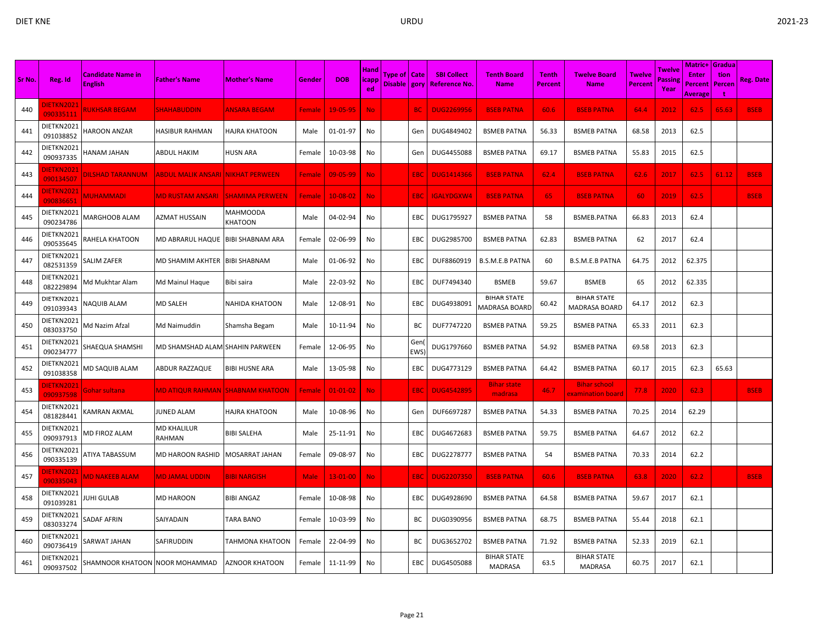| Sr No. | Reg. Id                        | <b>Candidate Name in</b><br><b>English</b> | <b>Father's Name</b>                           | <b>Mother's Name</b>       | Gender      | <b>DOB</b>     | <b>Hand</b><br><b>licapp</b><br>ed | Type of   Cate<br>Disable gory |            | <b>SBI Collect</b><br><b>Reference No</b> | <b>Tenth Board</b><br><b>Name</b>          | <b>Tenth</b><br><b>Percent</b> | <b>Twelve Board</b><br><b>Name</b>         | Twelve<br><b>Percent</b> | Twelve<br>Passing<br>Year | <b>Matric+ Gradua</b><br>Enter<br>Percent<br>Average | tion<br>Percen<br>Ť | <b>Reg. Date</b> |
|--------|--------------------------------|--------------------------------------------|------------------------------------------------|----------------------------|-------------|----------------|------------------------------------|--------------------------------|------------|-------------------------------------------|--------------------------------------------|--------------------------------|--------------------------------------------|--------------------------|---------------------------|------------------------------------------------------|---------------------|------------------|
| 440    | DIETKN2021<br>090335111        | <b>RUKHSAR BEGAM</b>                       | <b>SHAHABUDDIN</b>                             | ANSARA BEGAM               | Female      | 19-05-95       | No.                                |                                | BC         | <b>DUG2269956</b>                         | <b>BSEB PATNA</b>                          | 60.6                           | <b>BSEB PATNA</b>                          | 64.4                     | 2012                      | 62.5                                                 | 65.63               | <b>BSEB</b>      |
| 441    | DIETKN2021<br>091038852        | <b>HAROON ANZAR</b>                        | <b>HASIBUR RAHMAN</b>                          | <b>HAJRA KHATOON</b>       | Male        | 01-01-97       | No                                 |                                | Gen        | DUG4849402                                | <b>BSMEB PATNA</b>                         | 56.33                          | <b>BSMEB PATNA</b>                         | 68.58                    | 2013                      | 62.5                                                 |                     |                  |
| 442    | DIETKN2021<br>090937335        | HANAM JAHAN                                | ABDUL HAKIM                                    | HUSN ARA                   | Female      | 10-03-98       | No                                 |                                | Gen        | DUG4455088                                | <b>BSMEB PATNA</b>                         | 69.17                          | <b>BSMEB PATNA</b>                         | 55.83                    | 2015                      | 62.5                                                 |                     |                  |
| 443    | <b>IETKN2021</b><br>090134507  | <u>DILSHAD TARANNUM</u>                    | <u>ABDUL MALIK ANSARI  NIKHAT PERWEEN</u>      |                            | Female      | 09-05-99       | <b>No</b>                          |                                | <b>EBC</b> | <b>DUG1414366</b>                         | <b>BSEB PATNA</b>                          | 62.4                           | <b>BSEB PATNA</b>                          | 62.6                     | 2017                      | 62.5                                                 | 61.12               | <b>BSEB</b>      |
| 444    | DIETKN2021<br>090836651        | <b>MUHAMMADI</b>                           | <b>MD RUSTAM ANSARI</b>                        | <b>SHAMIMA PERWEEN</b>     | Female      | $10 - 08 - 02$ | <b>No</b>                          |                                | EBC        | <b>IGALYDGXW4</b>                         | <b>BSEB PATNA</b>                          | 65                             | <b>BSEB PATNA</b>                          | 60                       | 2019                      | 62.5                                                 |                     | <b>BSEB</b>      |
| 445    | DIETKN2021<br>090234786        | MARGHOOB ALAM                              | AZMAT HUSSAIN                                  | <b>MAHMOODA</b><br>KHATOON | Male        | 04-02-94       | No                                 |                                | EBC        | DUG1795927                                | <b>BSMEB PATNA</b>                         | 58                             | <b>BSMEB.PATNA</b>                         | 66.83                    | 2013                      | 62.4                                                 |                     |                  |
| 446    | DIETKN2021<br>090535645        | RAHELA KHATOON                             | MD ABRARUL HAQUE                               | <b>BIBI SHABNAM ARA</b>    | Female      | 02-06-99       | No                                 |                                | EBC        | DUG2985700                                | <b>BSMEB PATNA</b>                         | 62.83                          | <b>BSMEB PATNA</b>                         | 62                       | 2017                      | 62.4                                                 |                     |                  |
| 447    | DIETKN2021<br>082531359        | <b>SALIM ZAFER</b>                         | MD SHAMIM AKHTER                               | <b>BIBI SHABNAM</b>        | Male        | 01-06-92       | No                                 |                                | EBC        | DUF8860919                                | <b>B.S.M.E.B PATNA</b>                     | 60                             | <b>B.S.M.E.B PATNA</b>                     | 64.75                    | 2012                      | 62.375                                               |                     |                  |
| 448    | DIETKN2021<br>082229894        | Md Mukhtar Alam                            | Md Mainul Haque                                | Bibi saira                 | Male        | 22-03-92       | No                                 |                                | EBC        | DUF7494340                                | <b>BSMEB</b>                               | 59.67                          | <b>BSMEB</b>                               | 65                       | 2012                      | 62.335                                               |                     |                  |
| 449    | DIETKN2021<br>091039343        | <b>NAQUIB ALAM</b>                         | <b>MD SALEH</b>                                | <b>NAHIDA KHATOON</b>      | Male        | 12-08-91       | No                                 |                                | EBC        | DUG4938091                                | <b>BIHAR STATE</b><br><b>MADRASA BOARD</b> | 60.42                          | <b>BIHAR STATE</b><br><b>MADRASA BOARD</b> | 64.17                    | 2012                      | 62.3                                                 |                     |                  |
| 450    | DIETKN2021<br>083033750        | Md Nazim Afzal                             | Md Naimuddin                                   | Shamsha Begam              | Male        | 10-11-94       | No                                 |                                | BС         | DUF7747220                                | <b>BSMEB PATNA</b>                         | 59.25                          | <b>BSMEB PATNA</b>                         | 65.33                    | 2011                      | 62.3                                                 |                     |                  |
| 451    | DIETKN2021<br>090234777        | SHAEQUA SHAMSHI                            | MD SHAMSHAD ALAM SHAHIN PARWEEN                |                            | Female      | 12-06-95       | No                                 |                                | Gen<br>EWS | DUG1797660                                | <b>BSMEB PATNA</b>                         | 54.92                          | <b>BSMEB PATNA</b>                         | 69.58                    | 2013                      | 62.3                                                 |                     |                  |
| 452    | DIETKN2021<br>091038358        | MD SAQUIB ALAM                             | ABDUR RAZZAQUE                                 | <b>BIBI HUSNE ARA</b>      | Male        | 13-05-98       | No                                 |                                | EBC        | DUG4773129                                | <b>BSMEB PATNA</b>                         | 64.42                          | <b>BSMEB PATNA</b>                         | 60.17                    | 2015                      | 62.3                                                 | 65.63               |                  |
| 453    | <b>DIETKN2021</b><br>090937598 | Gohar sultanal                             | <mark>MD ATIQUR RAHMAN  SHABNAM KHATOON</mark> |                            | Female      | $01 - 01 - 02$ | <b>No</b>                          |                                | <b>EBC</b> | <b>DUG4542895</b>                         | <b>Bihar state</b><br>madrasa              | 46.7                           | <b>Bihar school</b><br>examination board   | 77.8                     | 2020                      | 62.3                                                 |                     | <b>BSEB</b>      |
| 454    | DIETKN2021<br>081828441        | KAMRAN AKMAL                               | <b>JUNED ALAM</b>                              | <b>HAJRA KHATOON</b>       | Male        | 10-08-96       | No                                 |                                | Gen        | DUF6697287                                | <b>BSMEB PATNA</b>                         | 54.33                          | <b>BSMEB PATNA</b>                         | 70.25                    | 2014                      | 62.29                                                |                     |                  |
| 455    | DIETKN2021<br>090937913        | MD FIROZ ALAM                              | MD KHALILUR<br>RAHMAN                          | <b>BIBI SALEHA</b>         | Male        | 25-11-91       | No                                 |                                | EBC        | DUG4672683                                | <b>BSMEB PATNA</b>                         | 59.75                          | <b>BSMEB PATNA</b>                         | 64.67                    | 2012                      | 62.2                                                 |                     |                  |
| 456    | DIETKN2021<br>090335139        | ATIYA TABASSUM                             | MD HAROON RASHID                               | <b>MOSARRAT JAHAN</b>      | Female      | 09-08-97       | No                                 |                                | EBC        | DUG2278777                                | <b>BSMEB PATNA</b>                         | 54                             | <b>BSMEB PATNA</b>                         | 70.33                    | 2014                      | 62.2                                                 |                     |                  |
| 457    | DIETKN2021<br>090335043        | <b>MD NAKEEB ALAM</b>                      | <b>MD JAMAL UDDIN</b>                          | <b>BIBI NARGISH</b>        | <b>Male</b> | $13 - 01 - 00$ | <b>No</b>                          |                                | <b>EBC</b> | <b>DUG2207350</b>                         | <b>BSEB PATNA</b>                          | 60.6                           | <b>BSEB PATNA</b>                          | 63.8                     | 2020                      | 62.2                                                 |                     | <b>BSEB</b>      |
| 458    | DIETKN2021<br>091039281        | IUHI GULAB                                 | MD HAROON                                      | <b>BIBI ANGAZ</b>          | Female      | 10-08-98       | No                                 |                                | EBC        | DUG4928690                                | <b>BSMEB PATNA</b>                         | 64.58                          | <b>BSMEB PATNA</b>                         | 59.67                    | 2017                      | 62.1                                                 |                     |                  |
| 459    | DIETKN2021<br>083033274        | SADAF AFRIN                                | SAIYADAIN                                      | <b>TARA BANO</b>           | Female      | 10-03-99       | No                                 |                                | BC         | DUG0390956                                | <b>BSMEB PATNA</b>                         | 68.75                          | <b>BSMEB PATNA</b>                         | 55.44                    | 2018                      | 62.1                                                 |                     |                  |
| 460    | DIETKN2021<br>090736419        | <b>SARWAT JAHAN</b>                        | SAFIRUDDIN                                     | TAHMONA KHATOON            | Female      | 22-04-99       | No                                 |                                | BC         | DUG3652702                                | <b>BSMEB PATNA</b>                         | 71.92                          | <b>BSMEB PATNA</b>                         | 52.33                    | 2019                      | 62.1                                                 |                     |                  |
| 461    | DIETKN2021<br>090937502        | SHAMNOOR KHATOON NOOR MOHAMMAD             |                                                | <b>AZNOOR KHATOON</b>      | Female      | 11-11-99       | No                                 |                                | EBC        | DUG4505088                                | <b>BIHAR STATE</b><br>MADRASA              | 63.5                           | <b>BIHAR STATE</b><br><b>MADRASA</b>       | 60.75                    | 2017                      | 62.1                                                 |                     |                  |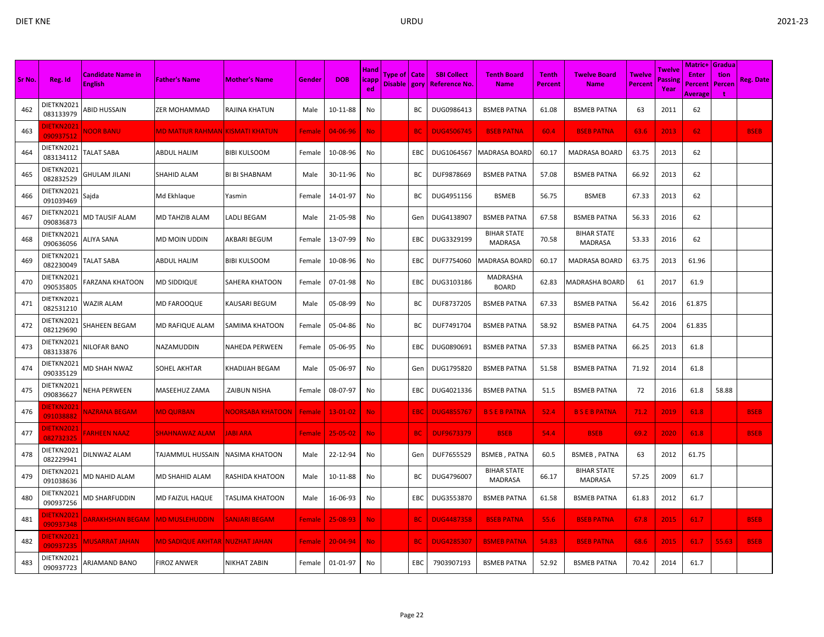|        |                               |                                            |                                        |                         |        |                |                              |                                  |           |                                            |                                      |                  |                                      |                   |                           | <b>Matric+ Gradual</b>                    |                |                  |
|--------|-------------------------------|--------------------------------------------|----------------------------------------|-------------------------|--------|----------------|------------------------------|----------------------------------|-----------|--------------------------------------------|--------------------------------------|------------------|--------------------------------------|-------------------|---------------------------|-------------------------------------------|----------------|------------------|
| Sr No. | Reg. Id                       | <b>Candidate Name in</b><br><b>English</b> | <b>Father's Name</b>                   | <b>Mother's Name</b>    | Gender | <b>DOB</b>     | Hand<br><b>licapp</b><br>ed. | Type of   Cate<br>Disable   gory |           | <b>SBI Collect</b><br><b>Reference No.</b> | <b>Tenth Board</b><br><b>Name</b>    | Tenth<br>Percent | <b>Twelve Board</b><br><b>Name</b>   | Twelve<br>Percent | Twelve<br>Passing<br>Year | <b>Enter</b><br>Percent<br><b>Average</b> | tion<br>Percen | <b>Reg. Date</b> |
| 462    | DIETKN2021<br>083133979       | ABID HUSSAIN                               | <b>ZER MOHAMMAD</b>                    | RAJINA KHATUN           | Male   | 10-11-88       | No                           |                                  | BC        | DUG0986413                                 | <b>BSMEB PATNA</b>                   | 61.08            | <b>BSMEB PATNA</b>                   | 63                | 2011                      | 62                                        |                |                  |
| 463    | <b>IETKN202</b><br>090937512  | <b>NOOR BANU</b>                           | MD MATIUR RAHMAN KISMATI KHATUN        |                         | Female | $04 - 06 - 96$ | <b>No</b>                    |                                  | <b>BC</b> | <b>DUG4506745</b>                          | <b>BSEB PATNA</b>                    | 60.4             | <b>BSEB PATNA</b>                    | 63.6              | 2013                      | 62                                        |                | <b>BSEB</b>      |
| 464    | DIETKN2021<br>083134112       | <b>TALAT SABA</b>                          | <b>ABDUL HALIM</b>                     | <b>BIBI KULSOOM</b>     | Female | 10-08-96       | No                           |                                  | EBC       | DUG1064567                                 | <b>MADRASA BOARD</b>                 | 60.17            | MADRASA BOARD                        | 63.75             | 2013                      | 62                                        |                |                  |
| 465    | DIETKN2021<br>082832529       | GHULAM JILANI                              | <b>SHAHID ALAM</b>                     | <b>BI BI SHABNAM</b>    | Male   | 30-11-96       | No                           |                                  | BC        | DUF9878669                                 | <b>BSMEB PATNA</b>                   | 57.08            | <b>BSMEB PATNA</b>                   | 66.92             | 2013                      | 62                                        |                |                  |
| 466    | DIETKN2021<br>091039469       | Sajda                                      | Md Ekhlaque                            | Yasmin                  | Female | 14-01-97       | No                           |                                  | BC        | DUG4951156                                 | <b>BSMEB</b>                         | 56.75            | <b>BSMEB</b>                         | 67.33             | 2013                      | 62                                        |                |                  |
| 467    | DIETKN2021<br>090836873       | <b>MD TAUSIF ALAM</b>                      | MD TAHZIB ALAM                         | <b>LADLI BEGAM</b>      | Male   | 21-05-98       | No                           |                                  | Gen       | DUG4138907                                 | <b>BSMEB PATNA</b>                   | 67.58            | <b>BSMEB PATNA</b>                   | 56.33             | 2016                      | 62                                        |                |                  |
| 468    | DIETKN2021<br>090636056       | ALIYA SANA                                 | <b>MD MOIN UDDIN</b>                   | AKBARI BEGUM            | Female | 13-07-99       | No                           |                                  | EBC       | DUG3329199                                 | <b>BIHAR STATE</b><br><b>MADRASA</b> | 70.58            | <b>BIHAR STATE</b><br><b>MADRASA</b> | 53.33             | 2016                      | 62                                        |                |                  |
| 469    | DIETKN2021<br>082230049       | <b>FALAT SABA</b>                          | <b>ABDUL HALIM</b>                     | <b>BIBI KULSOOM</b>     | Female | 10-08-96       | No                           |                                  | EBC       | DUF7754060                                 | <b>MADRASA BOARD</b>                 | 60.17            | <b>MADRASA BOARD</b>                 | 63.75             | 2013                      | 61.96                                     |                |                  |
| 470    | DIETKN2021<br>090535805       | FARZANA KHATOON                            | <b>MD SIDDIQUE</b>                     | <b>SAHERA KHATOON</b>   | Female | 07-01-98       | No                           |                                  | EBC       | DUG3103186                                 | MADRASHA<br><b>BOARD</b>             | 62.83            | MADRASHA BOARD                       | 61                | 2017                      | 61.9                                      |                |                  |
| 471    | DIETKN2021<br>082531210       | WAZIR ALAM                                 | <b>MD FAROOQUE</b>                     | KAUSARI BEGUM           | Male   | 05-08-99       | No                           |                                  | BC        | DUF8737205                                 | <b>BSMEB PATNA</b>                   | 67.33            | <b>BSMEB PATNA</b>                   | 56.42             | 2016                      | 61.875                                    |                |                  |
| 472    | DIETKN2021<br>082129690       | SHAHEEN BEGAM                              | <b>MD RAFIQUE ALAM</b>                 | SAMIMA KHATOON          | Female | 05-04-86       | No                           |                                  | BС        | DUF7491704                                 | <b>BSMEB PATNA</b>                   | 58.92            | <b>BSMEB PATNA</b>                   | 64.75             | 2004                      | 61.835                                    |                |                  |
| 473    | DIETKN2021<br>083133876       | <b>NILOFAR BANO</b>                        | NAZAMUDDIN                             | NAHEDA PERWEEN          | Female | 05-06-95       | No                           |                                  | EBC.      | DUG0890691                                 | <b>BSMEB PATNA</b>                   | 57.33            | <b>BSMEB PATNA</b>                   | 66.25             | 2013                      | 61.8                                      |                |                  |
| 474    | DIETKN202:<br>090335129       | <b>MD SHAH NWAZ</b>                        | SOHEL AKHTAR                           | KHADIJAH BEGAM          | Male   | 05-06-97       | No                           |                                  | Gen       | DUG1795820                                 | <b>BSMEB PATNA</b>                   | 51.58            | <b>BSMEB PATNA</b>                   | 71.92             | 2014                      | 61.8                                      |                |                  |
| 475    | DIETKN2021<br>090836627       | <b>NEHA PERWEEN</b>                        | MASEEHUZ ZAMA                          | <b>ZAIBUN NISHA</b>     | Female | 08-07-97       | No                           |                                  | EBC       | DUG4021336                                 | <b>BSMEB PATNA</b>                   | 51.5             | <b>BSMEB PATNA</b>                   | 72                | 2016                      | 61.8                                      | 58.88          |                  |
| 476    | DIETKN2021<br>091038882       | <b>VAZRANA BEGAM</b>                       | <b>MD QURBAN</b>                       | <b>NOORSABA KHATOON</b> | Female | $13 - 01 - 02$ | <b>No</b>                    |                                  | EBC       | <b>DUG4855767</b>                          | <b>BSEBPATNA</b>                     | 52.4             | <b>B S E B PATNA</b>                 | 71.2              | 2019                      | 61.8                                      |                | <b>BSEB</b>      |
| 477    | <b>IETKN2021</b><br>082732325 | <b>ARHEEN NAAZ</b>                         | <b>SHAHNAWAZ ALAM</b>                  | <b>JABI ARA</b>         | Female | $25 - 05 - 02$ | <b>No</b>                    |                                  | <b>BC</b> | <b>DUF9673379</b>                          | <b>BSEB</b>                          | 54.4             | <b>BSEB</b>                          | 69.2              | 2020                      | 61.8                                      |                | <b>BSEB</b>      |
| 478    | DIETKN2021<br>082229941       | DILNWAZ ALAM                               | <b>TAJAMMUL HUSSAIN</b>                | <b>NASIMA KHATOON</b>   | Male   | 22-12-94       | No                           |                                  | Gen       | DUF7655529                                 | <b>BSMEB, PATNA</b>                  | 60.5             | <b>BSMEB, PATNA</b>                  | 63                | 2012                      | 61.75                                     |                |                  |
| 479    | DIETKN2021<br>091038636       | <b>MD NAHID ALAM</b>                       | <b>MD SHAHID ALAM</b>                  | <b>RASHIDA KHATOON</b>  | Male   | 10-11-88       | No                           |                                  | ВC        | DUG4796007                                 | <b>BIHAR STATE</b><br><b>MADRASA</b> | 66.17            | <b>BIHAR STATE</b><br>MADRASA        | 57.25             | 2009                      | 61.7                                      |                |                  |
| 480    | DIETKN2021<br>090937256       | <b>MD SHARFUDDIN</b>                       | <b>MD FAIZUL HAQUE</b>                 | TASLIMA KHATOON         | Male   | 16-06-93       | No                           |                                  | EBC       | DUG3553870                                 | <b>BSMEB PATNA</b>                   | 61.58            | <b>BSMEB PATNA</b>                   | 61.83             | 2012                      | 61.7                                      |                |                  |
| 481    | DIETKN202:<br>090937348       | DARAKHSHAN BEGAM                           | <b>MD MUSLEHUDDIN</b>                  | <b>SANJARI BEGAM</b>    | Female | $25 - 08 - 93$ | <b>No</b>                    |                                  | <b>BC</b> | <b>DUG4487358</b>                          | <b>BSEB PATNA</b>                    | 55.6             | <b>BSEB PATNA</b>                    | 67.8              | 2015                      | 61.7                                      |                | <b>BSEB</b>      |
| 482    | <b>IETKN2021</b><br>090937235 | <b>MUSARRAT JAHAN</b>                      | <u>MD SADIQUE AKHTAR  NUZHAT JAHAN</u> |                         | Female | $20 - 04 - 94$ | <b>No</b>                    |                                  | <b>BC</b> | <b>DUG4285307</b>                          | <b>BSMEB PATNA</b>                   | 54.83            | <b>BSEB PATNA</b>                    | 68.6              | 2015                      | 61.7                                      | 55.63          | <b>BSEB</b>      |
| 483    | DIETKN2021<br>090937723       | ARJAMAND BANO                              | <b>FIROZ ANWER</b>                     | NIKHAT ZABIN            | Female | 01-01-97       | No                           |                                  | EBC       | 7903907193                                 | <b>BSMEB PATNA</b>                   | 52.92            | <b>BSMEB PATNA</b>                   | 70.42             | 2014                      | 61.7                                      |                |                  |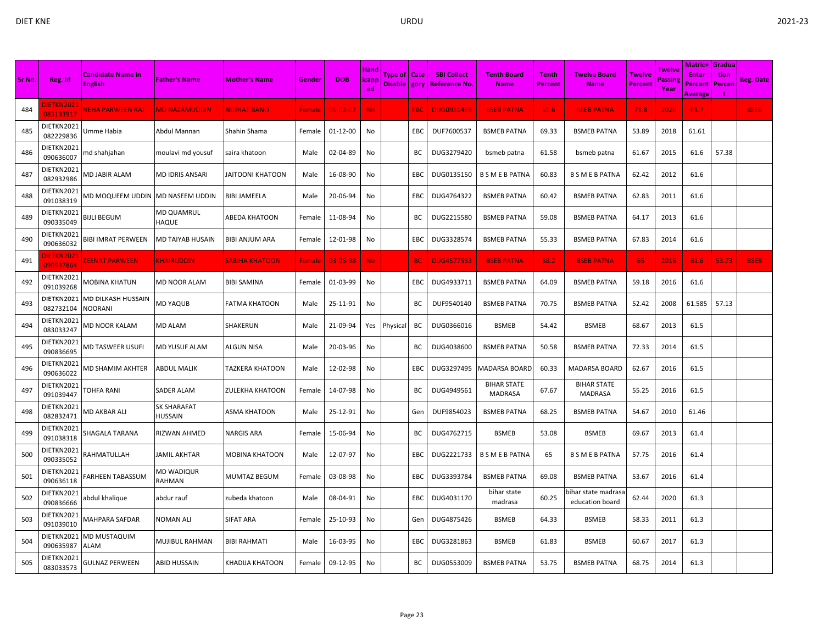| Sr No. | Reg. Id                       | <b>Candidate Name in</b><br><b>English</b> | <b>Father's Name</b>   | <b>Mother's Name</b>   | Gender        | <b>DOB</b>     | <b>Hand</b><br><b>licapp</b> | Type of   Cate<br>Disable   gory |            | <b>SBI Collect</b><br><b>Reference No</b> | <b>Tenth Board</b><br><b>Name</b>    | <b>Tenth</b><br><b>Percent</b> | <b>Twelve Board</b><br><b>Name</b>     | Twelve<br><b>Percent</b> | Twelve<br>assine | Matric+<br>Enter<br>Percent | <b>Gradua</b><br>tion<br>Percen | <b>Reg. Date</b> |
|--------|-------------------------------|--------------------------------------------|------------------------|------------------------|---------------|----------------|------------------------------|----------------------------------|------------|-------------------------------------------|--------------------------------------|--------------------------------|----------------------------------------|--------------------------|------------------|-----------------------------|---------------------------------|------------------|
|        |                               |                                            |                        |                        |               |                | ed.                          |                                  |            |                                           |                                      |                                |                                        |                          | Year             | Average                     |                                 |                  |
| 484    | DIETKN2021<br>083133917       | NEHA PARWEEN RAJ                           | <b>MD NAZAMUDDIN</b>   | <b>NUJHAT BANO</b>     | <b>Female</b> | $05 - 02 - 02$ | No                           |                                  | <b>EBC</b> | <b>DUG0931469</b>                         | <b>BSEB PATNA</b>                    | 51.6                           | <b>BSEB PATNA</b>                      | 71.8                     | 2020             | 61.7                        |                                 | <b>BSEB</b>      |
| 485    | DIETKN2021<br>082229836       | Umme Habia                                 | Abdul Mannan           | Shahin Shama           | Female        | 01-12-00       | No                           |                                  | ЕВС        | DUF7600537                                | <b>BSMEB PATNA</b>                   | 69.33                          | <b>BSMEB PATNA</b>                     | 53.89                    | 2018             | 61.61                       |                                 |                  |
| 486    | DIETKN2021<br>090636007       | md shahjahan                               | moulavi md yousuf      | saira khatoon          | Male          | 02-04-89       | No                           |                                  | BС         | DUG3279420                                | bsmeb patna                          | 61.58                          | bsmeb patna                            | 61.67                    | 2015             | 61.6                        | 57.38                           |                  |
| 487    | DIETKN2021<br>082932986       | MD JABIR ALAM                              | MD IDRIS ANSARI        | JAITOONI KHATOON       | Male          | 16-08-90       | No                           |                                  | EBC        | DUG0135150                                | <b>B S M E B PATNA</b>               | 60.83                          | <b>B S M E B PATNA</b>                 | 62.42                    | 2012             | 61.6                        |                                 |                  |
| 488    | DIETKN2021<br>091038319       | MD MOQUEEM UDDIN                           | MD NASEEM UDDIN        | <b>BIBI JAMEELA</b>    | Male          | 20-06-94       | No                           |                                  | EBC        | DUG4764322                                | <b>BSMEB PATNA</b>                   | 60.42                          | <b>BSMEB PATNA</b>                     | 62.83                    | 2011             | 61.6                        |                                 |                  |
| 489    | DIETKN2021<br>090335049       | <b>BIJLI BEGUM</b>                         | MD QUAMRUL<br>HAQUE    | ABEDA KHATOON          | Female        | 11-08-94       | No                           |                                  | ВC         | DUG2215580                                | <b>BSMEB PATNA</b>                   | 59.08                          | <b>BSMEB PATNA</b>                     | 64.17                    | 2013             | 61.6                        |                                 |                  |
| 490    | DIETKN2021<br>090636032       | BIBI IMRAT PERWEEN                         | MD TAIYAB HUSAIN       | BIBI ANJUM ARA         | Female        | 12-01-98       | No                           |                                  | ЕВС        | DUG3328574                                | <b>BSMEB PATNA</b>                   | 55.33                          | <b>BSMEB PATNA</b>                     | 67.83                    | 2014             | 61.6                        |                                 |                  |
| 491    | <b>JETKN2021</b><br>090937864 | <b>ZEENAT PARWEEN</b>                      | <b>KHAIRUDDIN</b>      | <b>SABIHA KHATOON</b>  | Female        | 03-05-98       | <b>No</b>                    |                                  | <b>BC</b>  | <b>DUG4577553</b>                         | <b>BSEB PATNA</b>                    | 58.2                           | <b>BSEB PATNA</b>                      | 65                       | 2016             | 61.6                        | 53.73                           | <b>BSEB</b>      |
| 492    | DIETKN2021<br>091039268       | MOBINA KHATUN                              | MD NOOR ALAM           | <b>BIBI SAMINA</b>     | Female        | 01-03-99       | No                           |                                  | EBC        | DUG4933711                                | <b>BSMEB PATNA</b>                   | 64.09                          | <b>BSMEB PATNA</b>                     | 59.18                    | 2016             | 61.6                        |                                 |                  |
| 493    | DIETKN2021<br>082732104       | MD DILKASH HUSSAIN<br><b>NOORANI</b>       | <b>MD YAQUB</b>        | <b>FATMA KHATOON</b>   | Male          | 25-11-91       | No                           |                                  | BС         | DUF9540140                                | <b>BSMEB PATNA</b>                   | 70.75                          | <b>BSMEB PATNA</b>                     | 52.42                    | 2008             | 61.585                      | 57.13                           |                  |
| 494    | DIETKN2021<br>083033247       | MD NOOR KALAM                              | MD ALAM                | SHAKERUN               | Male          | 21-09-94       |                              | Yes Physical                     | BC         | DUG0366016                                | <b>BSMEB</b>                         | 54.42                          | <b>BSMEB</b>                           | 68.67                    | 2013             | 61.5                        |                                 |                  |
| 495    | DIETKN2021<br>090836695       | MD TASWEER USUFI                           | MD YUSUF ALAM          | ALGUN NISA             | Male          | 20-03-96       | No                           |                                  | BС         | DUG4038600                                | <b>BSMEB PATNA</b>                   | 50.58                          | <b>BSMEB PATNA</b>                     | 72.33                    | 2014             | 61.5                        |                                 |                  |
| 496    | DIETKN2021<br>090636022       | MD SHAMIM AKHTER                           | ABDUL MALIK            | <b>TAZKERA KHATOON</b> | Male          | 12-02-98       | No                           |                                  | EBC        | DUG3297495                                | MADARSA BOARD                        | 60.33                          | MADARSA BOARD                          | 62.67                    | 2016             | 61.5                        |                                 |                  |
| 497    | DIETKN2021<br>091039447       | TOHFA RANI                                 | SADER ALAM             | <b>ZULEKHA KHATOON</b> | Female        | 14-07-98       | No                           |                                  | BC         | DUG4949561                                | <b>BIHAR STATE</b><br><b>MADRASA</b> | 67.67                          | <b>BIHAR STATE</b><br><b>MADRASA</b>   | 55.25                    | 2016             | 61.5                        |                                 |                  |
| 498    | DIETKN2021<br>082832471       | VID AKBAR ALI                              | SK SHARAFAT<br>HUSSAIN | ASMA KHATOON           | Male          | 25-12-91       | No                           |                                  | Gen        | DUF9854023                                | <b>BSMEB PATNA</b>                   | 68.25                          | <b>BSMEB PATNA</b>                     | 54.67                    | 2010             | 61.46                       |                                 |                  |
| 499    | DIETKN2021<br>091038318       | SHAGALA TARANA                             | RIZWAN AHMED           | <b>NARGIS ARA</b>      | Female        | 15-06-94       | No                           |                                  | BC         | DUG4762715                                | <b>BSMEB</b>                         | 53.08                          | <b>BSMEB</b>                           | 69.67                    | 2013             | 61.4                        |                                 |                  |
| 500    | DIETKN2021<br>090335052       | RAHMATULLAH                                | <b>JAMIL AKHTAR</b>    | <b>MOBINA KHATOON</b>  | Male          | 12-07-97       | No                           |                                  | EBC        | DUG2221733                                | <b>B S M E B PATNA</b>               | 65                             | <b>B S M E B PATNA</b>                 | 57.75                    | 2016             | 61.4                        |                                 |                  |
| 501    | DIETKN2021<br>090636118       | FARHEEN TABASSUM                           | MD WADIQUR<br>RAHMAN   | <b>MUMTAZ BEGUM</b>    | Female        | 03-08-98       | No                           |                                  | EBC        | DUG3393784                                | <b>BSMEB PATNA</b>                   | 69.08                          | <b>BSMEB PATNA</b>                     | 53.67                    | 2016             | 61.4                        |                                 |                  |
| 502    | DIETKN2021<br>090836666       | abdul khalique                             | abdur rauf             | zubeda khatoon         | Male          | 08-04-91       | No                           |                                  | EBC        | DUG4031170                                | bihar state<br>madrasa               | 60.25                          | oihar state madrasa<br>education board | 62.44                    | 2020             | 61.3                        |                                 |                  |
| 503    | DIETKN2021<br>091039010       | MAHPARA SAFDAR                             | NOMAN ALI              | <b>SIFAT ARA</b>       | Female        | 25-10-93       | No                           |                                  | Gen        | DUG4875426                                | <b>BSMEB</b>                         | 64.33                          | <b>BSMEB</b>                           | 58.33                    | 2011             | 61.3                        |                                 |                  |
| 504    | DIETKN2021<br>090635987       | MD MUSTAQUIM<br>ALAM                       | MUJIBUL RAHMAN         | <b>BIBI RAHMATI</b>    | Male          | 16-03-95       | No                           |                                  | EBC        | DUG3281863                                | <b>BSMEB</b>                         | 61.83                          | <b>BSMEB</b>                           | 60.67                    | 2017             | 61.3                        |                                 |                  |
| 505    | DIETKN2021<br>083033573       | <b>GULNAZ PERWEEN</b>                      | ABID HUSSAIN           | <b>KHADIJA KHATOON</b> | Female        | 09-12-95       | No                           |                                  | ВC         | DUG0553009                                | <b>BSMEB PATNA</b>                   | 53.75                          | <b>BSMEB PATNA</b>                     | 68.75                    | 2014             | 61.3                        |                                 |                  |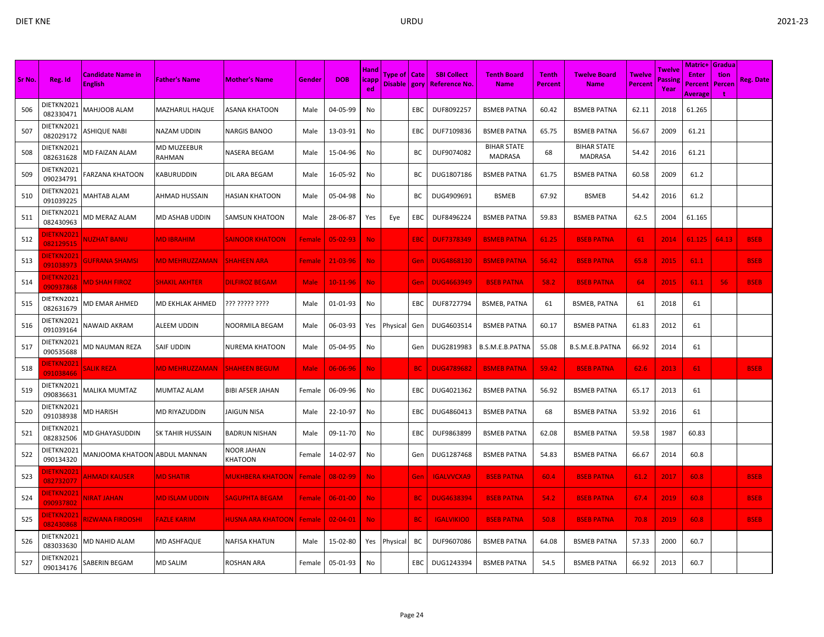|        |                                            |                                            |                       |                          |             |                | <b>Hand</b>  |                                  |            |                                           |                                   |                                |                                      |                                 | Twelve         | <b>Matric+ Gradua</b>   |                |                  |
|--------|--------------------------------------------|--------------------------------------------|-----------------------|--------------------------|-------------|----------------|--------------|----------------------------------|------------|-------------------------------------------|-----------------------------------|--------------------------------|--------------------------------------|---------------------------------|----------------|-------------------------|----------------|------------------|
| Sr No. | Reg. Id                                    | <b>Candidate Name in</b><br><b>English</b> | <b>Father's Name</b>  | <b>Mother's Name</b>     | Gender      | <b>DOB</b>     | icapp<br>ed. | Type of   Cate<br>Disable   gory |            | <b>SBI Collect</b><br><b>Reference No</b> | <b>Tenth Board</b><br><b>Name</b> | <b>Tenth</b><br><b>Percent</b> | <b>Twelve Board</b><br><b>Name</b>   | <b>Twelve</b><br><b>Percent</b> | assine<br>Year | <b>Enter</b><br>Percent | tion<br>Percen | <b>Reg. Date</b> |
|        | DIETKN2021                                 |                                            |                       |                          |             |                |              |                                  |            |                                           |                                   |                                |                                      |                                 |                | Average                 |                |                  |
| 506    | 082330471                                  | MAHJOOB ALAM                               | MAZHARUL HAQUE        | ASANA KHATOON            | Male        | 04-05-99       | No           |                                  | EBC        | DUF8092257                                | <b>BSMEB PATNA</b>                | 60.42                          | <b>BSMEB PATNA</b>                   | 62.11                           | 2018           | 61.265                  |                |                  |
| 507    | DIETKN2021<br>082029172                    | ASHIQUE NABI                               | NAZAM UDDIN           | NARGIS BANOO             | Male        | 13-03-91       | No           |                                  | EBC        | DUF7109836                                | <b>BSMEB PATNA</b>                | 65.75                          | <b>BSMEB PATNA</b>                   | 56.67                           | 2009           | 61.21                   |                |                  |
| 508    | DIETKN2021<br>082631628                    | <b>MD FAIZAN ALAM</b>                      | MD MUZEEBUR<br>RAHMAN | NASERA BEGAM             | Male        | 15-04-96       | No           |                                  | BC         | DUF9074082                                | <b>BIHAR STATE</b><br>MADRASA     | 68                             | <b>BIHAR STATE</b><br><b>MADRASA</b> | 54.42                           | 2016           | 61.21                   |                |                  |
| 509    | DIETKN2021<br>090234791                    | FARZANA KHATOON                            | KABURUDDIN            | DIL ARA BEGAM            | Male        | 16-05-92       | No           |                                  | ВC         | DUG1807186                                | <b>BSMEB PATNA</b>                | 61.75                          | <b>BSMEB PATNA</b>                   | 60.58                           | 2009           | 61.2                    |                |                  |
| 510    | DIETKN2021<br>091039225                    | MAHTAB ALAM                                | AHMAD HUSSAIN         | HASIAN KHATOON           | Male        | 05-04-98       | No           |                                  | BC         | DUG4909691                                | <b>BSMEB</b>                      | 67.92                          | <b>BSMEB</b>                         | 54.42                           | 2016           | 61.2                    |                |                  |
| 511    | DIETKN2021<br>082430963                    | MD MERAZ ALAM                              | MD ASHAB UDDIN        | <b>SAMSUN KHATOON</b>    | Male        | 28-06-87       | Yes          | Eye                              | EBC        | DUF8496224                                | <b>BSMEB PATNA</b>                | 59.83                          | <b>BSMEB PATNA</b>                   | 62.5                            | 2004           | 61.165                  |                |                  |
| 512    | <b>IETKN2021</b><br><mark>082129515</mark> | <b>NUZHAT BANU</b>                         | <b>MD IBRAHIM</b>     | <b>SAINOOR KHATOON</b>   | Female      | $05 - 02 - 93$ | No.          |                                  | EBC        | <b>DUF7378349</b>                         | <b>BSMEB PATNA</b>                | 61.25                          | <b>BSEB PATNA</b>                    | 61                              | 2014           | 61.125                  | 64.13          | <b>BSEB</b>      |
| 513    | <b>JIETKN2021</b><br>091038973             | <b>GUFRANA SHAMSI</b>                      | MD MEHRUZZAMAN        | <b>SHAHEEN ARA</b>       | Female      | 21-03-96       | No.          |                                  | Gen        | <b>DUG4868130</b>                         | <b>BSMEB PATNA</b>                | 56.42                          | <b>BSEB PATNA</b>                    | 65.8                            | 2015           | 61.1                    |                | <b>BSEB</b>      |
| 514    | DIETKN2021<br>090937868                    | <b>MD SHAH FIROZ</b>                       | <b>SHAKIL AKHTER</b>  | <b>DILFIROZ BEGAM</b>    | <b>Male</b> | 10-11-96       | No.          |                                  | Gen        | <b>DUG4663949</b>                         | <b>BSEB PATNA</b>                 | 58.2                           | <b>BSEB PATNA</b>                    | 64                              | 2015           | 61.1                    | 56             | <b>BSEB</b>      |
| 515    | DIETKN2021<br>082631679                    | MD EMAR AHMED                              | MD EKHLAK AHMED       | ??? ????? ????           | Male        | 01-01-93       | No           |                                  | EBC        | DUF8727794                                | <b>BSMEB, PATNA</b>               | 61                             | <b>BSMEB, PATNA</b>                  | 61                              | 2018           | 61                      |                |                  |
| 516    | DIETKN2021<br>091039164                    | NAWAID AKRAM                               | ALEEM UDDIN           | NOORMILA BEGAM           | Male        | 06-03-93       | Yes          | Physical                         | Gen        | DUG4603514                                | <b>BSMEB PATNA</b>                | 60.17                          | <b>BSMEB PATNA</b>                   | 61.83                           | 2012           | 61                      |                |                  |
| 517    | DIETKN2021<br>090535688                    | MD NAUMAN REZA                             | SAIF UDDIN            | NUREMA KHATOON           | Male        | 05-04-95       | No           |                                  | Gen        | DUG2819983                                | B.S.M.E.B.PATNA                   | 55.08                          | B.S.M.E.B.PATNA                      | 66.92                           | 2014           | 61                      |                |                  |
| 518    | <b>IETKN2021</b><br>091038466              | <b>SALIK REZA</b>                          | <b>MD MEHRUZZAMAN</b> | <b>SHAHEEN BEGUM</b>     | <b>Male</b> | 06-06-96       | <b>No</b>    |                                  | BC.        | <b>DUG4789682</b>                         | <b>BSMEB PATNA</b>                | 59.42                          | <b>BSEB PATNA</b>                    | 62.6                            | 2013           | 61                      |                | <b>BSEB</b>      |
| 519    | DIETKN2021<br>090836631                    | <b>MALIKA MUMTAZ</b>                       | MUMTAZ ALAM           | BIBI AFSER JAHAN         | Female      | 06-09-96       | No           |                                  | EBC        | DUG4021362                                | <b>BSMEB PATNA</b>                | 56.92                          | <b>BSMEB PATNA</b>                   | 65.17                           | 2013           | 61                      |                |                  |
| 520    | DIETKN2021<br>091038938                    | MD HARISH                                  | MD RIYAZUDDIN         | JAIGUN NISA              | Male        | 22-10-97       | No           |                                  | EBC        | DUG4860413                                | <b>BSMEB PATNA</b>                | 68                             | <b>BSMEB PATNA</b>                   | 53.92                           | 2016           | 61                      |                |                  |
| 521    | DIETKN2021<br>082832506                    | MD GHAYASUDDIN                             | SK TAHIR HUSSAIN      | <b>BADRUN NISHAN</b>     | Male        | 09-11-70       | No           |                                  | <b>EBC</b> | DUF9863899                                | <b>BSMEB PATNA</b>                | 62.08                          | <b>BSMEB PATNA</b>                   | 59.58                           | 1987           | 60.83                   |                |                  |
| 522    | DIETKN2021<br>090134320                    | MANJOOMA KHATOON ABDUL MANNAN              |                       | NOOR JAHAN<br>KHATOON    | Female      | 14-02-97       | No           |                                  | Gen        | DUG1287468                                | <b>BSMEB PATNA</b>                | 54.83                          | <b>BSMEB PATNA</b>                   | 66.67                           | 2014           | 60.8                    |                |                  |
| 523    | <b>IETKN2021</b><br>082732077              | <b>AHMADI KAUSER</b>                       | <b>MD SHATIR</b>      | <b>MUKHBERA KHATOON</b>  | Female      | 08-02-99       | <b>No</b>    |                                  | Gen        | <b>IGALVVCXA9</b>                         | <b>BSEB PATNA</b>                 | 60.4                           | <b>BSEB PATNA</b>                    | 61.2                            | 2017           | 60.8                    |                | <b>BSEB</b>      |
| 524    | DIETKN2021<br>090937802                    | <b>VIRAT JAHAN</b>                         | <b>MD ISLAM UDDIN</b> | <b>SAGUPHTA BEGAM</b>    | Female      | $06 - 01 - 00$ | <b>No</b>    |                                  | <b>BC</b>  | <b>DUG4638394</b>                         | <b>BSEB PATNA</b>                 | 54.2                           | <b>BSEB PATNA</b>                    | 67.4                            | 2019           | 60.8                    |                | <b>BSEB</b>      |
| 525    | <b>JIETKN2021</b><br>082430868             | <b>RIZWANA FIRDOSHI</b>                    | <b>FAZLE KARIM</b>    | <b>HUSNA ARA KHATOON</b> | Female      | $02 - 04 - 01$ | No.          |                                  | <b>BC</b>  | <b>IGALVIKIO0</b>                         | <b>BSEB PATNA</b>                 | 50.8                           | <b>BSEB PATNA</b>                    | 70.8                            | 2019           | 60.8                    |                | <b>BSEB</b>      |
| 526    | DIETKN2021<br>083033630                    | MD NAHID ALAM                              | MD ASHFAQUE           | NAFISA KHATUN            | Male        | 15-02-80       | Yes          | Physical                         | BC         | DUF9607086                                | <b>BSMEB PATNA</b>                | 64.08                          | <b>BSMEB PATNA</b>                   | 57.33                           | 2000           | 60.7                    |                |                  |
| 527    | DIETKN2021<br>090134176                    | SABERIN BEGAM                              | MD SALIM              | ROSHAN ARA               | Female      | 05-01-93       | No           |                                  | EBC        | DUG1243394                                | <b>BSMEB PATNA</b>                | 54.5                           | <b>BSMEB PATNA</b>                   | 66.92                           | 2013           | 60.7                    |                |                  |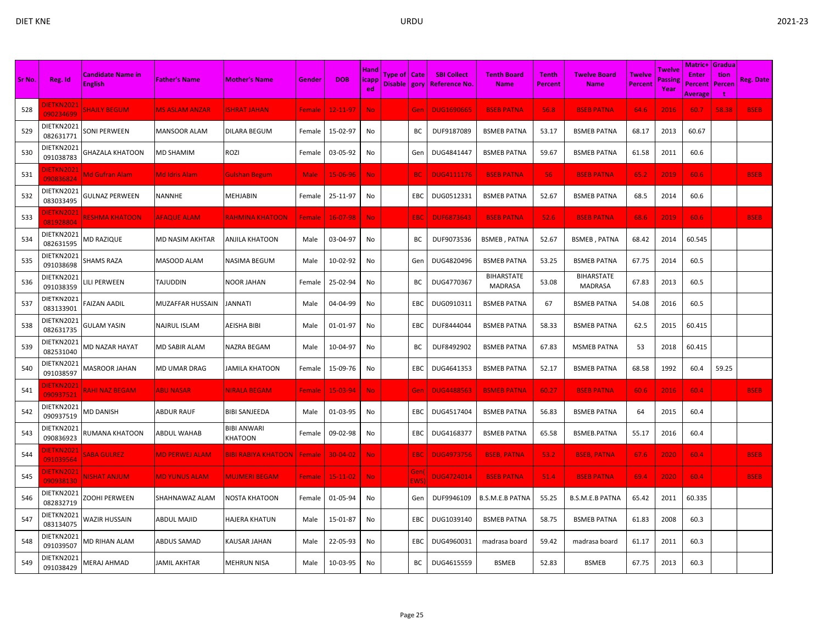| ×<br>۰, |
|---------|
|---------|

|        |                                | <b>Candidate Name in</b> |                         |                               |               |                | <b>Hand</b> | Type of   Cate |             | <b>SBI Collect</b>  | <b>Tenth Board</b>           | <b>Tenth</b> | <b>Twelve Board</b>          | <b>Twelve</b> | Twelve         | <b>Matric+ Gradua</b><br><b>Enter</b> | tion   |             |
|--------|--------------------------------|--------------------------|-------------------------|-------------------------------|---------------|----------------|-------------|----------------|-------------|---------------------|------------------------------|--------------|------------------------------|---------------|----------------|---------------------------------------|--------|-------------|
| Sr No. | Reg. Id                        | <b>English</b>           | <b>Father's Name</b>    | <b>Mother's Name</b>          | Gender        | <b>DOB</b>     | icapp<br>ed | Disable gory   |             | <b>Reference No</b> | <b>Name</b>                  | Percent      | <b>Name</b>                  | Percent       | assing<br>Year | Percent<br>Average                    | Percen | Reg. Date   |
| 528    | <b>DIETKN2021</b><br>090234699 | <b>SHAJLY BEGUM</b>      | <b>MS ASLAM ANZAR</b>   | <b>ISHRAT JAHAN</b>           | Female        | 12-11-97       | No.         |                | Gen         | <b>DUG1690665</b>   | <b>BSEB PATNA</b>            | 56.8         | <b>BSEB PATNA</b>            | 64.6          | 2016           | 60.7                                  | 58.38  | <b>BSEB</b> |
| 529    | DIETKN2021<br>082631771        | SONI PERWEEN             | <b>MANSOOR ALAM</b>     | DILARA BEGUM                  | Female        | 15-02-97       | No          |                | ВC          | DUF9187089          | <b>BSMEB PATNA</b>           | 53.17        | <b>BSMEB PATNA</b>           | 68.17         | 2013           | 60.67                                 |        |             |
| 530    | DIETKN2021<br>091038783        | GHAZALA KHATOON          | <b>MD SHAMIM</b>        | rozi                          | Female        | 03-05-92       | No          |                | Gen         | DUG4841447          | <b>BSMEB PATNA</b>           | 59.67        | <b>BSMEB PATNA</b>           | 61.58         | 2011           | 60.6                                  |        |             |
| 531    | <b>DIETKN2021</b><br>090836824 | Md Gufran Alam           | Md Idris Alam           | <b>Gulshan Begum</b>          | <b>Male</b>   | 15-06-96       | <b>No</b>   |                | <b>BC</b>   | <b>DUG4111176</b>   | <b>BSEB PATNA</b>            | 56           | <b>BSEB PATNA</b>            | 65.2          | 2019           | 60.6                                  |        | <b>BSEB</b> |
| 532    | DIETKN2021<br>083033495        | <b>GULNAZ PERWEEN</b>    | <b>NANNHE</b>           | MEHJABIN                      | Female        | 25-11-97       | No          |                | EBC         | DUG0512331          | <b>BSMEB PATNA</b>           | 52.67        | <b>BSMEB PATNA</b>           | 68.5          | 2014           | 60.6                                  |        |             |
| 533    | DIETKN2021<br>081928804        | <b>RESHMA KHATOON</b>    | <b>AFAQUE ALAM</b>      | <u>RAHMINA KHATOON</u>        | Female        | $16 - 07 - 98$ | No.         |                | EBC         | <b>DUF6873643</b>   | <b>BSEB PATNA</b>            | 52.6         | <b>BSEB PATNA</b>            | 68.6          | 2019           | 60.6                                  |        | <b>BSEB</b> |
| 534    | DIETKN2021<br>082631595        | MD RAZIQUE               | MD NASIM AKHTAR         | ANJILA KHATOON                | Male          | 03-04-97       | No          |                | BC          | DUF9073536          | <b>BSMEB, PATNA</b>          | 52.67        | <b>BSMEB, PATNA</b>          | 68.42         | 2014           | 60.545                                |        |             |
| 535    | DIETKN2021<br>091038698        | SHAMS RAZA               | MASOOD ALAM             | <b>NASIMA BEGUM</b>           | Male          | 10-02-92       | No          |                | Gen         | DUG4820496          | <b>BSMEB PATNA</b>           | 53.25        | <b>BSMEB PATNA</b>           | 67.75         | 2014           | 60.5                                  |        |             |
| 536    | DIETKN2021<br>091038359        | LILI PERWEEN             | TAJUDDIN                | <b>NOOR JAHAN</b>             | Female        | 25-02-94       | No          |                | ВC          | DUG4770367          | <b>BIHARSTATE</b><br>MADRASA | 53.08        | <b>BIHARSTATE</b><br>MADRASA | 67.83         | 2013           | 60.5                                  |        |             |
| 537    | DIETKN2021<br>083133901        | <b>FAIZAN AADIL</b>      | <b>MUZAFFAR HUSSAIN</b> | <b>JANNATI</b>                | Male          | 04-04-99       | No          |                | <b>EBC</b>  | DUG0910311          | <b>BSMEB PATNA</b>           | 67           | <b>BSMEB PATNA</b>           | 54.08         | 2016           | 60.5                                  |        |             |
| 538    | DIETKN2021<br>082631735        | <b>GULAM YASIN</b>       | NAJRUL ISLAM            | AEISHA BIBI                   | Male          | 01-01-97       | No          |                | EBC         | DUF8444044          | <b>BSMEB PATNA</b>           | 58.33        | <b>BSMEB PATNA</b>           | 62.5          | 2015           | 60.415                                |        |             |
| 539    | DIETKN2021<br>082531040        | MD NAZAR HAYAT           | <b>MD SABIR ALAM</b>    | NAZRA BEGAM                   | Male          | 10-04-97       | No          |                | ВC          | DUF8492902          | <b>BSMEB PATNA</b>           | 67.83        | <b>MSMEB PATNA</b>           | 53            | 2018           | 60.415                                |        |             |
| 540    | DIETKN2021<br>091038597        | MASROOR JAHAN            | <b>MD UMAR DRAG</b>     | JAMILA KHATOON                | Female        | 15-09-76       | No          |                | EBC         | DUG4641353          | <b>BSMEB PATNA</b>           | 52.17        | <b>BSMEB PATNA</b>           | 68.58         | 1992           | 60.4                                  | 59.25  |             |
| 541    | JIETKN2021<br>090937521        | <b>RAHI NAZ BEGAM</b>    | <b>ABU NASAR</b>        | NIRALA BEGAM                  | Female        | 15-03-94       | No.         |                | Ger         | <b>DUG4488563</b>   | <b>BSMEB PATNA</b>           | 60.27        | <b>BSEB PATNA</b>            | 60.6          | 2016           | 60.4                                  |        | <b>BSEB</b> |
| 542    | DIETKN2021<br>090937519        | MD DANISH                | <b>ABDUR RAUF</b>       | <b>BIBI SANJEEDA</b>          | Male          | 01-03-95       | No          |                | EBC         | DUG4517404          | <b>BSMEB PATNA</b>           | 56.83        | <b>BSMEB PATNA</b>           | 64            | 2015           | 60.4                                  |        |             |
| 543    | DIETKN2021<br>090836923        | RUMANA KHATOON           | <b>ABDUL WAHAB</b>      | <b>BIBI ANWARI</b><br>KHATOON | Female        | 09-02-98       | No          |                | EBC         | DUG4168377          | <b>BSMEB PATNA</b>           | 65.58        | BSMEB.PATNA                  | 55.17         | 2016           | 60.4                                  |        |             |
| 544    | <b>IETKN2021</b><br>091039564  | <b>SABA GULREZ</b>       | <b>MD PERWEJ ALAM</b>   | <b>BIBI RABIYA KHATOON</b>    | Female        | 30-04-02       | No.         |                | <b>EBC</b>  | <b>DUG4973756</b>   | <b>BSEB, PATNA</b>           | 53.2         | <b>BSEB, PATNA</b>           | 67.6          | 2020           | 60.4                                  |        | <b>BSEB</b> |
| 545    | <b>JIETKN2021</b><br>090938130 | <b>NISHAT ANJUM</b>      | <b>MD YUNUS ALAM</b>    | <b>MUJMERI BEGAM</b>          | <b>Female</b> | 15-11-02       | <b>No</b>   |                | Gen<br>EWS) | <b>DUG4724014</b>   | <b>BSEB PATNA</b>            | 51.4         | <b>BSEB PATNA</b>            | 69.4          | 2020           | 60.4                                  |        | <b>BSEB</b> |
| 546    | DIETKN2021<br>082832719        | ZOOHI PERWEEN            | SHAHNAWAZ ALAM          | NOSTA KHATOON                 | Female        | 01-05-94       | No          |                | Gen         | DUF9946109          | <b>B.S.M.E.B PATNA</b>       | 55.25        | <b>B.S.M.E.B PATNA</b>       | 65.42         | 2011           | 60.335                                |        |             |
| 547    | DIETKN2021<br>083134075        | WAZIR HUSSAIN            | <b>ABDUL MAJID</b>      | <b>HAJERA KHATUN</b>          | Male          | 15-01-87       | No          |                | EBC         | DUG1039140          | <b>BSMEB PATNA</b>           | 58.75        | <b>BSMEB PATNA</b>           | 61.83         | 2008           | 60.3                                  |        |             |
| 548    | DIETKN2021<br>091039507        | MD RIHAN ALAM            | ABDUS SAMAD             | KAUSAR JAHAN                  | Male          | 22-05-93       | No          |                | EBC         | DUG4960031          | madrasa board                | 59.42        | madrasa board                | 61.17         | 2011           | 60.3                                  |        |             |
| 549    | DIETKN2021<br>091038429        | MERAJ AHMAD              | <b>JAMIL AKHTAR</b>     | <b>MEHRUN NISA</b>            | Male          | 10-03-95       | No          |                | BC          | DUG4615559          | <b>BSMEB</b>                 | 52.83        | <b>BSMEB</b>                 | 67.75         | 2013           | 60.3                                  |        |             |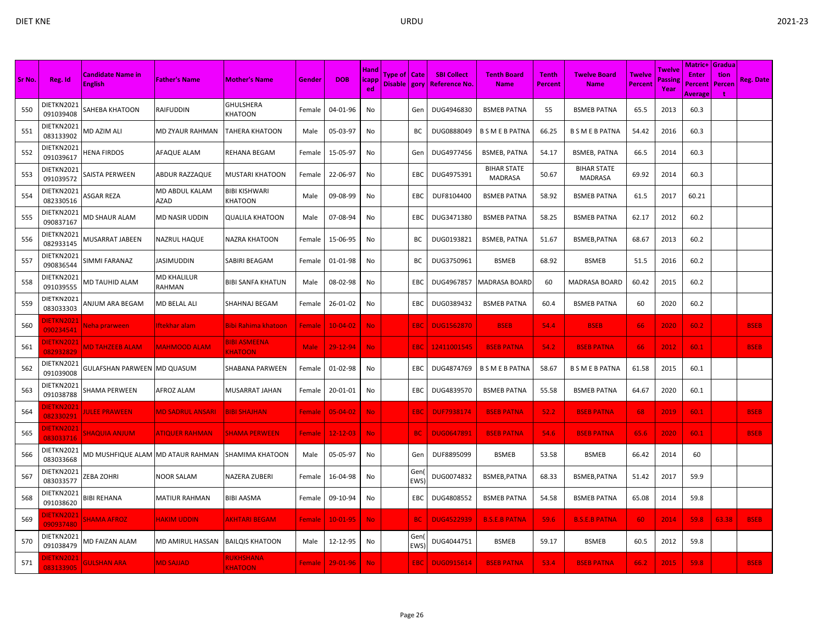| Sr No. | Reg. Id                        | <b>Candidate Name in</b>          | <b>Father's Name</b>    | <b>Mother's Name</b>                  | Gender        | <b>DOB</b>     | <b>Hand</b><br><b>licapp</b> | Type of   Cate |                   | <b>SBI Collect</b> | <b>Tenth Board</b>                   | <b>Tenth</b> | <b>Twelve Board</b>                  | Twelve  | Twelve<br>Passing | Matric+<br><b>Enter</b>   | Gradua<br>tion | <b>Reg. Date</b> |
|--------|--------------------------------|-----------------------------------|-------------------------|---------------------------------------|---------------|----------------|------------------------------|----------------|-------------------|--------------------|--------------------------------------|--------------|--------------------------------------|---------|-------------------|---------------------------|----------------|------------------|
|        |                                | <b>English</b>                    |                         |                                       |               |                | ed                           | Disable   gory |                   | Reference No.      | <b>Name</b>                          | Percent      | <b>Name</b>                          | Percent | Year              | Percent<br><b>Average</b> | Percen         |                  |
| 550    | DIETKN2021<br>091039408        | SAHEBA KHATOON                    | RAIFUDDIN               | <b>GHULSHERA</b><br>KHATOON           | Female        | 04-01-96       | No                           |                | Gen               | DUG4946830         | <b>BSMEB PATNA</b>                   | 55           | <b>BSMEB PATNA</b>                   | 65.5    | 2013              | 60.3                      |                |                  |
| 551    | DIETKN2021<br>083133902        | MD AZIM ALI                       | MD ZYAUR RAHMAN         | <b>TAHERA KHATOON</b>                 | Male          | 05-03-97       | No                           |                | BС                | DUG0888049         | <b>B S M E B PATNA</b>               | 66.25        | <b>B S M E B PATNA</b>               | 54.42   | 2016              | 60.3                      |                |                  |
| 552    | DIETKN2021<br>091039617        | HENA FIRDOS                       | AFAQUE ALAM             | REHANA BEGAM                          | Female        | 15-05-97       | No                           |                | Gen               | DUG4977456         | <b>BSMEB, PATNA</b>                  | 54.17        | <b>BSMEB, PATNA</b>                  | 66.5    | 2014              | 60.3                      |                |                  |
| 553    | DIETKN2021<br>091039572        | SAISTA PERWEEN                    | ABDUR RAZZAQUE          | <b>MUSTARI KHATOON</b>                | Female        | 22-06-97       | No                           |                | EBC               | DUG4975391         | <b>BIHAR STATE</b><br><b>MADRASA</b> | 50.67        | <b>BIHAR STATE</b><br><b>MADRASA</b> | 69.92   | 2014              | 60.3                      |                |                  |
| 554    | DIETKN2021<br>082330516        | ASGAR REZA                        | MD ABDUL KALAM<br>AZAD  | <b>BIBI KISHWARI</b><br>KHATOON       | Male          | 09-08-99       | No                           |                | EBC               | DUF8104400         | <b>BSMEB PATNA</b>                   | 58.92        | <b>BSMEB PATNA</b>                   | 61.5    | 2017              | 60.21                     |                |                  |
| 555    | DIETKN2021<br>090837167        | MD SHAUR ALAM                     | MD NASIR UDDIN          | <b>QUALILA KHATOON</b>                | Male          | 07-08-94       | No                           |                | EBC               | DUG3471380         | <b>BSMEB PATNA</b>                   | 58.25        | <b>BSMEB PATNA</b>                   | 62.17   | 2012              | 60.2                      |                |                  |
| 556    | DIETKN2021<br>082933145        | MUSARRAT JABEEN                   | NAZRUL HAQUE            | NAZRA KHATOON                         | Female        | 15-06-95       | No                           |                | BС                | DUG0193821         | <b>BSMEB, PATNA</b>                  | 51.67        | BSMEB, PATNA                         | 68.67   | 2013              | 60.2                      |                |                  |
| 557    | DIETKN2021<br>090836544        | SIMMI FARANAZ                     | <b>JASIMUDDIN</b>       | SABIRI BEAGAM                         | Female        | 01-01-98       | No                           |                | BC                | DUG3750961         | <b>BSMEB</b>                         | 68.92        | <b>BSMEB</b>                         | 51.5    | 2016              | 60.2                      |                |                  |
| 558    | DIETKN2021<br>091039555        | <b>MD TAUHID ALAM</b>             | MD KHALILUR<br>RAHMAN   | <b>BIBI SANFA KHATUN</b>              | Male          | 08-02-98       | No                           |                | EBC               | DUG4967857         | <b>MADRASA BOARD</b>                 | 60           | <b>MADRASA BOARD</b>                 | 60.42   | 2015              | 60.2                      |                |                  |
| 559    | DIETKN2021<br>083033303        | ANJUM ARA BEGAM                   | <b>MD BELAL ALI</b>     | SHAHNAJ BEGAM                         | Female        | 26-01-02       | No                           |                | EBC               | DUG0389432         | <b>BSMEB PATNA</b>                   | 60.4         | <b>BSMEB PATNA</b>                   | 60      | 2020              | 60.2                      |                |                  |
| 560    | <b>DIETKN2021</b><br>090234541 | Neha prarween                     | Iftekhar alam           | <u>Bibi Rahima khatoon</u>            | <b>Female</b> | $10 - 04 - 02$ | No.                          |                | EBC               | <b>DUG1562870</b>  | <b>BSEB</b>                          | 54.4         | <b>BSEB</b>                          | 66      | 2020              | 60.2                      |                | <b>BSEB</b>      |
| 561    | <b>JIETKN2021</b><br>082932829 | <b>MD TAHZEEB ALAM</b>            | <b>MAHMOOD ALAM</b>     | <b>BIBI ASMEENA</b><br><b>KHATOON</b> | Male          | 29-12-94       | <b>No</b>                    |                | EBC               | 12411001545        | <b>BSEB PATNA</b>                    | 54.2         | <b>BSEB PATNA</b>                    | 66      | 2012              | 60.1                      |                | <b>BSEB</b>      |
| 562    | DIETKN2021<br>091039008        | GULAFSHAN PARWEEN                 | <b>MD QUASUM</b>        | SHABANA PARWEEN                       | Female        | 01-02-98       | No                           |                | EBC               | DUG4874769         | <b>B S M E B PATNA</b>               | 58.67        | <b>B S M E B PATNA</b>               | 61.58   | 2015              | 60.1                      |                |                  |
| 563    | DIETKN2021<br>091038788        | SHAMA PERWEEN                     | AFROZ ALAM              | MUSARRAT JAHAN                        | Female        | 20-01-01       | No                           |                | EBC               | DUG4839570         | <b>BSMEB PATNA</b>                   | 55.58        | <b>BSMEB PATNA</b>                   | 64.67   | 2020              | 60.1                      |                |                  |
| 564    | <b>DIETKN2021</b><br>082330291 | <b>IULEE PRAWEEN</b>              | <b>MD SADRUL ANSARI</b> | <b>BIBI SHAJHAN</b>                   | Female        | 05-04-02       | No.                          |                | EBC               | <b>DUF7938174</b>  | <b>BSEB PATNA</b>                    | 52.2         | <b>BSEB PATNA</b>                    | 68      | 2019              | 60.1                      |                | <b>BSEB</b>      |
| 565    | <b>JIETKN2021</b><br>083033716 | <b>MUUNA ANJUM</b>                | <b>ATIQUER RAHMAN</b>   | <b>SHAMA PERWEEN</b>                  | <b>Female</b> | $12 - 12 - 03$ | No.                          |                | <b>BC</b>         | <b>DUG0647891</b>  | <b>BSEB PATNA</b>                    | 54.6         | <b>BSEB PATNA</b>                    | 65.6    | 2020              | 60.1                      |                | <b>BSEB</b>      |
| 566    | DIETKN2021<br>083033668        | MD MUSHFIQUE ALAM MD ATAUR RAHMAN |                         | <b>SHAMIMA KHATOON</b>                | Male          | 05-05-97       | No                           |                | Gen               | DUF8895099         | <b>BSMEB</b>                         | 53.58        | <b>BSMEB</b>                         | 66.42   | 2014              | 60                        |                |                  |
| 567    | DIETKN2021<br>083033577        | ZEBA ZOHRI                        | NOOR SALAM              | NAZERA ZUBERI                         | Female        | 16-04-98       | No                           |                | Gen<br>EWS)       | DUG0074832         | BSMEB, PATNA                         | 68.33        | BSMEB, PATNA                         | 51.42   | 2017              | 59.9                      |                |                  |
| 568    | DIETKN2021<br>091038620        | BIBI REHANA                       | MATIUR RAHMAN           | <b>BIBI AASMA</b>                     | Female        | 09-10-94       | No                           |                | EBC               | DUG4808552         | <b>BSMEB PATNA</b>                   | 54.58        | <b>BSMEB PATNA</b>                   | 65.08   | 2014              | 59.8                      |                |                  |
| 569    | <b>DIETKN2021</b><br>090937480 | SHAMA AFROZ                       | <b>HAKIM UDDIN</b>      | <b>AKHTARI BEGAM</b>                  | <b>Female</b> | $10-01-95$     | No.                          |                | <b>BC</b>         | <b>DUG4522939</b>  | <b>B.S.E.B PATNA</b>                 | 59.6         | <b>B.S.E.B PATNA</b>                 | -60     | 2014              | 59.8                      | 63.38          | <b>BSEB</b>      |
| 570    | DIETKN2021<br>091038479        | MD FAIZAN ALAM                    | MD AMIRUL HASSAN        | <b>BAILQIS KHATOON</b>                | Male          | 12-12-95       | No                           |                | Gen<br><b>EWS</b> | DUG4044751         | <b>BSMEB</b>                         | 59.17        | <b>BSMEB</b>                         | 60.5    | 2012              | 59.8                      |                |                  |
| 571    | <b>DIETKN2021</b><br>083133905 | <b>GULSHAN ARA</b>                | <b>MD SAJJAD</b>        | RUKHSHANA<br><b>KHATOON</b>           | <b>Female</b> | 29-01-96       | No                           |                | EBC               | <b>DUG0915614</b>  | <b>BSEB PATNA</b>                    | 53.4         | <b>BSEB PATNA</b>                    | 66.2    | 2015              | 59.8                      |                | <b>BSEB</b>      |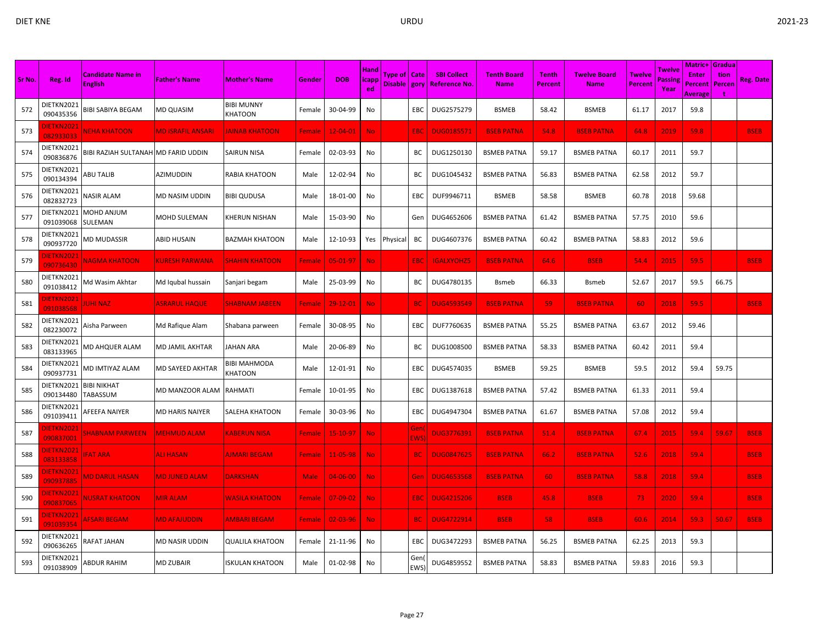|        |                                |                                            |                          |                                |               |                |                              |                                         |                   |                                           |                                   |                                |                             |                                 |                           | Matric+                            | <b>Gradua</b>  |                  |
|--------|--------------------------------|--------------------------------------------|--------------------------|--------------------------------|---------------|----------------|------------------------------|-----------------------------------------|-------------------|-------------------------------------------|-----------------------------------|--------------------------------|-----------------------------|---------------------------------|---------------------------|------------------------------------|----------------|------------------|
| Sr No. | Reg. Id                        | <b>Candidate Name in</b><br><b>English</b> | <b>Father's Name</b>     | <b>Mother's Name</b>           | Gender        | <b>DOB</b>     | <b>Hand</b><br> icapp<br>ed. | <b>Type of   Cate</b><br>Disable   gory |                   | <b>SBI Collect</b><br><b>Reference No</b> | <b>Tenth Board</b><br><b>Name</b> | <b>Tenth</b><br><b>Percent</b> | <b>Twelve Board</b><br>Name | <b>Twelve</b><br><b>Percent</b> | Twelve<br>Passing<br>Year | <b>Enter</b><br>Percent<br>Average | tion<br>Percen | <b>Reg. Date</b> |
| 572    | DIETKN2021<br>090435356        | <b>BIBI SABIYA BEGAM</b>                   | <b>MD QUASIM</b>         | <b>BIBI MUNNY</b><br>KHATOON   | Female        | 30-04-99       | No                           |                                         | EBC               | DUG2575279                                | <b>BSMEB</b>                      | 58.42                          | <b>BSMEB</b>                | 61.17                           | 2017                      | 59.8                               |                |                  |
| 573    | <b>IETKN2021</b><br>082933033  | <b>NEHA KHATOON</b>                        | <b>MD ISRAFIL ANSARI</b> | <b>IAINAB KHATOON</b>          | Female        | $12 - 04 - 01$ | No                           |                                         | <b>EBC</b>        | <b>DUG0185571</b>                         | <b>BSEB PATNA</b>                 | 54.8                           | <b>BSEB PATNA</b>           | 64.8                            | 2019                      | 59.8                               |                | <b>BSEB</b>      |
| 574    | DIETKN2021<br>090836876        | BIBI RAZIAH SULTANAH                       | <b>MD FARID UDDIN</b>    | SAIRUN NISA                    | Female        | 02-03-93       | No                           |                                         | ВC                | DUG1250130                                | <b>BSMEB PATNA</b>                | 59.17                          | <b>BSMEB PATNA</b>          | 60.17                           | 2011                      | 59.7                               |                |                  |
| 575    | DIETKN2021<br>090134394        | <b>ABU TALIB</b>                           | AZIMUDDIN                | RABIA KHATOON                  | Male          | 12-02-94       | No                           |                                         | BC                | DUG1045432                                | <b>BSMEB PATNA</b>                | 56.83                          | <b>BSMEB PATNA</b>          | 62.58                           | 2012                      | 59.7                               |                |                  |
| 576    | DIETKN2021<br>082832723        | <b>NASIR ALAM</b>                          | MD NASIM UDDIN           | <b>BIBI QUDUSA</b>             | Male          | 18-01-00       | No                           |                                         | EBC               | DUF9946711                                | <b>BSMEB</b>                      | 58.58                          | <b>BSMEB</b>                | 60.78                           | 2018                      | 59.68                              |                |                  |
| 577    | DIETKN2021<br>091039068        | MOHD ANJUM<br>SULEMAN                      | MOHD SULEMAN             | KHERUN NISHAN                  | Male          | 15-03-90       | No                           |                                         | Gen               | DUG4652606                                | <b>BSMEB PATNA</b>                | 61.42                          | <b>BSMEB PATNA</b>          | 57.75                           | 2010                      | 59.6                               |                |                  |
| 578    | DIETKN2021<br>090937720        | <b>MD MUDASSIR</b>                         | ABID HUSAIN              | BAZMAH KHATOON                 | Male          | 12-10-93       | Yes                          | Physical                                | BC                | DUG4607376                                | <b>BSMEB PATNA</b>                | 60.42                          | <b>BSMEB PATNA</b>          | 58.83                           | 2012                      | 59.6                               |                |                  |
| 579    | <b>DIETKN2021</b><br>090736430 | <b>NAGMA KHATOON</b>                       | <b>KURESH PARWANA</b>    | <b>SHAHIN KHATOON</b>          | Female        | 05-01-97       | <b>No</b>                    |                                         | <b>EBC</b>        | <b>IGALXYOHZ5</b>                         | <b>BSEB PATNA</b>                 | 64.6                           | <b>BSEB</b>                 | 54.4                            | 2015                      | 59.5                               |                | <b>BSEB</b>      |
| 580    | DIETKN2021<br>091038412        | Md Wasim Akhtar                            | Md Iqubal hussain        | Sanjari begam                  | Male          | 25-03-99       | No                           |                                         | ВC                | DUG4780135                                | Bsmeb                             | 66.33                          | <b>Bsmeb</b>                | 52.67                           | 2017                      | 59.5                               | 66.75          |                  |
| 581    | DIETKN2021<br>091038568        | <b>JUHI NAZ</b>                            | <b>ASRARUL HAQUE</b>     | SHABNAM JABEEN                 | <b>Female</b> | 29-12-01       | No.                          |                                         | <b>BC</b>         | <b>DUG4593549</b>                         | <b>BSEB PATNA</b>                 | 59                             | <b>BSEB PATNA</b>           | 60                              | 2018                      | 59.5                               |                | <b>BSEB</b>      |
| 582    | DIETKN2021<br>082230072        | Aisha Parween                              | Md Rafique Alam          | Shabana parween                | Female        | 30-08-95       | No                           |                                         | EBC               | DUF7760635                                | <b>BSMEB PATNA</b>                | 55.25                          | <b>BSMEB PATNA</b>          | 63.67                           | 2012                      | 59.46                              |                |                  |
| 583    | DIETKN2021<br>083133965        | MD AHQUER ALAM                             | MD JAMIL AKHTAR          | <b>JAHAN ARA</b>               | Male          | 20-06-89       | No                           |                                         | BС                | DUG1008500                                | <b>BSMEB PATNA</b>                | 58.33                          | <b>BSMEB PATNA</b>          | 60.42                           | 2011                      | 59.4                               |                |                  |
| 584    | DIETKN2021<br>090937731        | MD IMTIYAZ ALAM                            | MD SAYEED AKHTAR         | <b>BIBI MAHMODA</b><br>KHATOON | Male          | 12-01-91       | No                           |                                         | EBC               | DUG4574035                                | <b>BSMEB</b>                      | 59.25                          | <b>BSMEB</b>                | 59.5                            | 2012                      | 59.4                               | 59.75          |                  |
| 585    | DIETKN2021<br>090134480        | <b>BIBI NIKHAT</b><br>TABASSUM             | MD MANZOOR ALAM          | RAHMATI                        | Female        | 10-01-95       | No                           |                                         | EBC               | DUG1387618                                | <b>BSMEB PATNA</b>                | 57.42                          | <b>BSMEB PATNA</b>          | 61.33                           | 2011                      | 59.4                               |                |                  |
| 586    | DIETKN2021<br>091039411        | AFEEFA NAIYER                              | MD HARIS NAIYER          | SALEHA KHATOON                 | Female        | 30-03-96       | No                           |                                         | EBC               | DUG4947304                                | <b>BSMEB PATNA</b>                | 61.67                          | <b>BSMEB PATNA</b>          | 57.08                           | 2012                      | 59.4                               |                |                  |
| 587    | <b>DIETKN2021</b><br>090837001 | <b>SHABNAM PARWEEN</b>                     | <b>MEHMUD ALAM</b>       | <b><i>CABERUN NISA</i></b>     | <b>Female</b> | 15-10-97       | No.                          |                                         | Gen<br><b>EWS</b> | <b>DUG3776391</b>                         | <b>BSEB PATNA</b>                 | 51.4                           | <b>BSEB PATNA</b>           | 67.4                            | 2015                      | 59.4                               | 59.67          | <b>BSEB</b>      |
| 588    | DIETKN2021<br>083133858        | <b>FAT ARA</b>                             | <b>ALI HASAN</b>         | <b>AJMARI BEGAM</b>            | <b>Female</b> | $11 - 05 - 98$ | <b>No</b>                    |                                         | <b>BC</b>         | <b>DUG0847625</b>                         | <b>BSEB PATNA</b>                 | 66.2                           | <b>BSEB PATNA</b>           | 52.6                            | 2018                      | 59.4                               |                | <b>BSEB</b>      |
| 589    | DIETKN2021<br>090937885        | <b>MD DARUL HASAN</b>                      | <b>MD JUNED ALAM</b>     | <b>DARKSHAN</b>                | <b>Male</b>   | $04 - 06 - 00$ | No.                          |                                         | Gen               | <b>DUG4653568</b>                         | <b>BSEB PATNA</b>                 | 60                             | <b>BSEB PATNA</b>           | 58.8                            | 2018                      | 59.4                               |                | <b>BSEB</b>      |
| 590    | DIETKN2021<br>090837065        | <u>NUSRAT KHATOON</u>                      | <b>MIR ALAM</b>          | <u>WASILA KHATOON</u>          | Female        | $07 - 09 - 02$ | <b>No</b>                    |                                         | <b>EBC</b>        | <b>DUG4215206</b>                         | <b>BSEB</b>                       | 45.8                           | <b>BSEB</b>                 | 73                              | 2020                      | 59.4                               |                | <b>BSEB</b>      |
| 591    | DIETKN2021<br>091039354        | <b>AFSARI BEGAM</b>                        | <b>MD AFAJUDDIN</b>      | <b>AMBARI BEGAM</b>            | <b>Female</b> | $02 - 03 - 96$ | <b>No</b>                    |                                         | BC.               | <b>DUG4722914</b>                         | <b>BSEB</b>                       | 58                             | <b>BSEB</b>                 | 60.6                            | 2014                      | 59.3                               | 50.67          | <b>BSEB</b>      |
| 592    | DIETKN2021<br>090636265        | RAFAT JAHAN                                | MD NASIR UDDIN           | <b>QUALILA KHATOON</b>         | Female        | 21-11-96       | No                           |                                         | EBC               | DUG3472293                                | <b>BSMEB PATNA</b>                | 56.25                          | <b>BSMEB PATNA</b>          | 62.25                           | 2013                      | 59.3                               |                |                  |
| 593    | DIETKN2021<br>091038909        | ABDUR RAHIM                                | MD ZUBAIR                | <b>ISKULAN KHATOON</b>         | Male          | 01-02-98       | No                           |                                         | Gen<br><b>EWS</b> | DUG4859552                                | <b>BSMEB PATNA</b>                | 58.83                          | <b>BSMEB PATNA</b>          | 59.83                           | 2016                      | 59.3                               |                |                  |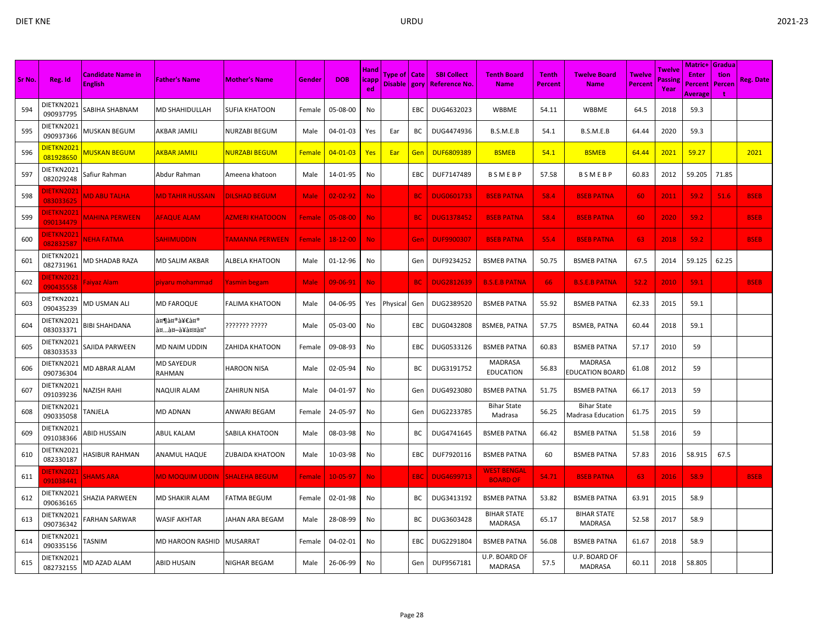| Sr No. | Reg. Id                        | <b>Candidate Name in</b><br><b>English</b> | <b>Father's Name</b>        | <b>Mother's Name</b>   | Gender        | <b>DOB</b>     | <b>Hand</b><br>icapp<br>ed | Type of   Cate<br>Disable   gory |            | <b>SBI Collect</b><br><b>Reference No.</b> | <b>Tenth Board</b><br><b>Name</b>     | <b>Tenth</b><br>Percent | <b>Twelve Board</b><br><b>Name</b>      | Twelve<br>Percent | <b>Twelve</b><br>Passing<br>Year | Matric+<br><b>Enter</b><br>Percent<br><b>Average</b> | Gradua<br>tion<br>Percen | <b>Reg. Date</b> |
|--------|--------------------------------|--------------------------------------------|-----------------------------|------------------------|---------------|----------------|----------------------------|----------------------------------|------------|--------------------------------------------|---------------------------------------|-------------------------|-----------------------------------------|-------------------|----------------------------------|------------------------------------------------------|--------------------------|------------------|
| 594    | DIETKN2021<br>090937795        | SABIHA SHABNAM                             | MD SHAHIDULLAH              | <b>SUFIA KHATOON</b>   | Female        | 05-08-00       | No                         |                                  | EBC        | DUG4632023                                 | WBBME                                 | 54.11                   | WBBME                                   | 64.5              | 2018                             | 59.3                                                 |                          |                  |
| 595    | DIETKN2021<br>090937366        | MUSKAN BEGUM                               | AKBAR JAMILI                | NURZABI BEGUM          | Male          | 04-01-03       | Yes                        | Ear                              | ВC         | DUG4474936                                 | B.S.M.E.B                             | 54.1                    | B.S.M.E.B                               | 64.44             | 2020                             | 59.3                                                 |                          |                  |
| 596    | <u>DIETKN2021</u><br>081928650 | MUSKAN BEGUM                               | AKBAR JAMILI                | NURZABI BEGUM          | <b>Female</b> | $04 - 01 - 03$ | <b>Yes</b>                 | Ear                              | Gen        | <b>DUF6809389</b>                          | <b>BSMEB</b>                          | 54.1                    | <b>BSMEB</b>                            | 64.44             | 2021                             | 59.27                                                |                          | 2021             |
| 597    | DIETKN2021<br>082029248        | Safiur Rahman                              | Abdur Rahman                | Ameena khatoon         | Male          | 14-01-95       | No                         |                                  | EBC        | DUF7147489                                 | <b>BSMEBP</b>                         | 57.58                   | BSMEBP                                  | 60.83             | 2012                             | 59.205                                               | 71.85                    |                  |
| 598    | DIETKN2021<br>083033625        | <b>MD ABU TALHA</b>                        | <b>MD TAHIR HUSSAIN</b>     | <b>DILSHAD BEGUM</b>   | <b>Male</b>   | $02 - 02 - 92$ | <b>No</b>                  |                                  | <b>BC</b>  | <b>DUG0601733</b>                          | <b>BSEB PATNA</b>                     | 58.4                    | <b>BSEB PATNA</b>                       | 60                | 2011                             | 59.2                                                 | 51.6                     | <b>BSEB</b>      |
| 599    | <b>DIETKN2021</b><br>090134479 | <b>MAHINA PERWEEN</b>                      | <b>AFAQUE ALAM</b>          | <b>AZMERI KHATOOON</b> | Female        | 05-08-00       | No.                        |                                  | <b>BC</b>  | <b>DUG1378452</b>                          | <b>BSEB PATNA</b>                     | 58.4                    | <b>BSEB PATNA</b>                       | 60                | 2020                             | 59.2                                                 |                          | <b>BSEB</b>      |
| 600    | DIETKN2021<br>082832587        | <b>NEHA FATMA</b>                          | <b>SAHIMUDDIN</b>           | <b>FAMANNA PERWEEN</b> | Female        | 18-12-00       | No.                        |                                  | Gen        | <b>DUF9900307</b>                          | <b>BSEB PATNA</b>                     | 55.4                    | <b>BSEB PATNA</b>                       | 63                | 2018                             | 59.2                                                 |                          | <b>BSEB</b>      |
| 601    | DIETKN2021<br>082731961        | MD SHADAB RAZA                             | <b>MD SALIM AKBAR</b>       | <b>ALBELA KHATOON</b>  | Male          | 01-12-96       | No                         |                                  | Gen        | DUF9234252                                 | <b>BSMEB PATNA</b>                    | 50.75                   | <b>BSMEB PATNA</b>                      | 67.5              | 2014                             | 59.125                                               | 62.25                    |                  |
| 602    | <u>JIETKN2021</u><br>090435558 | Faiyaz Alam                                | piyaru mohammad             | Yasmin begam           | <b>Male</b>   | 09-06-91       | No.                        |                                  | <b>BC</b>  | <b>DUG2812639</b>                          | <b>B.S.E.B PATNA</b>                  | 66                      | <b>B.S.E.B PATNA</b>                    | 52.2              | 2010                             | 59.1                                                 |                          | <b>BSEB</b>      |
| 603    | DIETKN2021<br>090435239        | MD USMAN ALI                               | <b>MD FAROQUE</b>           | FALIMA KHATOON         | Male          | 04-06-95       | Yes                        | Physica                          | Gen        | DUG2389520                                 | <b>BSMEB PATNA</b>                    | 55.92                   | <b>BSMEB PATNA</b>                      | 62.33             | 2015                             | 59.1                                                 |                          |                  |
| 604    | DIETKN2021<br>083033371        | BIBI SHAHDANA                              | शमीम<br>अखà¥à¤¤à¤°          | ??????? ?????          | Male          | 05-03-00       | No                         |                                  | EBC        | DUG0432808                                 | <b>BSMEB, PATNA</b>                   | 57.75                   | <b>BSMEB, PATNA</b>                     | 60.44             | 2018                             | 59.1                                                 |                          |                  |
| 605    | DIETKN2021<br>083033533        | SAJIDA PARWEEN                             | <b>MD NAIM UDDIN</b>        | <b>ZAHIDA KHATOON</b>  | Female        | 09-08-93       | No                         |                                  | <b>EBC</b> | DUG0533126                                 | <b>BSMEB PATNA</b>                    | 60.83                   | <b>BSMEB PATNA</b>                      | 57.17             | 2010                             | 59                                                   |                          |                  |
| 606    | DIETKN2021<br>090736304        | MD ABRAR ALAM                              | <b>MD SAYEDUR</b><br>RAHMAN | <b>HAROON NISA</b>     | Male          | 02-05-94       | No                         |                                  | BC         | DUG3191752                                 | MADRASA<br><b>EDUCATION</b>           | 56.83                   | MADRASA<br><b>EDUCATION BOARD</b>       | 61.08             | 2012                             | 59                                                   |                          |                  |
| 607    | DIETKN2021<br>091039236        | NAZISH RAHI                                | <b>NAQUIR ALAM</b>          | ZAHIRUN NISA           | Male          | 04-01-97       | No                         |                                  | Gen        | DUG4923080                                 | <b>BSMEB PATNA</b>                    | 51.75                   | <b>BSMEB PATNA</b>                      | 66.17             | 2013                             | 59                                                   |                          |                  |
| 608    | DIETKN2021<br>090335058        | TANJELA                                    | <b>MD ADNAN</b>             | ANWARI BEGAM           | Female        | 24-05-97       | No                         |                                  | Gen        | DUG2233785                                 | <b>Bihar State</b><br>Madrasa         | 56.25                   | <b>Bihar State</b><br>Madrasa Education | 61.75             | 2015                             | 59                                                   |                          |                  |
| 609    | DIETKN2021<br>091038366        | ABID HUSSAIN                               | ABUL KALAM                  | SABILA KHATOON         | Male          | 08-03-98       | No                         |                                  | BC         | DUG4741645                                 | <b>BSMEB PATNA</b>                    | 66.42                   | <b>BSMEB PATNA</b>                      | 51.58             | 2016                             | 59                                                   |                          |                  |
| 610    | DIETKN2021<br>082330187        | HASIBUR RAHMAN                             | <b>ANAMUL HAQUE</b>         | ZUBAIDA KHATOON        | Male          | 10-03-98       | No                         |                                  | EBC        | DUF7920116                                 | <b>BSMEB PATNA</b>                    | 60                      | <b>BSMEB PATNA</b>                      | 57.83             | 2016                             | 58.915                                               | 67.5                     |                  |
| 611    | <b>DIETKN2021</b><br>091038441 | <b>SHAMS ARA</b>                           | <b>MD MOQUIM UDDIN</b>      | <b>SHALEHA BEGUM</b>   | Female        | 10-05-97       | <b>No</b>                  |                                  | EBC        | <b>DUG4699713</b>                          | <b>WEST BENGAL</b><br><b>BOARD OF</b> | 54.71                   | <b>BSEB PATNA</b>                       | -63               | 2016                             | 58.9                                                 |                          | <b>BSEB</b>      |
| 612    | DIETKN2021<br>090636165        | SHAZIA PARWEEN                             | <b>MD SHAKIR ALAM</b>       | FATMA BEGUM            | Female        | 02-01-98       | No                         |                                  | BC         | DUG3413192                                 | <b>BSMEB PATNA</b>                    | 53.82                   | <b>BSMEB PATNA</b>                      | 63.91             | 2015                             | 58.9                                                 |                          |                  |
| 613    | DIETKN2021<br>090736342        | FARHAN SARWAR                              | <b>WASIF AKHTAR</b>         | JAHAN ARA BEGAM        | Male          | 28-08-99       | No                         |                                  | BC         | DUG3603428                                 | <b>BIHAR STATE</b><br><b>MADRASA</b>  | 65.17                   | <b>BIHAR STATE</b><br><b>MADRASA</b>    | 52.58             | 2017                             | 58.9                                                 |                          |                  |
| 614    | DIETKN2021<br>090335156        | TASNIM                                     | <b>MD HAROON RASHID</b>     | MUSARRAT               | Female        | 04-02-01       | No                         |                                  | EBC        | DUG2291804                                 | <b>BSMEB PATNA</b>                    | 56.08                   | <b>BSMEB PATNA</b>                      | 61.67             | 2018                             | 58.9                                                 |                          |                  |
| 615    | DIETKN2021<br>082732155        | MD AZAD ALAM                               | ABID HUSAIN                 | NIGHAR BEGAM           | Male          | 26-06-99       | No                         |                                  | Gen        | DUF9567181                                 | U.P. BOARD OF<br><b>MADRASA</b>       | 57.5                    | U.P. BOARD OF<br><b>MADRASA</b>         | 60.11             | 2018                             | 58.805                                               |                          |                  |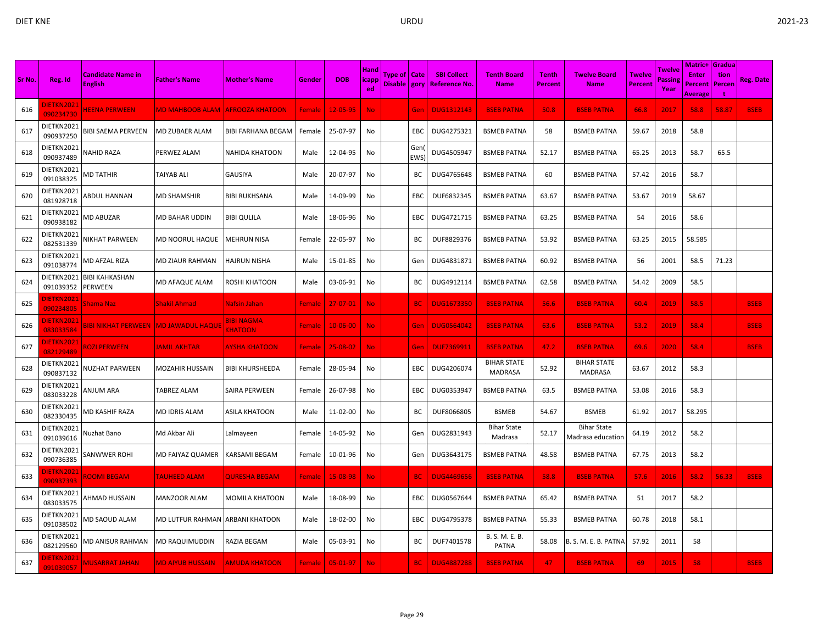|        |                                |                                            |                                 |                              |               |                | <b>Hand</b>     |                                  |             |                                           |                                      |                                |                                         |                                 | Twelve          | Matric+                 | <b>Gradua</b>                 |             |
|--------|--------------------------------|--------------------------------------------|---------------------------------|------------------------------|---------------|----------------|-----------------|----------------------------------|-------------|-------------------------------------------|--------------------------------------|--------------------------------|-----------------------------------------|---------------------------------|-----------------|-------------------------|-------------------------------|-------------|
| Sr No. | Reg. Id                        | <b>Candidate Name in</b><br><b>English</b> | <b>Father's Name</b>            | <b>Mother's Name</b>         | Gender        | <b>DOB</b>     | $ i$ capp<br>ed | Type of   Cate<br>Disable   gory |             | <b>SBI Collect</b><br><b>Reference No</b> | <b>Tenth Board</b><br><b>Name</b>    | <b>Tenth</b><br><b>Percent</b> | <b>Twelve Board</b><br><b>Name</b>      | <b>Twelve</b><br><b>Percent</b> | Passing<br>Year | <b>Enter</b><br>Percent | tion<br>Percen                | Reg. Date   |
| 616    | DIETKN2021<br>090234730        | <b>HEENA PERWEEN</b>                       | <b>MD MAHBOOB ALAM</b>          | <b>AFROOZA KHATOON</b>       | Female        | $12 - 05 - 95$ | No.             |                                  | Gen         | <b>DUG1312143</b>                         | <b>BSEB PATNA</b>                    | 50.8                           | <b>BSEB PATNA</b>                       | 66.8                            | 2017            | <b>Average</b><br>58.8  | $\ddot{\phantom{1}}$<br>58.87 | <b>BSEB</b> |
| 617    | DIETKN2021<br>090937250        | <b>BIBI SAEMA PERVEEN</b>                  | MD ZUBAER ALAM                  | <b>BIBI FARHANA BEGAM</b>    | Female        | 25-07-97       | No              |                                  | <b>EBC</b>  | DUG4275321                                | <b>BSMEB PATNA</b>                   | 58                             | <b>BSMEB PATNA</b>                      | 59.67                           | 2018            | 58.8                    |                               |             |
| 618    | DIETKN2021<br>090937489        | NAHID RAZA                                 | PERWEZ ALAM                     | NAHIDA KHATOON               | Male          | 12-04-95       | No              |                                  | Gen<br>EWS) | DUG4505947                                | <b>BSMEB PATNA</b>                   | 52.17                          | <b>BSMEB PATNA</b>                      | 65.25                           | 2013            | 58.7                    | 65.5                          |             |
| 619    | DIETKN2021<br>091038325        | MD TATHIR                                  | TAIYAB ALI                      | <b>GAUSIYA</b>               | Male          | 20-07-97       | No              |                                  | BC          | DUG4765648                                | <b>BSMEB PATNA</b>                   | 60                             | <b>BSMEB PATNA</b>                      | 57.42                           | 2016            | 58.7                    |                               |             |
| 620    | DIETKN2021<br>081928718        | ABDUL HANNAN                               | MD SHAMSHIR                     | <b>BIBI RUKHSANA</b>         | Male          | 14-09-99       | No              |                                  | EBC         | DUF6832345                                | <b>BSMEB PATNA</b>                   | 63.67                          | <b>BSMEB PATNA</b>                      | 53.67                           | 2019            | 58.67                   |                               |             |
| 621    | DIETKN2021<br>090938182        | <b>MD ABUZAR</b>                           | MD BAHAR UDDIN                  | <b>BIBI QULILA</b>           | Male          | 18-06-96       | No              |                                  | EBC         | DUG4721715                                | <b>BSMEB PATNA</b>                   | 63.25                          | <b>BSMEB PATNA</b>                      | 54                              | 2016            | 58.6                    |                               |             |
| 622    | DIETKN2021<br>082531339        | NIKHAT PARWEEN                             | MD NOORUL HAQUE                 | MEHRUN NISA                  | Female        | 22-05-97       | No              |                                  | ВC          | DUF8829376                                | <b>BSMEB PATNA</b>                   | 53.92                          | <b>BSMEB PATNA</b>                      | 63.25                           | 2015            | 58.585                  |                               |             |
| 623    | DIETKN2021<br>091038774        | MD AFZAL RIZA                              | MD ZIAUR RAHMAN                 | HAJRUN NISHA                 | Male          | 15-01-85       | No              |                                  | Gen         | DUG4831871                                | <b>BSMEB PATNA</b>                   | 60.92                          | <b>BSMEB PATNA</b>                      | 56                              | 2001            | 58.5                    | 71.23                         |             |
| 624    | DIETKN2021<br>091039352        | <b>BIBI KAHKASHAN</b><br><b>PERWEEN</b>    | MD AFAQUE ALAM                  | ROSHI KHATOON                | Male          | 03-06-91       | No              |                                  | BC          | DUG4912114                                | <b>BSMEB PATNA</b>                   | 62.58                          | <b>BSMEB PATNA</b>                      | 54.42                           | 2009            | 58.5                    |                               |             |
| 625    | <b>IETKN2021</b><br>090234805  | Shama Nazi                                 | <b>Shakil Ahmad</b>             | Nafsin Jahan                 | Female        | $27 - 07 - 01$ | No.             |                                  | <b>BC</b>   | <b>DUG1673350</b>                         | <b>BSEB PATNA</b>                    | 56.6                           | <b>BSEB PATNA</b>                       | 60.4                            | 2019            | 58.5                    |                               | <b>BSEB</b> |
| 626    | <b>IETKN2021</b><br>083033584  | 31BI NIKHAT PERWEEN.                       | <b>MD JAWADUL HAQUE</b>         | 3IBI NAGMA<br><b>CHATOON</b> | <b>Female</b> | $10 - 06 - 00$ | No.             |                                  | Gen         | <b>DUG0564042</b>                         | <b>BSEB PATNA</b>                    | 63.6                           | <b>BSEB PATNA</b>                       | 53.2                            | 2019            | 58.4                    |                               | <b>BSEB</b> |
| 627    | DIETKN2021<br>082129489        | <b>ROZI PERWEEN</b>                        | <b>JAMIL AKHTAR</b>             | <b>AYSHA KHATOON</b>         | Female        | 25-08-02       | No.             |                                  | Gen         | <b>DUF7369911</b>                         | <b>BSEB PATNA</b>                    | 47.2                           | <b>BSEB PATNA</b>                       | 69.6                            | 2020            | 58.4                    |                               | <b>BSEB</b> |
| 628    | DIETKN2021<br>090837132        | NUZHAT PARWEEN                             | MOZAHIR HUSSAIN                 | <b>BIBI KHURSHEEDA</b>       | Female        | 28-05-94       | No              |                                  | EBC         | DUG4206074                                | <b>BIHAR STATE</b><br><b>MADRASA</b> | 52.92                          | <b>BIHAR STATE</b><br>MADRASA           | 63.67                           | 2012            | 58.3                    |                               |             |
| 629    | DIETKN2021<br>083033228        | ANJUM ARA                                  | TABREZ ALAM                     | SAIRA PERWEEN                | Female        | 26-07-98       | No              |                                  | EBC         | DUG0353947                                | <b>BSMEB PATNA</b>                   | 63.5                           | <b>BSMEB PATNA</b>                      | 53.08                           | 2016            | 58.3                    |                               |             |
| 630    | DIETKN2021<br>082330435        | MD KASHIF RAZA                             | <b>MD IDRIS ALAM</b>            | ASILA KHATOON                | Male          | 11-02-00       | No              |                                  | ВC          | DUF8066805                                | <b>BSMEB</b>                         | 54.67                          | <b>BSMEB</b>                            | 61.92                           | 2017            | 58.295                  |                               |             |
| 631    | DIETKN2021<br>091039616        | Nuzhat Bano                                | Md Akbar Ali                    | Lalmayeen                    | Female        | 14-05-92       | No              |                                  | Gen         | DUG2831943                                | <b>Bihar State</b><br>Madrasa        | 52.17                          | <b>Bihar State</b><br>Madrasa education | 64.19                           | 2012            | 58.2                    |                               |             |
| 632    | DIETKN2021<br>090736385        | <b>SANWWER ROHI</b>                        | MD FAIYAZ QUAMER                | KARSAMI BEGAM                | Female        | 10-01-96       | No              |                                  | Gen         | DUG3643175                                | <b>BSMEB PATNA</b>                   | 48.58                          | <b>BSMEB PATNA</b>                      | 67.75                           | 2013            | 58.2                    |                               |             |
| 633    | <b>IETKN2021</b><br>090937393  | <b>ROOMI BEGAM</b>                         | <b>TAUHEED ALAM</b>             | <b>QURESHA BEGAM</b>         | Female        | 15-08-98       | <b>No</b>       |                                  | <b>BC</b>   | <b>DUG4469656</b>                         | <b>BSEB PATNA</b>                    | 58.8                           | <b>BSEB PATNA</b>                       | 57.6                            | 2016            | 58.2                    | 56.33                         | <b>BSEB</b> |
| 634    | DIETKN2021<br>083033575        | AHMAD HUSSAIN                              | <b>MANZOOR ALAM</b>             | MOMILA KHATOON               | Male          | 18-08-99       | No              |                                  | EBC         | DUG0567644                                | <b>BSMEB PATNA</b>                   | 65.42                          | <b>BSMEB PATNA</b>                      | 51                              | 2017            | 58.2                    |                               |             |
| 635    | DIETKN2021<br>091038502        | MD SAOUD ALAM                              | MD LUTFUR RAHMAN ARBANI KHATOON |                              | Male          | 18-02-00       | No              |                                  | EBC         | DUG4795378                                | <b>BSMEB PATNA</b>                   | 55.33                          | <b>BSMEB PATNA</b>                      | 60.78                           | 2018            | 58.1                    |                               |             |
| 636    | DIETKN2021<br>082129560        | MD ANISUR RAHMAN                           | MD RAQUIMUDDIN                  | RAZIA BEGAM                  | Male          | 05-03-91       | No              |                                  | BС          | DUF7401578                                | B. S. M. E. B.<br>PATNA              | 58.08                          | B. S. M. E. B. PATNA                    | 57.92                           | 2011            | 58                      |                               |             |
| 637    | <b>DIETKN2021</b><br>091039057 | <b>MUSARRAT JAHAN</b>                      | <b>MD AIYUB HUSSAIN</b>         | <b>AMUDA KHATOON</b>         | <b>Female</b> | 05-01-97       | No              |                                  | <b>BC</b>   | <b>DUG4887288</b>                         | <b>BSEB PATNA</b>                    | 47                             | <b>BSEB PATNA</b>                       | 69                              | 2015            | 58                      |                               | <b>BSEB</b> |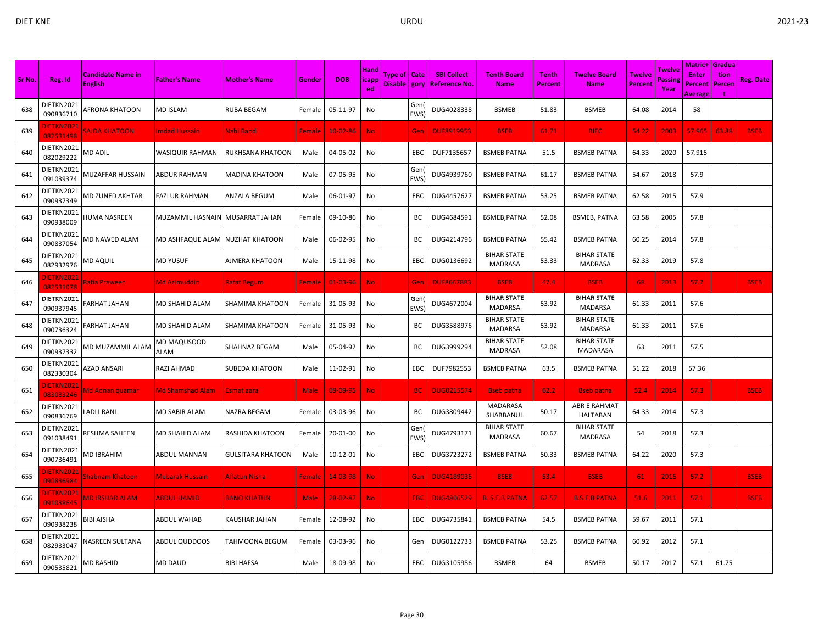|        |                               |                                            |                                  |                          |             |                |                                     |                                  |                   |                                           |                                      |                                |                                       |                                 |                           | Matric+                            | <b>Gradua</b>  |                  |
|--------|-------------------------------|--------------------------------------------|----------------------------------|--------------------------|-------------|----------------|-------------------------------------|----------------------------------|-------------------|-------------------------------------------|--------------------------------------|--------------------------------|---------------------------------------|---------------------------------|---------------------------|------------------------------------|----------------|------------------|
| Sr No. | Reg. Id                       | <b>Candidate Name in</b><br><b>English</b> | <b>Father's Name</b>             | <b>Mother's Name</b>     | Gender      | <b>DOB</b>     | <b>Hand</b><br><b>licapp</b><br>ed. | Type of   Cate<br>Disable   gory |                   | <b>SBI Collect</b><br><b>Reference No</b> | <b>Tenth Board</b><br><b>Name</b>    | <b>Tenth</b><br><b>Percent</b> | <b>Twelve Board</b><br>Name           | <b>Twelve</b><br><b>Percent</b> | Twelve<br>Passine<br>Year | <b>Enter</b><br>Percent<br>Average | tion<br>Percen | <b>Reg. Date</b> |
| 638    | DIETKN2021<br>090836710       | AFRONA KHATOON                             | <b>MD ISLAM</b>                  | <b>RUBA BEGAM</b>        | Female      | 05-11-97       | No                                  |                                  | Gen<br><b>EWS</b> | DUG4028338                                | <b>BSMEB</b>                         | 51.83                          | <b>BSMEB</b>                          | 64.08                           | 2014                      | 58                                 |                |                  |
| 639    | DIETKN2021<br>082531498       | <b>SAJDA KHATOON</b>                       | <b>Imdad Hussain</b>             | Nabi Bandi               | Female      | $10 - 02 - 86$ | <b>No</b>                           |                                  | Gen               | <b>DUF8919953</b>                         | <b>BSEB</b>                          | 61.71                          | <b>BIEC</b>                           | 54.22                           | 2003                      | 57.965                             | 63.88          | <b>BSEB</b>      |
| 640    | DIETKN2021<br>082029222       | MD ADIL                                    | WASIQUIR RAHMAN                  | RUKHSANA KHATOON         | Male        | 04-05-02       | No                                  |                                  | EBC               | DUF7135657                                | <b>BSMEB PATNA</b>                   | 51.5                           | <b>BSMEB PATNA</b>                    | 64.33                           | 2020                      | 57.915                             |                |                  |
| 641    | DIETKN2021<br>091039374       | MUZAFFAR HUSSAIN                           | ABDUR RAHMAN                     | <b>MADINA KHATOON</b>    | Male        | 07-05-95       | No                                  |                                  | Gen<br><b>EWS</b> | DUG4939760                                | <b>BSMEB PATNA</b>                   | 61.17                          | <b>BSMEB PATNA</b>                    | 54.67                           | 2018                      | 57.9                               |                |                  |
| 642    | DIETKN2021<br>090937349       | MD ZUNED AKHTAR                            | <b>FAZLUR RAHMAN</b>             | ANZALA BEGUM             | Male        | 06-01-97       | No                                  |                                  | EBC               | DUG4457627                                | <b>BSMEB PATNA</b>                   | 53.25                          | <b>BSMEB PATNA</b>                    | 62.58                           | 2015                      | 57.9                               |                |                  |
| 643    | DIETKN2021<br>090938009       | HUMA NASREEN                               | MUZAMMIL HASNAIN MUSARRAT JAHAN  |                          | Female      | 09-10-86       | No                                  |                                  | ВC                | DUG4684591                                | BSMEB, PATNA                         | 52.08                          | <b>BSMEB, PATNA</b>                   | 63.58                           | 2005                      | 57.8                               |                |                  |
| 644    | DIETKN2021<br>090837054       | MD NAWED ALAM                              | MD ASHFAQUE ALAM INUZHAT KHATOON |                          | Male        | 06-02-95       | No                                  |                                  | BС                | DUG4214796                                | <b>BSMEB PATNA</b>                   | 55.42                          | <b>BSMEB PATNA</b>                    | 60.25                           | 2014                      | 57.8                               |                |                  |
| 645    | DIETKN2021<br>082932976       | MD AQUIL                                   | <b>MD YUSUF</b>                  | AJMERA KHATOON           | Male        | 15-11-98       | No                                  |                                  | EBC               | DUG0136692                                | <b>BIHAR STATE</b><br><b>MADRASA</b> | 53.33                          | <b>BIHAR STATE</b><br><b>MADRASA</b>  | 62.33                           | 2019                      | 57.8                               |                |                  |
| 646    | <b>IETKN2021</b><br>082531078 | Rafia Praween                              | <b>Md Azimuddin</b>              | Rafat Begum              | Female      | $01 - 03 - 96$ | <b>No</b>                           |                                  | Gen               | <b>DUF8667883</b>                         | <b>BSEB</b>                          | 47.4                           | <b>BSEB</b>                           | 68                              | 2013                      | 57.7                               |                | <b>BSEB</b>      |
| 647    | DIETKN2021<br>090937945       | FARHAT JAHAN                               | MD SHAHID ALAM                   | SHAMIMA KHATOON          | Female      | 31-05-93       | No                                  |                                  | Gen<br><b>EWS</b> | DUG4672004                                | <b>BIHAR STATE</b><br><b>MADARSA</b> | 53.92                          | <b>BIHAR STATE</b><br><b>MADARSA</b>  | 61.33                           | 2011                      | 57.6                               |                |                  |
| 648    | DIETKN2021<br>090736324       | FARHAT JAHAN                               | MD SHAHID ALAM                   | SHAMIMA KHATOON          | Female      | 31-05-93       | No                                  |                                  | ВC                | DUG3588976                                | <b>BIHAR STATE</b><br><b>MADARSA</b> | 53.92                          | <b>BIHAR STATE</b><br><b>MADARSA</b>  | 61.33                           | 2011                      | 57.6                               |                |                  |
| 649    | DIETKN2021<br>090937332       | MD MUZAMMIL ALAM                           | MD MAQUSOOD<br>ALAM              | SHAHNAZ BEGAM            | Male        | 05-04-92       | No                                  |                                  | BC                | DUG3999294                                | <b>BIHAR STATE</b><br><b>MADRASA</b> | 52.08                          | <b>BIHAR STATE</b><br><b>MADARASA</b> | 63                              | 2011                      | 57.5                               |                |                  |
| 650    | DIETKN2021<br>082330304       | AZAD ANSARI                                | RAZI AHMAD                       | SUBEDA KHATOON           | Male        | 11-02-91       | No                                  |                                  | EBC               | DUF7982553                                | <b>BSMEB PATNA</b>                   | 63.5                           | <b>BSMEB PATNA</b>                    | 51.22                           | 2018                      | 57.36                              |                |                  |
| 651    | <b>IETKN2021</b><br>083033246 | Md Adnan quamar                            | Md Shamshad Alam                 | Esmat aara               | <b>Male</b> | 09-09-95       | No.                                 |                                  | <b>BC</b>         | <b>DUG0215574</b>                         | <b>Bseb patna</b>                    | 62.2                           | <b>Bseb patna</b>                     | 52.4                            | 2014                      | 57.3                               |                | <b>BSEB</b>      |
| 652    | DIETKN2021<br>090836769       | <b>ADLI RANI</b>                           | <b>MD SABIR ALAM</b>             | NAZRA BEGAM              | Female      | 03-03-96       | No                                  |                                  | BC                | DUG3809442                                | MADARASA<br>SHABBANUL                | 50.17                          | ABR E RAHMAT<br><b>HALTABAN</b>       | 64.33                           | 2014                      | 57.3                               |                |                  |
| 653    | DIETKN2021<br>091038491       | RESHMA SAHEEN                              | MD SHAHID ALAM                   | RASHIDA KHATOON          | Female      | 20-01-00       | No                                  |                                  | Gen<br>EWS        | DUG4793171                                | <b>BIHAR STATE</b><br><b>MADRASA</b> | 60.67                          | <b>BIHAR STATE</b><br><b>MADRASA</b>  | 54                              | 2018                      | 57.3                               |                |                  |
| 654    | DIETKN2021<br>090736491       | MD IBRAHIM                                 | <b>ABDUL MANNAN</b>              | <b>GULSITARA KHATOON</b> | Male        | 10-12-01       | No                                  |                                  | EBC               | DUG3723272                                | <b>BSMEB PATNA</b>                   | 50.33                          | <b>BSMEB PATNA</b>                    | 64.22                           | 2020                      | 57.3                               |                |                  |
| 655    | <b>IETKN2021</b><br>090836984 | Shabnam Khatoon                            | <b>Mubarak Hussain</b>           | Aflatun Nisha            | Female      | 14-03-98       | <b>No</b>                           |                                  | Gen               | <b>DUG4189036</b>                         | <b>BSEB</b>                          | 53.4                           | <b>BSEB</b>                           | 61                              | 2016                      | 57.2                               |                | <b>BSEB</b>      |
| 656    | DIETKN2021<br>091038645       | <b>MD IRSHAD ALAM</b>                      | <b>ABDUL HAMID</b>               | <b>BANO KHATUN</b>       | <b>Male</b> | $28 - 02 - 87$ | <b>No</b>                           |                                  | <b>EBC</b>        | <b>DUG4806529</b>                         | <b>B. S.E.B PATNA</b>                | 62.57                          | <b>B.S.E.B PATNA</b>                  | 51.6                            | 2011                      | 57.1                               |                | <b>BSEB</b>      |
| 657    | DIETKN2021<br>090938238       | BIBI AISHA                                 | <b>ABDUL WAHAB</b>               | KAUSHAR JAHAN            | Female      | 12-08-92       | No                                  |                                  | EBC               | DUG4735841                                | <b>BSMEB PATNA</b>                   | 54.5                           | <b>BSMEB PATNA</b>                    | 59.67                           | 2011                      | 57.1                               |                |                  |
| 658    | DIETKN2021<br>082933047       | NASREEN SULTANA                            | ABDUL QUDDOOS                    | TAHMOONA BEGUM           | Female      | 03-03-96       | No                                  |                                  | Gen               | DUG0122733                                | <b>BSMEB PATNA</b>                   | 53.25                          | <b>BSMEB PATNA</b>                    | 60.92                           | 2012                      | 57.1                               |                |                  |
| 659    | DIETKN2021<br>090535821       | MD RASHID                                  | MD DAUD                          | <b>BIBI HAFSA</b>        | Male        | 18-09-98       | No                                  |                                  | EBC               | DUG3105986                                | <b>BSMEB</b>                         | 64                             | <b>BSMEB</b>                          | 50.17                           | 2017                      | 57.1                               | 61.75          |                  |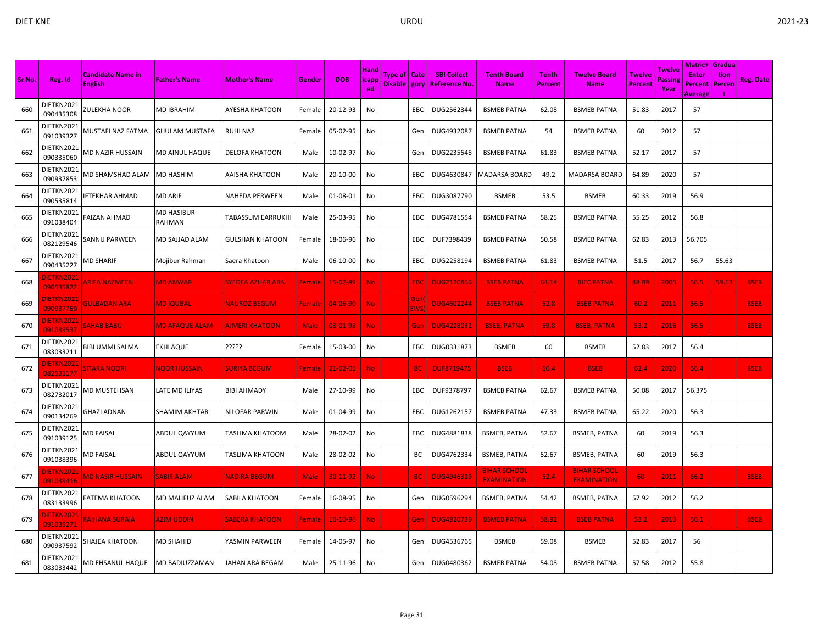| Sr No. | Reg. Id                        | <b>Candidate Name in</b><br><b>English</b> | <b>Father's Name</b>  | <b>Mother's Name</b>   | Gender        | <b>DOB</b>     | <b>Hand</b><br>icapp<br>ed | Type of   Cate<br>Disable gory |             | <b>SBI Collect</b><br><u>  Reference No</u> | <b>Tenth Board</b><br><b>Name</b>         | <b>Tenth</b><br><b>Percent</b> | <b>Twelve Board</b><br><b>Name</b>        | <b>Twelve</b><br><b>Percent</b> | Twelve<br>assing<br>Year | <b>Matric+ Gradua</b><br><b>Enter</b><br>Percent | tion<br>Percen | Reg. Date   |
|--------|--------------------------------|--------------------------------------------|-----------------------|------------------------|---------------|----------------|----------------------------|--------------------------------|-------------|---------------------------------------------|-------------------------------------------|--------------------------------|-------------------------------------------|---------------------------------|--------------------------|--------------------------------------------------|----------------|-------------|
| 660    | DIETKN2021<br>090435308        | ZULEKHA NOOR                               | MD IBRAHIM            | AYESHA KHATOON         | Female        | 20-12-93       | No                         |                                | EBC         | DUG2562344                                  | <b>BSMEB PATNA</b>                        | 62.08                          | <b>BSMEB PATNA</b>                        | 51.83                           | 2017                     | Average<br>57                                    |                |             |
| 661    | DIETKN2021<br>091039327        | MUSTAFI NAZ FATMA                          | <b>GHULAM MUSTAFA</b> | RUHI NAZ               | Female        | 05-02-95       | No                         |                                | Gen         | DUG4932087                                  | <b>BSMEB PATNA</b>                        | 54                             | <b>BSMEB PATNA</b>                        | 60                              | 2012                     | 57                                               |                |             |
| 662    | DIETKN2021<br>090335060        | MD NAZIR HUSSAIN                           | MD AINUL HAQUE        | DELOFA KHATOON         | Male          | 10-02-97       | No                         |                                | Gen         | DUG2235548                                  | <b>BSMEB PATNA</b>                        | 61.83                          | <b>BSMEB PATNA</b>                        | 52.17                           | 2017                     | 57                                               |                |             |
| 663    | DIETKN2021<br>090937853        | MD SHAMSHAD ALAM                           | <b>MD HASHIM</b>      | AAISHA KHATOON         | Male          | 20-10-00       | No                         |                                | <b>EBC</b>  | DUG4630847                                  | <b>MADARSA BOARD</b>                      | 49.2                           | <b>MADARSA BOARD</b>                      | 64.89                           | 2020                     | 57                                               |                |             |
| 664    | DIETKN2021<br>090535814        | FTEKHAR AHMAD                              | MD ARIF               | NAHEDA PERWEEN         | Male          | 01-08-01       | No                         |                                | EBC         | DUG3087790                                  | <b>BSMEB</b>                              | 53.5                           | <b>BSMEB</b>                              | 60.33                           | 2019                     | 56.9                                             |                |             |
| 665    | DIETKN2021<br>091038404        | <b>AIZAN AHMAD</b>                         | MD HASIBUR<br>RAHMAN  | TABASSUM EARRUKHI      | Male          | 25-03-95       | No                         |                                | EBC         | DUG4781554                                  | <b>BSMEB PATNA</b>                        | 58.25                          | <b>BSMEB PATNA</b>                        | 55.25                           | 2012                     | 56.8                                             |                |             |
| 666    | DIETKN2021<br>082129546        | SANNU PARWEEN                              | MD SAJJAD ALAM        | <b>GULSHAN KHATOON</b> | Female        | 18-06-96       | No                         |                                | EBC         | DUF7398439                                  | <b>BSMEB PATNA</b>                        | 50.58                          | <b>BSMEB PATNA</b>                        | 62.83                           | 2013                     | 56.705                                           |                |             |
| 667    | DIETKN2021<br>090435227        | MD SHARIF                                  | Mojibur Rahman        | Saera Khatoon          | Male          | 06-10-00       | No                         |                                | EBC         | DUG2258194                                  | <b>BSMEB PATNA</b>                        | 61.83                          | <b>BSMEB PATNA</b>                        | 51.5                            | 2017                     | 56.7                                             | 55.63          |             |
| 668    | <b>JIETKN2021</b><br>090535822 | <b>ARIFA NAZMEEN</b>                       | <b>MD ANWAR</b>       | SYEDEA AZHAR ARA       | Female        | 15-02-89       | No.                        |                                | EBC         | <b>DUG2120856</b>                           | <b>BSEB PATNA</b>                         | 64.14                          | <b>BIEC PATNA</b>                         | 48.89                           | 2005                     | 56.5                                             | 59.13          | <b>BSEB</b> |
| 669    | <b>JIETKN2021</b><br>090937760 | <b>GULBADAN ARA</b>                        | <b>MD IQUBAL</b>      | <b>NAUROZ BEGUM</b>    | Female        | 04-06-90       | No.                        |                                | Gen<br>EWS) | <b>DUG4602244</b>                           | <b>BSEB PATNA</b>                         | 52.8                           | <b>BSEB PATNA</b>                         | 60.2                            | 2011                     | 56.5                                             |                | <b>BSEB</b> |
| 670    | <b>JIETKN2021</b><br>091039537 | <b>SAHAB BABU</b>                          | <b>MD AFAQUE ALAM</b> | <b>AJMERI KHATOON</b>  | <b>Male</b>   | 03-01-98       | No.                        |                                | Gen         | <b>DUG4228032</b>                           | <b>BSEB, PATNA</b>                        | 59.8                           | <b>BSEB, PATNA</b>                        | 53.2                            | 2016                     | 56.5                                             |                | <b>BSEB</b> |
| 671    | DIETKN2021<br>083033211        | BIBI UMMI SALMA                            | <b>EKHLAQUE</b>       | ?????                  | Female        | 15-03-00       | No                         |                                | EBC         | DUG0331873                                  | <b>BSMEB</b>                              | 60                             | <b>BSMEB</b>                              | 52.83                           | 2017                     | 56.4                                             |                |             |
| 672    | <b>JIETKN2021</b><br>082531177 | <b>SITARA NOORI</b>                        | <b>NOOR HUSSAIN</b>   | <b>SURIYA BEGUM</b>    | <b>Female</b> | $21 - 02 - 01$ | No.                        |                                | BC.         | <b>DUF8719475</b>                           | <b>BSEB</b>                               | 50.4                           | <b>BSEB</b>                               | 62.4                            | 2020                     | 56.4                                             |                | <b>BSEB</b> |
| 673    | DIETKN2021<br>082732017        | <b>MD MUSTEHSAN</b>                        | LATE MD ILIYAS        | <b>BIBI AHMADY</b>     | Male          | 27-10-99       | No                         |                                | EBC         | DUF9378797                                  | <b>BSMEB PATNA</b>                        | 62.67                          | <b>BSMEB PATNA</b>                        | 50.08                           | 2017                     | 56.375                                           |                |             |
| 674    | DIETKN2021<br>090134269        | GHAZI ADNAN                                | SHAMIM AKHTAR         | NILOFAR PARWIN         | Male          | 01-04-99       | No                         |                                | EBC         | DUG1262157                                  | <b>BSMEB PATNA</b>                        | 47.33                          | <b>BSMEB PATNA</b>                        | 65.22                           | 2020                     | 56.3                                             |                |             |
| 675    | DIETKN2021<br>091039125        | MD FAISAL                                  | ABDUL QAYYUM          | TASLIMA KHATOOM        | Male          | 28-02-02       | No                         |                                | <b>EBC</b>  | DUG4881838                                  | <b>BSMEB, PATNA</b>                       | 52.67                          | <b>BSMEB, PATNA</b>                       | 60                              | 2019                     | 56.3                                             |                |             |
| 676    | DIETKN2021<br>091038396        | <b>MD FAISAL</b>                           | ABDUL QAYYUM          | TASLIMA KHATOON        | Male          | 28-02-02       | No                         |                                | BC          | DUG4762334                                  | <b>BSMEB, PATNA</b>                       | 52.67                          | <b>BSMEB, PATNA</b>                       | 60                              | 2019                     | 56.3                                             |                |             |
| 677    | <b>JIETKN2021</b><br>091039416 | <b>MD NASIR HUSSAIN</b>                    | <b>SABIR ALAM</b>     | <b>NADIRA BEGUM</b>    | <b>Male</b>   | 30-11-92       | No.                        |                                | <b>BC</b>   | <b>DUG4946319</b>                           | <b>BIHAR SCHOOL</b><br><b>EXAMINATION</b> | 52.4                           | <b>BIHAR SCHOOL</b><br><b>EXAMINATION</b> | 60                              | 2011                     | 56.2                                             |                | <b>BSEB</b> |
| 678    | DIETKN2021<br>083133996        | FATEMA KHATOON                             | MD MAHFUZ ALAM        | SABILA KHATOON         | Female        | 16-08-95       | No                         |                                | Gen         | DUG0596294                                  | <b>BSMEB, PATNA</b>                       | 54.42                          | <b>BSMEB, PATNA</b>                       | 57.92                           | 2012                     | 56.2                                             |                |             |
| 679    | <b>DIETKN2021</b><br>091039271 | <b>RAIHANA SURAIA</b>                      | <b>AZIM UDDIN</b>     | SABERA KHATOON         | Female        | 10-10-96       | No.                        |                                | Gen         | <b>DUG4920739</b>                           | <b>BSMEB PATNA</b>                        | 58.92                          | <b>BSEB PATNA</b>                         | 53.2                            | 2013                     | 56.1                                             |                | <b>BSEB</b> |
| 680    | DIETKN2021<br>090937592        | SHAJEA KHATOON                             | MD SHAHID             | YASMIN PARWEEN         | Female        | 14-05-97       | No                         |                                | Gen         | DUG4536765                                  | <b>BSMEB</b>                              | 59.08                          | <b>BSMEB</b>                              | 52.83                           | 2017                     | 56                                               |                |             |
| 681    | DIETKN2021<br>083033442        | MD EHSANUL HAQUE                           | MD BADIUZZAMAN        | JAHAN ARA BEGAM        | Male          | 25-11-96       | No                         |                                | Gen         | DUG0480362                                  | <b>BSMEB PATNA</b>                        | 54.08                          | <b>BSMEB PATNA</b>                        | 57.58                           | 2012                     | 55.8                                             |                |             |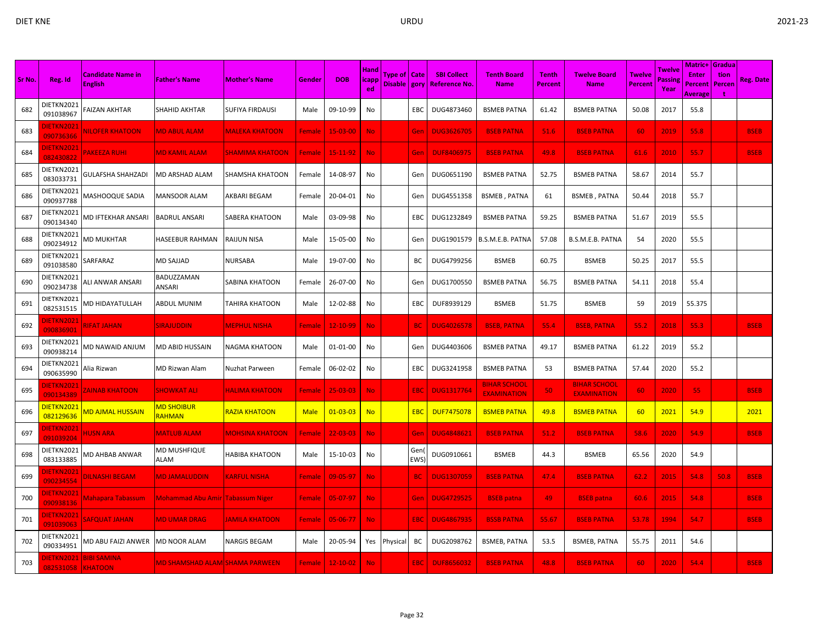|        |                                |                                            |                                        |                        |               |                |                                     |                |            |                                                     |                                           |                         |                                           |                          |                          | <b>Matric+ Gradua</b>                     |                |             |
|--------|--------------------------------|--------------------------------------------|----------------------------------------|------------------------|---------------|----------------|-------------------------------------|----------------|------------|-----------------------------------------------------|-------------------------------------------|-------------------------|-------------------------------------------|--------------------------|--------------------------|-------------------------------------------|----------------|-------------|
| Sr No. | Reg. Id                        | <b>Candidate Name in</b><br><b>English</b> | <b>Father's Name</b>                   | <b>Mother's Name</b>   | Gender        | <b>DOB</b>     | <b>Hand</b><br><b>licapp</b><br>ed. | Type of   Cate |            | <b>SBI Collect</b><br>Disable   gory   Reference No | <b>Tenth Board</b><br><b>Name</b>         | <b>Tenth</b><br>Percent | <b>Twelve Board</b><br><b>Name</b>        | Twelve<br><b>Percent</b> | Twelve<br>Passin<br>Year | <b>Enter</b><br>Percent<br><b>Average</b> | tion<br>Percen | Reg. Date   |
| 682    | DIETKN2021<br>091038967        | FAIZAN AKHTAR                              | SHAHID AKHTAR                          | <b>SUFIYA FIRDAUSI</b> | Male          | 09-10-99       | No                                  |                | EBC        | DUG4873460                                          | <b>BSMEB PATNA</b>                        | 61.42                   | <b>BSMEB PATNA</b>                        | 50.08                    | 2017                     | 55.8                                      |                |             |
| 683    | <b>DIETKN2021</b><br>090736366 | NILOFER KHATOON                            | <b>MD ABUL ALAM</b>                    | <b>MALEKA KHATOON</b>  | <b>Female</b> | 15-03-00       | <b>No</b>                           |                | Gen        | <b>DUG3626705</b>                                   | <b>BSEB PATNA</b>                         | 51.6                    | <b>BSEB PATNA</b>                         | 60                       | 2019                     | 55.8                                      |                | <b>BSEB</b> |
| 684    | <b>DIETKN2021</b><br>082430822 | <b>PAKEEZA RUHI</b>                        | <b>MD KAMIL ALAM</b>                   | <u>SHAMIMA KHATOON</u> | <b>Female</b> | 15-11-92       | No.                                 |                | Gen        | <b>DUF8406975</b>                                   | <b>BSEB PATNA</b>                         | 49.8                    | <b>BSEB PATNA</b>                         | 61.6                     | 2010                     | 55.7                                      |                | <b>BSEB</b> |
| 685    | DIETKN2021<br>083033731        | GULAFSHA SHAHZADI                          | MD ARSHAD ALAM                         | SHAMSHA KHATOON        | Female        | 14-08-97       | No                                  |                | Gen        | DUG0651190                                          | <b>BSMEB PATNA</b>                        | 52.75                   | <b>BSMEB PATNA</b>                        | 58.67                    | 2014                     | 55.7                                      |                |             |
| 686    | DIETKN2021<br>090937788        | <b>MASHOOQUE SADIA</b>                     | <b>MANSOOR ALAM</b>                    | AKBARI BEGAM           | Female        | 20-04-01       | No                                  |                | Gen        | DUG4551358                                          | <b>BSMEB, PATNA</b>                       | 61                      | <b>BSMEB, PATNA</b>                       | 50.44                    | 2018                     | 55.7                                      |                |             |
| 687    | DIETKN2021<br>090134340        | <b>MD IFTEKHAR ANSARI</b>                  | <b>BADRUL ANSARI</b>                   | SABERA KHATOON         | Male          | 03-09-98       | No                                  |                | EBC        | DUG1232849                                          | <b>BSMEB PATNA</b>                        | 59.25                   | <b>BSMEB PATNA</b>                        | 51.67                    | 2019                     | 55.5                                      |                |             |
| 688    | DIETKN2021<br>090234912        | <b>MD MUKHTAR</b>                          | HASEEBUR RAHMAN                        | <b>RAIJUN NISA</b>     | Male          | 15-05-00       | No                                  |                | Gen        | DUG1901579                                          | B.S.M.E.B. PATNA                          | 57.08                   | B.S.M.E.B. PATNA                          | 54                       | 2020                     | 55.5                                      |                |             |
| 689    | DIETKN2021<br>091038580        | SARFARAZ                                   | MD SAJJAD                              | <b>NURSABA</b>         | Male          | 19-07-00       | No                                  |                | BС         | DUG4799256                                          | <b>BSMEB</b>                              | 60.75                   | <b>BSMEB</b>                              | 50.25                    | 2017                     | 55.5                                      |                |             |
| 690    | DIETKN2021<br>090234738        | ILI ANWAR ANSARI                           | BADUZZAMAN<br>ANSARI                   | SABINA KHATOON         | Female        | 26-07-00       | No                                  |                | Gen        | DUG1700550                                          | <b>BSMEB PATNA</b>                        | 56.75                   | <b>BSMEB PATNA</b>                        | 54.11                    | 2018                     | 55.4                                      |                |             |
| 691    | DIETKN2021<br>082531515        | <b>MD HIDAYATULLAH</b>                     | ABDUL MUNIM                            | TAHIRA KHATOON         | Male          | 12-02-88       | No                                  |                | EBC        | DUF8939129                                          | <b>BSMEB</b>                              | 51.75                   | <b>BSMEB</b>                              | 59                       | 2019                     | 55.375                                    |                |             |
| 692    | <b>IETKN2021</b><br>090836901  | <b>RIFAT JAHAN</b>                         | SIRAJUDDIN                             | MEPHUL NISHA           | Female        | $12 - 10 - 99$ | <b>No</b>                           |                | <b>BC</b>  | <b>DUG4026578</b>                                   | <b>BSEB, PATNA</b>                        | 55.4                    | <b>BSEB, PATNA</b>                        | 55.2                     | 2018                     | 55.3                                      |                | <b>BSEB</b> |
| 693    | DIETKN2021<br>090938214        | MD NAWAID ANJUM                            | MD ABID HUSSAIN                        | NAGMA KHATOON          | Male          | 01-01-00       | No                                  |                | Gen        | DUG4403606                                          | <b>BSMEB PATNA</b>                        | 49.17                   | <b>BSMEB PATNA</b>                        | 61.22                    | 2019                     | 55.2                                      |                |             |
| 694    | DIETKN2021<br>090635990        | Alia Rizwan                                | MD Rizwan Alam                         | Nuzhat Parween         | Female        | 06-02-02       | No                                  |                | EBC        | DUG3241958                                          | <b>BSMEB PATNA</b>                        | 53                      | <b>BSMEB PATNA</b>                        | 57.44                    | 2020                     | 55.2                                      |                |             |
| 695    | <b>JIETKN2021</b><br>090134389 | <b>ZAINAB KHATOON</b>                      | <b>SHOWKAT ALI</b>                     | <u>HALIMA KHATOON</u>  | <b>Female</b> | $25 - 03 - 03$ | <b>No</b>                           |                | EBC        | <b>DUG1317764</b>                                   | <b>BIHAR SCHOOL</b><br><b>EXAMINATION</b> | 50                      | <b>BIHAR SCHOOL</b><br><b>EXAMINATION</b> | 60                       | 2020                     | 55                                        |                | <b>BSEB</b> |
| 696    | DIETKN2021<br>082129636        | <u>MD AJMAL HUSSAIN</u>                    | <b>MD SHOIBUR</b><br>RAHMAN            | RAZIA KHATOON          | <b>Male</b>   | $01 - 03 - 03$ | <b>No</b>                           |                | <b>EBC</b> | <b>DUF7475078</b>                                   | <b>BSMEB PATNA</b>                        | 49.8                    | <b>BSMEB PATNA</b>                        | 60                       | 2021                     | 54.9                                      |                | 2021        |
| 697    | DIETKN2021<br>091039204        | <b>HUSN ARA</b>                            | <b>MATLUB ALAM</b>                     | <b>MOHSINA KHATOON</b> | Female        | $22 - 03 - 03$ | <b>No</b>                           |                | Gen        | <b>DUG4848621</b>                                   | <b>BSEB PATNA</b>                         | 51.2                    | <b>BSEB PATNA</b>                         | 58.6                     | 2020                     | 54.9                                      |                | <b>BSEB</b> |
| 698    | DIETKN2021<br>083133885        | MD AHBAB ANWAR                             | MD MUSHFIQUE<br>ALAM                   | <b>HABIBA KHATOON</b>  | Male          | 15-10-03       | No                                  |                | Gen<br>EWS | DUG0910661                                          | <b>BSMEB</b>                              | 44.3                    | <b>BSMEB</b>                              | 65.56                    | 2020                     | 54.9                                      |                |             |
| 699    | <b>IETKN2021</b><br>090234554  | DILNASHI BEGAM                             | <b>MD JAMALUDDIN</b>                   | <b>KARFUL NISHA</b>    | Female        | 09-05-97       | <b>No</b>                           |                | <b>BC</b>  | <b>DUG1307059</b>                                   | <b>BSEB PATNA</b>                         | 47.4                    | <b>BSEB PATNA</b>                         | 62.2                     | 2015                     | 54.8                                      | 50.8           | <b>BSEB</b> |
| 700    | DIETKN2021<br>090938136        | <u> Mahapara Tabassumi</u>                 | Mohammad Abu Amir  Tabassum Niger      |                        | <b>Female</b> | 05-07-97       | <b>No</b>                           |                | Gen        | <b>DUG4729525</b>                                   | <b>BSEB</b> patna                         | 49                      | <b>BSEB</b> patna                         | 60.6                     | 2015                     | 54.8                                      |                | <b>BSEB</b> |
| 701    | DIETKN2021<br>091039063        | <b>SAFQUAT JAHAN</b>                       | <b>MD UMAR DRAG</b>                    | <b>AMILA KHATOON</b>   | <b>Female</b> | 05-06-77       | No.                                 |                | <b>EBC</b> | <b>DUG4867935</b>                                   | <b>BSSB PATNA</b>                         | 55.67                   | <b>BSEB PATNA</b>                         | 53.78                    | 1994                     | 54.7                                      |                | <b>BSEB</b> |
| 702    | DIETKN2021<br>090334951        | MD ABU FAIZI ANWER                         | <b>MD NOOR ALAM</b>                    | <b>NARGIS BEGAM</b>    | Male          | 20-05-94       |                                     | Yes Physical   | BC         | DUG2098762                                          | <b>BSMEB, PATNA</b>                       | 53.5                    | <b>BSMEB, PATNA</b>                       | 55.75                    | 2011                     | 54.6                                      |                |             |
| 703    | 082531058 KHATOON              | IETKN2021 BIBI SAMINA                      | <u> MD SHAMSHAD ALAM SHAMA PARWEEN</u> |                        | <b>Female</b> | $12 - 10 - 02$ | No                                  |                | <b>EBC</b> | <b>DUF8656032</b>                                   | <b>BSEB PATNA</b>                         | 48.8                    | <b>BSEB PATNA</b>                         | 60                       | 2020                     | 54.4                                      |                | <b>BSEB</b> |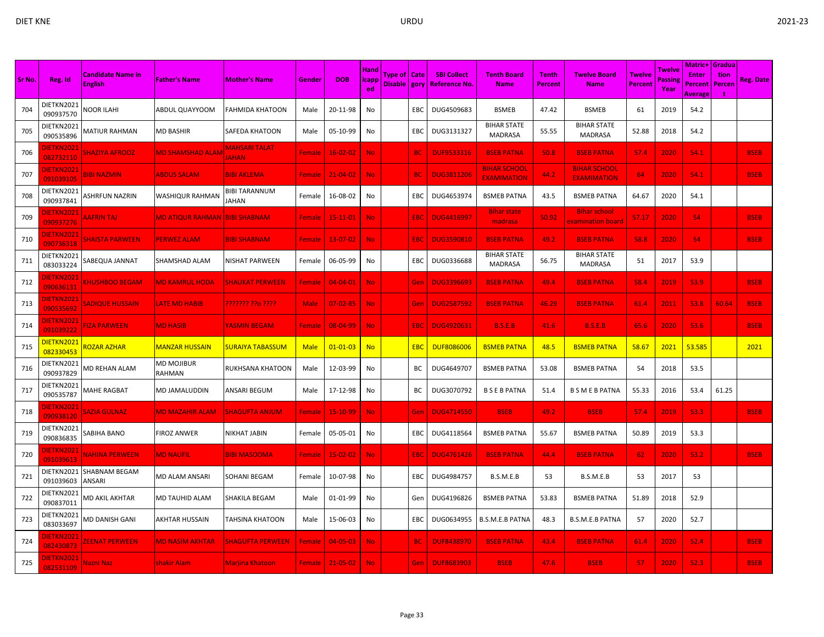|        |                                |                                            |                                       |                               |               |                |                              |                                  |            |                                           |                                           |                                |                                           |                          |                   | Matric+                 | <b>Gradua</b>  |             |
|--------|--------------------------------|--------------------------------------------|---------------------------------------|-------------------------------|---------------|----------------|------------------------------|----------------------------------|------------|-------------------------------------------|-------------------------------------------|--------------------------------|-------------------------------------------|--------------------------|-------------------|-------------------------|----------------|-------------|
| Sr No. | Reg. Id                        | <b>Candidate Name in</b><br><b>English</b> | <b>Father's Name</b>                  | <b>Mother's Name</b>          | Gender        | <b>DOB</b>     | <b>Hand</b><br><b>licapp</b> | Type of   Cate<br>Disable   gory |            | <b>SBI Collect</b><br><b>Reference No</b> | <b>Tenth Board</b><br><b>Name</b>         | <b>Tenth</b><br><b>Percent</b> | <b>Twelve Board</b><br><b>Name</b>        | Twelve<br><b>Percent</b> | Twelve<br>Passing | <b>Enter</b><br>Percent | tion<br>Percen | Reg. Date   |
|        |                                |                                            |                                       |                               |               |                | ed                           |                                  |            |                                           |                                           |                                |                                           |                          | Year              | Average                 |                |             |
| 704    | DIETKN2021<br>090937570        | NOOR ILAHI                                 | ABDUL QUAYYOOM                        | FAHMIDA KHATOON               | Male          | 20-11-98       | No                           |                                  | EBC        | DUG4509683                                | <b>BSMEB</b>                              | 47.42                          | <b>BSMEB</b>                              | 61                       | 2019              | 54.2                    |                |             |
| 705    | DIETKN2021<br>090535896        | MATIUR RAHMAN                              | <b>MD BASHIR</b>                      | SAFEDA KHATOON                | Male          | 05-10-99       | No                           |                                  | EBC        | DUG3131327                                | <b>BIHAR STATE</b><br><b>MADRASA</b>      | 55.55                          | <b>BIHAR STATE</b><br><b>MADRASA</b>      | 52.88                    | 2018              | 54.2                    |                |             |
| 706    | <b>DIETKN2021</b><br>082732110 | <b>SHAZIYA AFROOZ</b>                      | <b>MD SHAMSHAD ALAN</b>               | MAHSARI TALAT<br><b>AHAN</b>  | Female        | $16 - 02 - 02$ | <b>No</b>                    |                                  | <b>BC</b>  | <b>DUF9533316</b>                         | <b>BSEB PATNA</b>                         | 50.8                           | <b>BSEB PATNA</b>                         | 57.4                     | 2020              | 54.1                    |                | <b>BSEB</b> |
| 707    | <b>DIETKN2021</b><br>091039105 | <b>BIBI NAZMIN</b>                         | <b>ABDUS SALAM</b>                    | <b>BIBI AKLEMA</b>            | Female        | $21 - 04 - 02$ | No.                          |                                  | <b>BC</b>  | <b>DUG3811206</b>                         | <b>BIHAR SCHOOI</b><br><b>EXAMIMATION</b> | 44.2                           | <b>BIHAR SCHOOL</b><br><b>EXAMIMATION</b> | 64                       | 2020              | 54.1                    |                | <b>BSEB</b> |
| 708    | DIETKN2021<br>090937841        | <b>ASHRFUN NAZRIN</b>                      | WASHIQUR RAHMAN                       | <b>BIBI TARANNUM</b><br>JAHAN | Female        | 16-08-02       | No                           |                                  | EBC        | DUG4653974                                | <b>BSMEB PATNA</b>                        | 43.5                           | <b>BSMEB PATNA</b>                        | 64.67                    | 2020              | 54.1                    |                |             |
| 709    | <b>DIETKN2021</b><br>090937276 | <b>AAFRIN TAJ</b>                          | <u>MD ATIQUR RAHMAN BIBI SHABNAMI</u> |                               | <b>Female</b> | $15 - 11 - 01$ | No.                          |                                  | EBC        | <b>DUG4416997</b>                         | <b>Bihar state</b><br>madrasa             | 50.92                          | <b>Bihar school</b><br>examination board  | 57.17                    | 2020              | 54                      |                | <b>BSEB</b> |
| 710    | <b>DIETKN2021</b><br>090736318 | <b>SHAISTA PARWEEN</b>                     | <b>PERWEZ ALAM</b>                    | <b>BIBI SHABNAM</b>           | Female        | $13 - 07 - 02$ | No.                          |                                  | <b>EBC</b> | <b>DUG3590810</b>                         | <b>BSEB PATNA</b>                         | 49.2                           | <b>BSEB PATNA</b>                         | 58.8                     | 2020              | 54                      |                | <b>BSEB</b> |
| 711    | DIETKN2021<br>083033224        | SABEQUA JANNAT                             | SHAMSHAD ALAM                         | NISHAT PARWEEN                | Female        | 06-05-99       | No                           |                                  | EBC        | DUG0336688                                | <b>BIHAR STATE</b><br><b>MADRASA</b>      | 56.75                          | <b>BIHAR STATE</b><br><b>MADRASA</b>      | 51                       | 2017              | 53.9                    |                |             |
| 712    | <b>JIETKN2021</b><br>090636131 | <b>CHUSHBOO BEGAM</b>                      | <b>MD KAMRUL HODA</b>                 | <b>SHAUKAT PERWEEN</b>        | Female        | $04 - 04 - 01$ | No.                          |                                  | Gen        | <b>DUG3396693</b>                         | <b>BSEB PATNA</b>                         | 49.4                           | <b>BSEB PATNA</b>                         | 58.4                     | 2019              | 53.9                    |                | <b>BSEB</b> |
| 713    | <b>JIETKN2021</b><br>090535692 | <b>SADIQUE HUSSAIN</b>                     | LATE MD HABIB                         | ??????? ??o ????              | Male          | $07 - 02 - 85$ | No.                          |                                  | Gen        | <b>DUG2587592</b>                         | <b>BSEB PATNA</b>                         | 46.29                          | <b>BSEB PATNA</b>                         | 61.4                     | 2011              | 53.8                    | 60.64          | <b>BSEB</b> |
| 714    | DIETKN2021<br>091039222        | <b>FIZA PARWEEN</b>                        | <b>MD HASIB</b>                       | YASMIN BEGAM                  | Female        | 08-04-99       | No.                          |                                  | EBC        | <b>DUG4920631</b>                         | <b>B.S.E.B</b>                            | 41.6                           | <b>B.S.E.B</b>                            | 65.6                     | 2020              | 53.6                    |                | <b>BSEB</b> |
| 715    | DIETKN2021<br>082330453        | <b>ROZAR AZHAR</b>                         | <mark>MAN</mark> ZAR HUSSAIN          | <b>SURAIYA TABASSUM</b>       | <b>Male</b>   | $01 - 01 - 03$ | <b>No</b>                    |                                  | <b>EBC</b> | <b>DUF8086006</b>                         | <b>BSMEB PATNA</b>                        | 48.5                           | <b>BSMEB PATNA</b>                        | 58.67                    | 2021              | 53.585                  |                | 2021        |
| 716    | DIETKN2021<br>090937829        | MD REHAN ALAM                              | MD MOJIBUR<br>RAHMAN                  | RUKHSANA KHATOON              | Male          | 12-03-99       | No                           |                                  | BС         | DUG4649707                                | <b>BSMEB PATNA</b>                        | 53.08                          | <b>BSMEB PATNA</b>                        | 54                       | 2018              | 53.5                    |                |             |
| 717    | DIETKN2021<br>090535787        | MAHE RAGBAT                                | MD JAMALUDDIN                         | ANSARI BEGUM                  | Male          | 17-12-98       | No                           |                                  | BC         | DUG3070792                                | <b>B S E B PATNA</b>                      | 51.4                           | B S M E B PATNA                           | 55.33                    | 2016              | 53.4                    | 61.25          |             |
| 718    | <b>IETKN2021</b><br>090938120  | <b>AZIA GULNAZ</b>                         | MD MAZAHIR ALAM                       | SHAGUFTA ANJUM                | Female        | $15 - 10 - 99$ | No.                          |                                  | Gen        | <b>DUG4714550</b>                         | <b>BSEB</b>                               | 49.2                           | <b>BSEB</b>                               | 57.4                     | 2019              | 53.3                    |                | <b>BSEB</b> |
| 719    | DIETKN2021<br>090836835        | SABIHA BANO                                | <b>FIROZ ANWER</b>                    | NIKHAT JABIN                  | Female        | 05-05-01       | No                           |                                  | EBC        | DUG4118564                                | <b>BSMEB PATNA</b>                        | 55.67                          | <b>BSMEB PATNA</b>                        | 50.89                    | 2019              | 53.3                    |                |             |
| 720    | <b>IETKN2021</b><br>091039613  | <u>NAHINA PERWEEN</u>                      | <b>MD NAUFIL</b>                      | <b>BIBI MASOOMA</b>           | Female        | $15 - 02 - 02$ | No.                          |                                  | EBC        | <b>DUG4761426</b>                         | <b>BSEB PATNA</b>                         | 44.4                           | <b>BSEB PATNA</b>                         | 62                       | 2020              | 53.2                    |                | <b>BSEB</b> |
| 721    | DIETKN2021<br>091039603        | SHABNAM BEGAM<br>ANSARI                    | MD ALAM ANSARI                        | SOHANI BEGAM                  | Female        | 10-07-98       | No                           |                                  | EBC        | DUG4984757                                | B.S.M.E.B                                 | 53                             | B.S.M.E.B                                 | 53                       | 2017              | 53                      |                |             |
| 722    | DIETKN2021<br>090837011        | MD AKIL AKHTAR                             | MD TAUHID ALAM                        | SHAKILA BEGAM                 | Male          | 01-01-99       | No                           |                                  | Gen        | DUG4196826                                | <b>BSMEB PATNA</b>                        | 53.83                          | <b>BSMEB PATNA</b>                        | 51.89                    | 2018              | 52.9                    |                |             |
| 723    | DIETKN2021<br>083033697        | MD DANISH GANI                             | AKHTAR HUSSAIN                        | TAHSINA KHATOON               | Male          | 15-06-03       | No                           |                                  | EBC        | DUG0634955                                | <b>B.S.M.E.B PATNA</b>                    | 48.3                           | <b>B.S.M.E.B PATNA</b>                    | 57                       | 2020              | 52.7                    |                |             |
| 724    | <b>DIETKN2021</b><br>082430873 | <b>ZEENAT PERWEEN</b>                      | <b>MD NASIM AKHTAR</b>                | <u>SHAGUFTA PERWEEN</u>       | <b>Female</b> | $04 - 05 - 03$ | No.                          |                                  | <b>BC</b>  | <b>DUF8438970</b>                         | <b>BSEB PATNA</b>                         | 43.4                           | <b>BSEB PATNA</b>                         | 61.4                     | 2020              | 52.4                    |                | <b>BSEB</b> |
| 725    | <b>JIETKN2021</b><br>082531109 | Nazni Naz                                  | shakir Alam                           | <b>Marjina Khatoon</b>        | <b>Female</b> | $21 - 05 - 02$ | No                           |                                  | Gen        | <b>DUF8683903</b>                         | <b>BSEB</b>                               | 47.6                           | <b>BSEB</b>                               | 57                       | 2020              | 52.3                    |                | <b>BSEB</b> |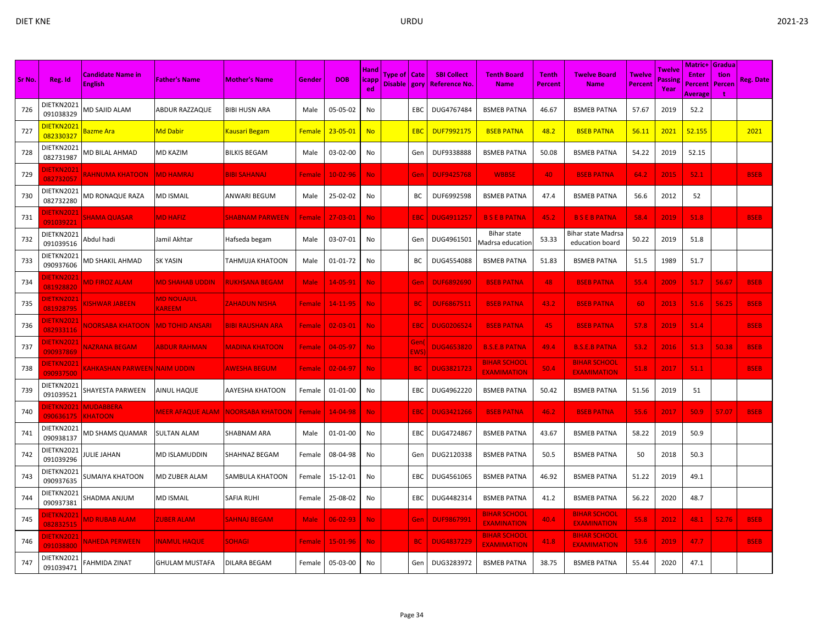|        |                                |                                            |                                    |                         |               |                | Hand        |                                |                   |                                            |                                           |                                |                                              |                   | Twelve         | Matric+                            | Gradual        |                  |
|--------|--------------------------------|--------------------------------------------|------------------------------------|-------------------------|---------------|----------------|-------------|--------------------------------|-------------------|--------------------------------------------|-------------------------------------------|--------------------------------|----------------------------------------------|-------------------|----------------|------------------------------------|----------------|------------------|
| Sr No. | Reg. Id                        | <b>Candidate Name in</b><br><b>English</b> | <b>Father's Name</b>               | <b>Mother's Name</b>    | Gender        | <b>DOB</b>     | icapp<br>ed | Type of   Cate<br>Disable gory |                   | <b>SBI Collect</b><br><b>Reference No.</b> | <b>Tenth Board</b><br><b>Name</b>         | <b>Tenth</b><br><b>Percent</b> | Twelve Board<br><b>Name</b>                  | Twelve<br>Percent | Passin<br>Year | <b>Enter</b><br>Percent<br>Average | tion<br>Percen | <b>Reg. Date</b> |
| 726    | DIETKN2021<br>091038329        | MD SAJID ALAM                              | ABDUR RAZZAQUE                     | <b>BIBI HUSN ARA</b>    | Male          | 05-05-02       | No          |                                | EBC               | DUG4767484                                 | <b>BSMEB PATNA</b>                        | 46.67                          | <b>BSMEB PATNA</b>                           | 57.67             | 2019           | 52.2                               |                |                  |
| 727    | DIETKN2021<br>082330327        | Bazme Ara                                  | Md Dabir                           | Kausari Begam           | <b>Female</b> | $23 - 05 - 01$ | <b>No</b>   |                                | <b>EBC</b>        | <b>DUF7992175</b>                          | <b>BSEB PATNA</b>                         | 48.2                           | <b>BSEB PATNA</b>                            | 56.11             | 2021           | 52.155                             |                | 2021             |
| 728    | DIETKN2021<br>082731987        | MD BILAL AHMAD                             | MD KAZIM                           | <b>BILKIS BEGAM</b>     | Male          | 03-02-00       | No          |                                | Gen               | DUF9338888                                 | <b>BSMEB PATNA</b>                        | 50.08                          | <b>BSMEB PATNA</b>                           | 54.22             | 2019           | 52.15                              |                |                  |
| 729    | <b>IETKN202</b><br>082732057   | RAHNUMA KHATOON                            | <b>MD HAMRAJ</b>                   | <b>BIBI SAHANAJ</b>     | Female        | 10-02-96       | No.         |                                | Gen               | <b>DUF9425768</b>                          | <b>WBBSE</b>                              | 40                             | <b>BSEB PATNA</b>                            | 64.2              | 2015           | 52.1                               |                | <b>BSEB</b>      |
| 730    | DIETKN2021<br>082732280        | MD RONAQUE RAZA                            | <b>MD ISMAIL</b>                   | ANWARI BEGUM            | Male          | 25-02-02       | No          |                                | BC                | DUF6992598                                 | <b>BSMEB PATNA</b>                        | 47.4                           | <b>BSMEB PATNA</b>                           | 56.6              | 2012           | 52                                 |                |                  |
| 731    | <b>IETKN202</b><br>091039221   | <b>SHAMA QUASAR</b>                        | <b>MD HAFIZ</b>                    | SHABNAM PARWEEN         | Female        | $27 - 03 - 01$ | No.         |                                | EBC               | <b>DUG4911257</b>                          | <b>BSEBPATNA</b>                          | 45.2                           | <b>BSEBPATNA</b>                             | 58.4              | 2019           | 51.8                               |                | <b>BSEB</b>      |
| 732    | DIETKN2021<br>091039516        | Abdul hadi                                 | Jamil Akhtar                       | Hafseda begam           | Male          | 03-07-01       | No          |                                | Gen               | DUG4961501                                 | Bihar state<br>Madrsa educatior           | 53.33                          | <b>Bihar state Madrsa</b><br>education board | 50.22             | 2019           | 51.8                               |                |                  |
| 733    | DIETKN2021<br>090937606        | MD SHAKIL AHMAD                            | <b>SK YASIN</b>                    | TAHMUJA KHATOON         | Male          | 01-01-72       | No          |                                | BС                | DUG4554088                                 | <b>BSMEB PATNA</b>                        | 51.83                          | <b>BSMEB PATNA</b>                           | 51.5              | 1989           | 51.7                               |                |                  |
| 734    | <b>IETKN202</b><br>081928820   | <b>MD FIROZ ALAM</b>                       | <b>MD SHAHAB UDDIN</b>             | <b>RUKHSANA BEGAM</b>   | <b>Male</b>   | 14-05-91       | No          |                                | Gen               | <b>DUF6892690</b>                          | <b>BSEB PATNA</b>                         | 48                             | <b>BSEB PATNA</b>                            | 55.4              | 2009           | 51.7                               | 56.67          | <b>BSEB</b>      |
| 735    | <b>DIETKN2021</b><br>081928795 | <b>ISHWAR JABEEN</b>                       | <b>MD NOUAJUL</b><br><b>KAREEM</b> | <b>ZAHADUN NISHA</b>    | Female        | 14-11-95       | No.         |                                | <b>BC</b>         | <b>DUF6867511</b>                          | <b>BSEB PATNA</b>                         | 43.2                           | <b>BSEB PATNA</b>                            | 60                | 2013           | 51.6                               | 56.25          | <b>BSEB</b>      |
| 736    | DIETKN202:<br>082933116        | <u>NOORSABA KHATOON.</u>                   | <b>MD TOHID ANSARI</b>             | BIBI RAUSHAN ARA        | <b>Female</b> | $02 - 03 - 01$ | No.         |                                | EBC               | <b>DUG0206524</b>                          | <b>BSEB PATNA</b>                         | 45                             | <b>BSEB PATNA</b>                            | 57.8              | 2019           | 51.4                               |                | <b>BSEB</b>      |
| 737    | <b>JIETKN2021</b><br>090937869 | <b>NAZRANA BEGAM</b>                       | ABDUR RAHMAN                       | <u>MADINA KHATOON</u>   | Female        | $04 - 05 - 97$ | No.         |                                | Gen<br><b>EWS</b> | <b>DUG4653820</b>                          | <b>B.S.E.B PATNA</b>                      | 49.4                           | <b>B.S.E.B PATNA</b>                         | 53.2              | 2016           | 51.3                               | 50.38          | <b>BSEB</b>      |
| 738    | DIETKN202:<br>090937500        | KAHKASHAN PARWEEN NAIM UDDIN               |                                    | <b>AWESHA BEGUM</b>     | Female        | 02-04-97       | No.         |                                | <b>BC</b>         | <b>DUG3821723</b>                          | <b>BIHAR SCHOOL</b><br><b>EXAMIMATION</b> | 50.4                           | <b>BIHAR SCHOOL</b><br><b>EXAMIMATION</b>    | 51.8              | 2017           | 51.1                               |                | <b>BSEB</b>      |
| 739    | DIETKN2021<br>091039521        | SHAYESTA PARWEEN                           | AINUL HAQUE                        | AAYESHA KHATOON         | Female        | 01-01-00       | No          |                                | EBC               | DUG4962220                                 | <b>BSMEB PATNA</b>                        | 50.42                          | <b>BSMEB PATNA</b>                           | 51.56             | 2019           | 51                                 |                |                  |
| 740    | <b>IETKN2021</b><br>090636175  | <b>MUDABBERA</b><br><b>KHATOON</b>         | <b>MEER AFAQUE ALAM</b>            | <b>NOORSABA KHATOON</b> | Female        | 14-04-98       | No.         |                                | EBC               | <b>DUG3421266</b>                          | <b>BSEB PATNA</b>                         | 46.2                           | <b>BSEB PATNA</b>                            | 55.6              | 2017           | 50.9                               | 57.07          | <b>BSEB</b>      |
| 741    | DIETKN2021<br>090938137        | MD SHAMS QUAMAR                            | <b>SULTAN ALAM</b>                 | SHABNAM ARA             | Male          | 01-01-00       | No          |                                | EBC               | DUG4724867                                 | <b>BSMEB PATNA</b>                        | 43.67                          | <b>BSMEB PATNA</b>                           | 58.22             | 2019           | 50.9                               |                |                  |
| 742    | DIETKN2021<br>091039296        | IULIE JAHAN                                | MD ISLAMUDDIN                      | SHAHNAZ BEGAM           | Female        | 08-04-98       | No          |                                | Gen               | DUG2120338                                 | <b>BSMEB PATNA</b>                        | 50.5                           | <b>BSMEB PATNA</b>                           | 50                | 2018           | 50.3                               |                |                  |
| 743    | DIETKN2021<br>090937635        | SUMAIYA KHATOON                            | MD ZUBER ALAM                      | SAMBULA KHATOON         | Female        | 15-12-01       | No          |                                | EBC               | DUG4561065                                 | <b>BSMEB PATNA</b>                        | 46.92                          | <b>BSMEB PATNA</b>                           | 51.22             | 2019           | 49.1                               |                |                  |
| 744    | DIETKN2021<br>090937381        | SHADMA ANJUM                               | MD ISMAIL                          | <b>SAFIA RUHI</b>       | Female        | 25-08-02       | No          |                                | EBC               | DUG4482314                                 | <b>BSMEB PATNA</b>                        | 41.2                           | <b>BSMEB PATNA</b>                           | 56.22             | 2020           | 48.7                               |                |                  |
| 745    | <b>IETKN202</b><br>082832515   | <b>MD RUBAB ALAM</b>                       | <b>ZUBER ALAM</b>                  | <b>SAHNAJ BEGAM</b>     | <b>Male</b>   | $06 - 02 - 93$ | No.         |                                | Gen               | <b>DUF9867991</b>                          | <b>BIHAR SCHOOL</b><br><b>EXAMINATION</b> | 40.4                           | <b>BIHAR SCHOOL</b><br><b>EXAMINATION</b>    | 55.8              | 2012           | 48.1                               | 52.76          | <b>BSEB</b>      |
| 746    | )IETKN2021<br>091038800        | <b>VAHEDA PERWEEN</b>                      | <b>INAMUL HAQUE</b>                | <b>SOHAGI</b>           | Female        | 15-01-96       | No.         |                                | <b>BC</b>         | <b>DUG4837229</b>                          | <b>BIHAR SCHOOL</b><br><b>EXAMIMATION</b> | 41.8                           | <b>BIHAR SCHOOL</b><br><b>EXAMIMATION</b>    | 53.6              | 2019           | 47.7                               |                | <b>BSEB</b>      |
| 747    | DIETKN2021<br>091039471        | FAHMIDA ZINAT                              | GHULAM MUSTAFA                     | DILARA BEGAM            | Female        | 05-03-00       | No          |                                | Gen               | DUG3283972                                 | <b>BSMEB PATNA</b>                        | 38.75                          | <b>BSMEB PATNA</b>                           | 55.44             | 2020           | 47.1                               |                |                  |